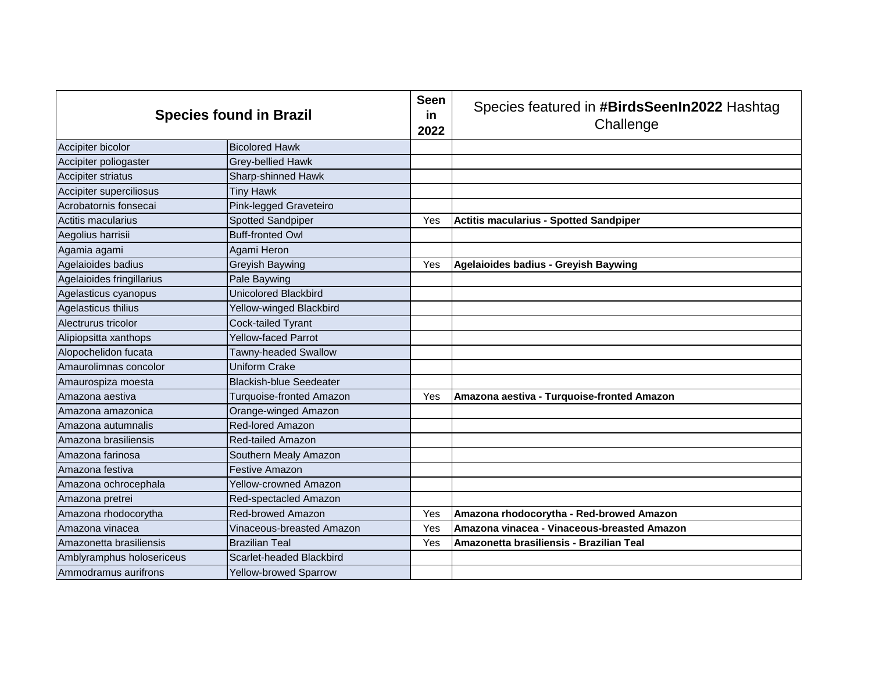| <b>Species found in Brazil</b> |                                | <b>Seen</b><br><u>in</u><br>2022 | Species featured in #BirdsSeenIn2022 Hashtag<br>Challenge |
|--------------------------------|--------------------------------|----------------------------------|-----------------------------------------------------------|
| Accipiter bicolor              | <b>Bicolored Hawk</b>          |                                  |                                                           |
| Accipiter poliogaster          | <b>Grey-bellied Hawk</b>       |                                  |                                                           |
| Accipiter striatus             | Sharp-shinned Hawk             |                                  |                                                           |
| Accipiter superciliosus        | <b>Tiny Hawk</b>               |                                  |                                                           |
| Acrobatornis fonsecai          | Pink-legged Graveteiro         |                                  |                                                           |
| Actitis macularius             | <b>Spotted Sandpiper</b>       | Yes                              | <b>Actitis macularius - Spotted Sandpiper</b>             |
| Aegolius harrisii              | <b>Buff-fronted Owl</b>        |                                  |                                                           |
| Agamia agami                   | Agami Heron                    |                                  |                                                           |
| Agelaioides badius             | Greyish Baywing                | Yes                              | Agelaioides badius - Greyish Baywing                      |
| Agelaioides fringillarius      | Pale Baywing                   |                                  |                                                           |
| Agelasticus cyanopus           | <b>Unicolored Blackbird</b>    |                                  |                                                           |
| Agelasticus thilius            | Yellow-winged Blackbird        |                                  |                                                           |
| Alectrurus tricolor            | Cock-tailed Tyrant             |                                  |                                                           |
| Alipiopsitta xanthops          | <b>Yellow-faced Parrot</b>     |                                  |                                                           |
| Alopochelidon fucata           | Tawny-headed Swallow           |                                  |                                                           |
| Amaurolimnas concolor          | <b>Uniform Crake</b>           |                                  |                                                           |
| Amaurospiza moesta             | <b>Blackish-blue Seedeater</b> |                                  |                                                           |
| Amazona aestiva                | Turquoise-fronted Amazon       | Yes                              | Amazona aestiva - Turquoise-fronted Amazon                |
| Amazona amazonica              | Orange-winged Amazon           |                                  |                                                           |
| Amazona autumnalis             | <b>Red-lored Amazon</b>        |                                  |                                                           |
| Amazona brasiliensis           | <b>Red-tailed Amazon</b>       |                                  |                                                           |
| Amazona farinosa               | Southern Mealy Amazon          |                                  |                                                           |
| Amazona festiva                | <b>Festive Amazon</b>          |                                  |                                                           |
| Amazona ochrocephala           | <b>Yellow-crowned Amazon</b>   |                                  |                                                           |
| Amazona pretrei                | Red-spectacled Amazon          |                                  |                                                           |
| Amazona rhodocorytha           | <b>Red-browed Amazon</b>       | Yes                              | Amazona rhodocorytha - Red-browed Amazon                  |
| Amazona vinacea                | Vinaceous-breasted Amazon      | Yes                              | Amazona vinacea - Vinaceous-breasted Amazon               |
| Amazonetta brasiliensis        | <b>Brazilian Teal</b>          | Yes                              | Amazonetta brasiliensis - Brazilian Teal                  |
| Amblyramphus holosericeus      | Scarlet-headed Blackbird       |                                  |                                                           |
| Ammodramus aurifrons           | <b>Yellow-browed Sparrow</b>   |                                  |                                                           |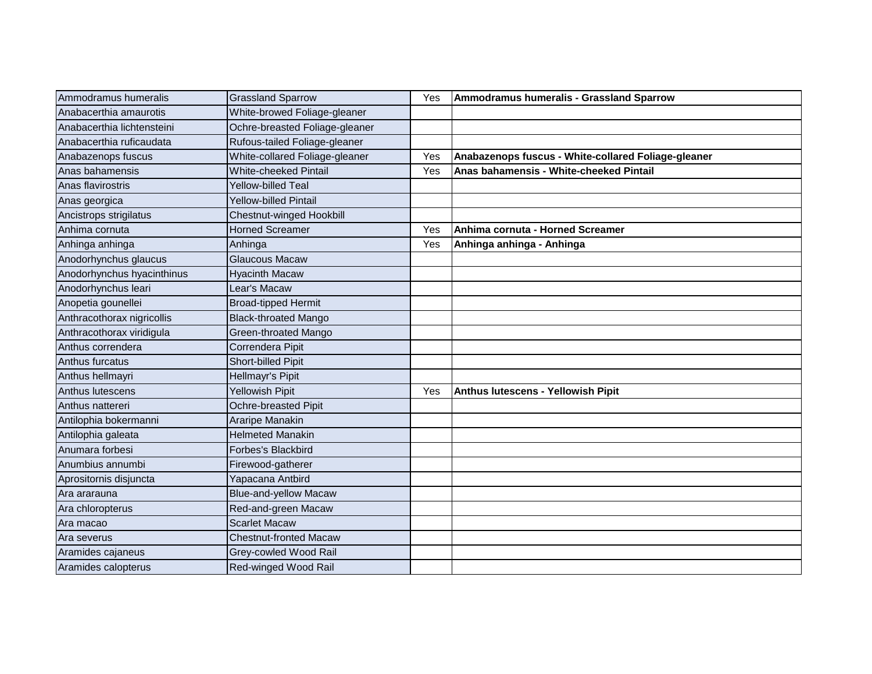| Ammodramus humeralis       | <b>Grassland Sparrow</b>       | Yes | Ammodramus humeralis - Grassland Sparrow            |
|----------------------------|--------------------------------|-----|-----------------------------------------------------|
| Anabacerthia amaurotis     | White-browed Foliage-gleaner   |     |                                                     |
| Anabacerthia lichtensteini | Ochre-breasted Foliage-gleaner |     |                                                     |
| Anabacerthia ruficaudata   | Rufous-tailed Foliage-gleaner  |     |                                                     |
| Anabazenops fuscus         | White-collared Foliage-gleaner | Yes | Anabazenops fuscus - White-collared Foliage-gleaner |
| Anas bahamensis            | <b>White-cheeked Pintail</b>   | Yes | Anas bahamensis - White-cheeked Pintail             |
| Anas flavirostris          | <b>Yellow-billed Teal</b>      |     |                                                     |
| Anas georgica              | <b>Yellow-billed Pintail</b>   |     |                                                     |
| Ancistrops strigilatus     | Chestnut-winged Hookbill       |     |                                                     |
| Anhima cornuta             | <b>Horned Screamer</b>         | Yes | Anhima cornuta - Horned Screamer                    |
| Anhinga anhinga            | Anhinga                        | Yes | Anhinga anhinga - Anhinga                           |
| Anodorhynchus glaucus      | Glaucous Macaw                 |     |                                                     |
| Anodorhynchus hyacinthinus | <b>Hyacinth Macaw</b>          |     |                                                     |
| Anodorhynchus leari        | Lear's Macaw                   |     |                                                     |
| Anopetia gounellei         | <b>Broad-tipped Hermit</b>     |     |                                                     |
| Anthracothorax nigricollis | <b>Black-throated Mango</b>    |     |                                                     |
| Anthracothorax viridigula  | Green-throated Mango           |     |                                                     |
| Anthus correndera          | Correndera Pipit               |     |                                                     |
| Anthus furcatus            | Short-billed Pipit             |     |                                                     |
| Anthus hellmayri           | Hellmayr's Pipit               |     |                                                     |
| Anthus lutescens           | Yellowish Pipit                | Yes | Anthus lutescens - Yellowish Pipit                  |
| Anthus nattereri           | Ochre-breasted Pipit           |     |                                                     |
| Antilophia bokermanni      | Araripe Manakin                |     |                                                     |
| Antilophia galeata         | <b>Helmeted Manakin</b>        |     |                                                     |
| Anumara forbesi            | Forbes's Blackbird             |     |                                                     |
| Anumbius annumbi           | Firewood-gatherer              |     |                                                     |
| Aprositornis disjuncta     | Yapacana Antbird               |     |                                                     |
| Ara ararauna               | <b>Blue-and-yellow Macaw</b>   |     |                                                     |
| Ara chloropterus           | Red-and-green Macaw            |     |                                                     |
| Ara macao                  | <b>Scarlet Macaw</b>           |     |                                                     |
| Ara severus                | <b>Chestnut-fronted Macaw</b>  |     |                                                     |
| Aramides cajaneus          | Grey-cowled Wood Rail          |     |                                                     |
| Aramides calopterus        | Red-winged Wood Rail           |     |                                                     |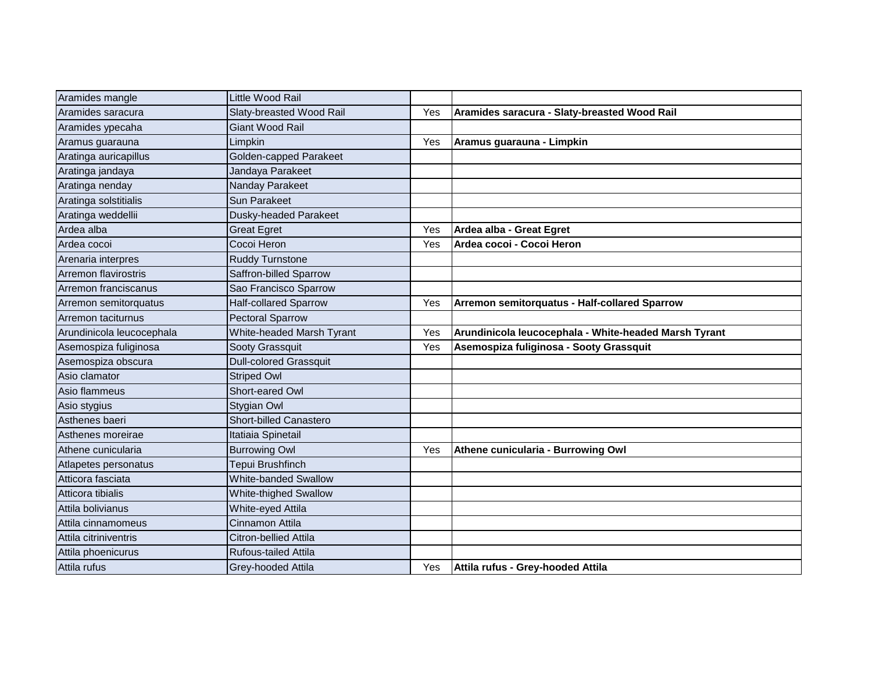| Aramides mangle           | Little Wood Rail              |     |                                                       |
|---------------------------|-------------------------------|-----|-------------------------------------------------------|
| Aramides saracura         | Slaty-breasted Wood Rail      | Yes | Aramides saracura - Slaty-breasted Wood Rail          |
| Aramides ypecaha          | Giant Wood Rail               |     |                                                       |
| Aramus guarauna           | Limpkin                       | Yes | Aramus guarauna - Limpkin                             |
| Aratinga auricapillus     | Golden-capped Parakeet        |     |                                                       |
| Aratinga jandaya          | Jandaya Parakeet              |     |                                                       |
| Aratinga nenday           | Nanday Parakeet               |     |                                                       |
| Aratinga solstitialis     | <b>Sun Parakeet</b>           |     |                                                       |
| Aratinga weddellii        | Dusky-headed Parakeet         |     |                                                       |
| Ardea alba                | <b>Great Egret</b>            | Yes | Ardea alba - Great Egret                              |
| Ardea cocoi               | Cocoi Heron                   | Yes | Ardea cocoi - Cocoi Heron                             |
| Arenaria interpres        | <b>Ruddy Turnstone</b>        |     |                                                       |
| Arremon flavirostris      | Saffron-billed Sparrow        |     |                                                       |
| Arremon franciscanus      | Sao Francisco Sparrow         |     |                                                       |
| Arremon semitorquatus     | <b>Half-collared Sparrow</b>  | Yes | Arremon semitorquatus - Half-collared Sparrow         |
| Arremon taciturnus        | <b>Pectoral Sparrow</b>       |     |                                                       |
| Arundinicola leucocephala | White-headed Marsh Tyrant     | Yes | Arundinicola leucocephala - White-headed Marsh Tyrant |
| Asemospiza fuliginosa     | Sooty Grassquit               | Yes | Asemospiza fuliginosa - Sooty Grassquit               |
| Asemospiza obscura        | <b>Dull-colored Grassquit</b> |     |                                                       |
| Asio clamator             | <b>Striped Owl</b>            |     |                                                       |
| Asio flammeus             | Short-eared Owl               |     |                                                       |
| Asio stygius              | Stygian Owl                   |     |                                                       |
| Asthenes baeri            | <b>Short-billed Canastero</b> |     |                                                       |
| Asthenes moreirae         | Itatiaia Spinetail            |     |                                                       |
| Athene cunicularia        | <b>Burrowing Owl</b>          | Yes | Athene cunicularia - Burrowing Owl                    |
| Atlapetes personatus      | Tepui Brushfinch              |     |                                                       |
| Atticora fasciata         | White-banded Swallow          |     |                                                       |
| Atticora tibialis         | White-thighed Swallow         |     |                                                       |
| Attila bolivianus         | White-eyed Attila             |     |                                                       |
| Attila cinnamomeus        | Cinnamon Attila               |     |                                                       |
| Attila citriniventris     | Citron-bellied Attila         |     |                                                       |
| Attila phoenicurus        | Rufous-tailed Attila          |     |                                                       |
| Attila rufus              | Grey-hooded Attila            | Yes | Attila rufus - Grey-hooded Attila                     |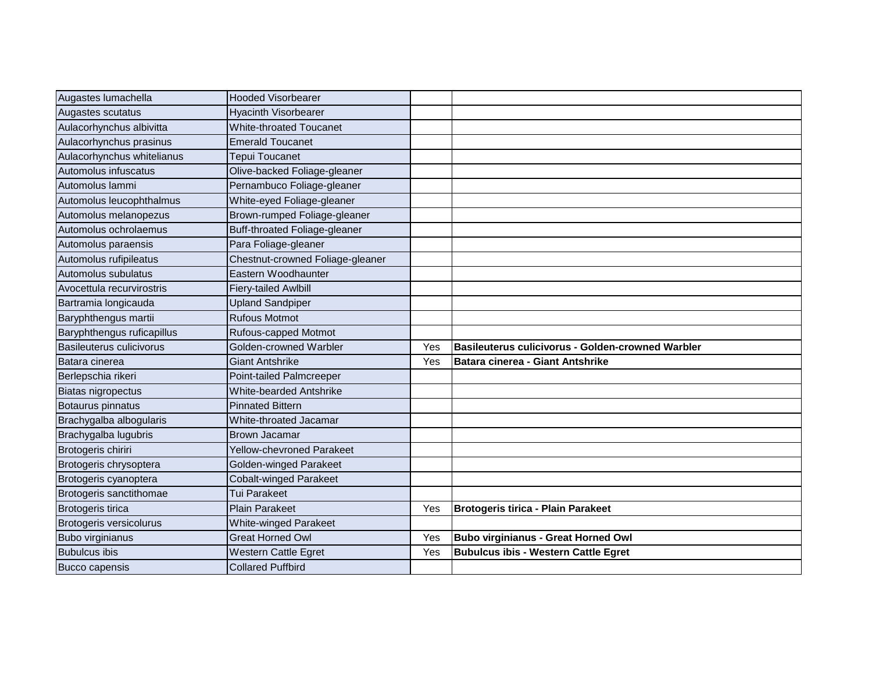| Augastes lumachella             | <b>Hooded Visorbearer</b>            |     |                                                   |
|---------------------------------|--------------------------------------|-----|---------------------------------------------------|
| Augastes scutatus               | <b>Hyacinth Visorbearer</b>          |     |                                                   |
| Aulacorhynchus albivitta        | <b>White-throated Toucanet</b>       |     |                                                   |
| Aulacorhynchus prasinus         | <b>Emerald Toucanet</b>              |     |                                                   |
| Aulacorhynchus whitelianus      | Tepui Toucanet                       |     |                                                   |
| Automolus infuscatus            | Olive-backed Foliage-gleaner         |     |                                                   |
| Automolus lammi                 | Pernambuco Foliage-gleaner           |     |                                                   |
| Automolus leucophthalmus        | White-eyed Foliage-gleaner           |     |                                                   |
| Automolus melanopezus           | Brown-rumped Foliage-gleaner         |     |                                                   |
| Automolus ochrolaemus           | <b>Buff-throated Foliage-gleaner</b> |     |                                                   |
| Automolus paraensis             | Para Foliage-gleaner                 |     |                                                   |
| Automolus rufipileatus          | Chestnut-crowned Foliage-gleaner     |     |                                                   |
| Automolus subulatus             | Eastern Woodhaunter                  |     |                                                   |
| Avocettula recurvirostris       | <b>Fiery-tailed Awlbill</b>          |     |                                                   |
| Bartramia longicauda            | <b>Upland Sandpiper</b>              |     |                                                   |
| Baryphthengus martii            | <b>Rufous Motmot</b>                 |     |                                                   |
| Baryphthengus ruficapillus      | Rufous-capped Motmot                 |     |                                                   |
| <b>Basileuterus culicivorus</b> | Golden-crowned Warbler               | Yes | Basileuterus culicivorus - Golden-crowned Warbler |
| Batara cinerea                  | <b>Giant Antshrike</b>               | Yes | Batara cinerea - Giant Antshrike                  |
| Berlepschia rikeri              | Point-tailed Palmcreeper             |     |                                                   |
| Biatas nigropectus              | White-bearded Antshrike              |     |                                                   |
| Botaurus pinnatus               | <b>Pinnated Bittern</b>              |     |                                                   |
| Brachygalba albogularis         | White-throated Jacamar               |     |                                                   |
| Brachygalba lugubris            | <b>Brown Jacamar</b>                 |     |                                                   |
| Brotogeris chiriri              | <b>Yellow-chevroned Parakeet</b>     |     |                                                   |
| Brotogeris chrysoptera          | Golden-winged Parakeet               |     |                                                   |
| Brotogeris cyanoptera           | <b>Cobalt-winged Parakeet</b>        |     |                                                   |
| Brotogeris sanctithomae         | <b>Tui Parakeet</b>                  |     |                                                   |
| Brotogeris tirica               | <b>Plain Parakeet</b>                | Yes | <b>Brotogeris tirica - Plain Parakeet</b>         |
| Brotogeris versicolurus         | <b>White-winged Parakeet</b>         |     |                                                   |
| Bubo virginianus                | <b>Great Horned Owl</b>              | Yes | <b>Bubo virginianus - Great Horned Owl</b>        |
| <b>Bubulcus ibis</b>            | Western Cattle Egret                 | Yes | <b>Bubulcus ibis - Western Cattle Egret</b>       |
| <b>Bucco capensis</b>           | <b>Collared Puffbird</b>             |     |                                                   |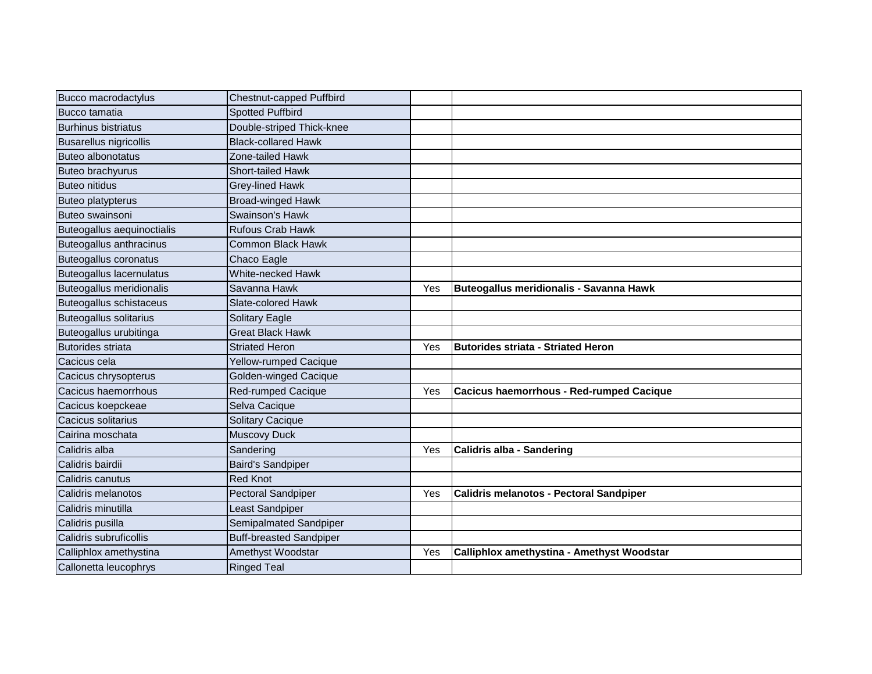| Bucco macrodactylus            | Chestnut-capped Puffbird       |     |                                            |
|--------------------------------|--------------------------------|-----|--------------------------------------------|
| Bucco tamatia                  | <b>Spotted Puffbird</b>        |     |                                            |
| <b>Burhinus bistriatus</b>     | Double-striped Thick-knee      |     |                                            |
| <b>Busarellus nigricollis</b>  | <b>Black-collared Hawk</b>     |     |                                            |
| <b>Buteo albonotatus</b>       | Zone-tailed Hawk               |     |                                            |
| <b>Buteo brachyurus</b>        | <b>Short-tailed Hawk</b>       |     |                                            |
| <b>Buteo nitidus</b>           | <b>Grey-lined Hawk</b>         |     |                                            |
| <b>Buteo platypterus</b>       | <b>Broad-winged Hawk</b>       |     |                                            |
| Buteo swainsoni                | Swainson's Hawk                |     |                                            |
| Buteogallus aequinoctialis     | <b>Rufous Crab Hawk</b>        |     |                                            |
| Buteogallus anthracinus        | <b>Common Black Hawk</b>       |     |                                            |
| Buteogallus coronatus          | Chaco Eagle                    |     |                                            |
| Buteogallus lacernulatus       | White-necked Hawk              |     |                                            |
| Buteogallus meridionalis       | Savanna Hawk                   | Yes | Buteogallus meridionalis - Savanna Hawk    |
| <b>Buteogallus schistaceus</b> | Slate-colored Hawk             |     |                                            |
| <b>Buteogallus solitarius</b>  | <b>Solitary Eagle</b>          |     |                                            |
| Buteogallus urubitinga         | <b>Great Black Hawk</b>        |     |                                            |
| <b>Butorides striata</b>       | <b>Striated Heron</b>          | Yes | <b>Butorides striata - Striated Heron</b>  |
| Cacicus cela                   | Yellow-rumped Cacique          |     |                                            |
| Cacicus chrysopterus           | Golden-winged Cacique          |     |                                            |
| Cacicus haemorrhous            | Red-rumped Cacique             | Yes | Cacicus haemorrhous - Red-rumped Cacique   |
| Cacicus koepckeae              | Selva Cacique                  |     |                                            |
| Cacicus solitarius             | <b>Solitary Cacique</b>        |     |                                            |
| Cairina moschata               | <b>Muscovy Duck</b>            |     |                                            |
| Calidris alba                  | Sandering                      | Yes | Calidris alba - Sandering                  |
| Calidris bairdii               | <b>Baird's Sandpiper</b>       |     |                                            |
| Calidris canutus               | <b>Red Knot</b>                |     |                                            |
| Calidris melanotos             | <b>Pectoral Sandpiper</b>      | Yes | Calidris melanotos - Pectoral Sandpiper    |
| Calidris minutilla             | Least Sandpiper                |     |                                            |
| Calidris pusilla               | Semipalmated Sandpiper         |     |                                            |
| Calidris subruficollis         | <b>Buff-breasted Sandpiper</b> |     |                                            |
| Calliphlox amethystina         | Amethyst Woodstar              | Yes | Calliphlox amethystina - Amethyst Woodstar |
| Callonetta leucophrys          | <b>Ringed Teal</b>             |     |                                            |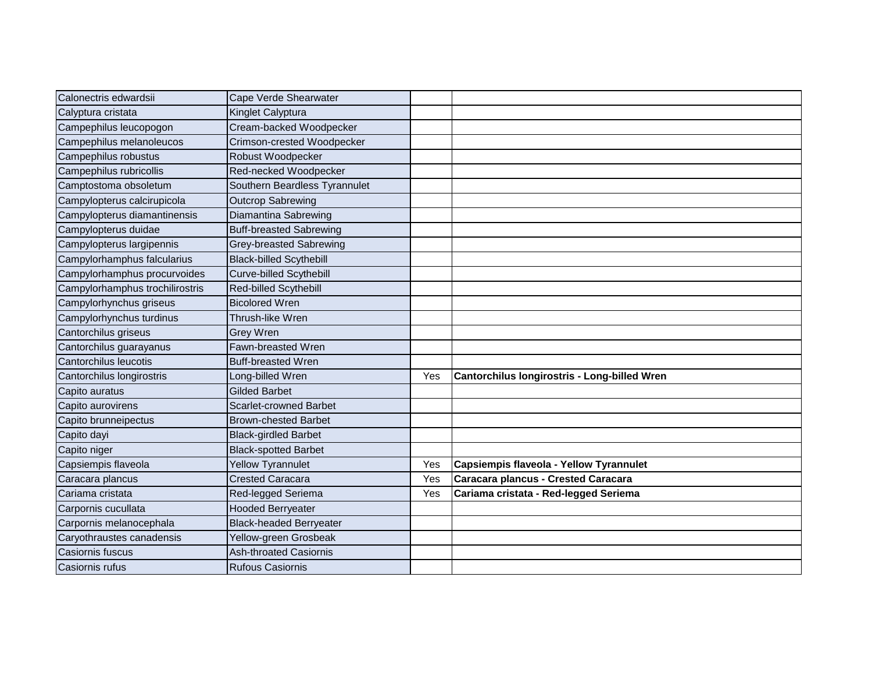| Calonectris edwardsii           | Cape Verde Shearwater          |     |                                              |
|---------------------------------|--------------------------------|-----|----------------------------------------------|
| Calyptura cristata              | Kinglet Calyptura              |     |                                              |
| Campephilus leucopogon          | Cream-backed Woodpecker        |     |                                              |
| Campephilus melanoleucos        | Crimson-crested Woodpecker     |     |                                              |
| Campephilus robustus            | Robust Woodpecker              |     |                                              |
| Campephilus rubricollis         | Red-necked Woodpecker          |     |                                              |
| Camptostoma obsoletum           | Southern Beardless Tyrannulet  |     |                                              |
| Campylopterus calcirupicola     | <b>Outcrop Sabrewing</b>       |     |                                              |
| Campylopterus diamantinensis    | Diamantina Sabrewing           |     |                                              |
| Campylopterus duidae            | <b>Buff-breasted Sabrewing</b> |     |                                              |
| Campylopterus largipennis       | <b>Grey-breasted Sabrewing</b> |     |                                              |
| Campylorhamphus falcularius     | <b>Black-billed Scythebill</b> |     |                                              |
| Campylorhamphus procurvoides    | <b>Curve-billed Scythebill</b> |     |                                              |
| Campylorhamphus trochilirostris | Red-billed Scythebill          |     |                                              |
| Campylorhynchus griseus         | <b>Bicolored Wren</b>          |     |                                              |
| Campylorhynchus turdinus        | Thrush-like Wren               |     |                                              |
| Cantorchilus griseus            | Grey Wren                      |     |                                              |
| Cantorchilus guarayanus         | Fawn-breasted Wren             |     |                                              |
| Cantorchilus leucotis           | <b>Buff-breasted Wren</b>      |     |                                              |
| Cantorchilus longirostris       | Long-billed Wren               | Yes | Cantorchilus longirostris - Long-billed Wren |
| Capito auratus                  | Gilded Barbet                  |     |                                              |
| Capito aurovirens               | <b>Scarlet-crowned Barbet</b>  |     |                                              |
| Capito brunneipectus            | <b>Brown-chested Barbet</b>    |     |                                              |
| Capito dayi                     | <b>Black-girdled Barbet</b>    |     |                                              |
| Capito niger                    | <b>Black-spotted Barbet</b>    |     |                                              |
| Capsiempis flaveola             | Yellow Tyrannulet              | Yes | Capsiempis flaveola - Yellow Tyrannulet      |
| Caracara plancus                | <b>Crested Caracara</b>        | Yes | Caracara plancus - Crested Caracara          |
| Cariama cristata                | Red-legged Seriema             | Yes | Cariama cristata - Red-legged Seriema        |
| Carpornis cucullata             | <b>Hooded Berryeater</b>       |     |                                              |
| Carpornis melanocephala         | <b>Black-headed Berryeater</b> |     |                                              |
| Caryothraustes canadensis       | Yellow-green Grosbeak          |     |                                              |
| Casiornis fuscus                | <b>Ash-throated Casiornis</b>  |     |                                              |
| Casiornis rufus                 | <b>Rufous Casiornis</b>        |     |                                              |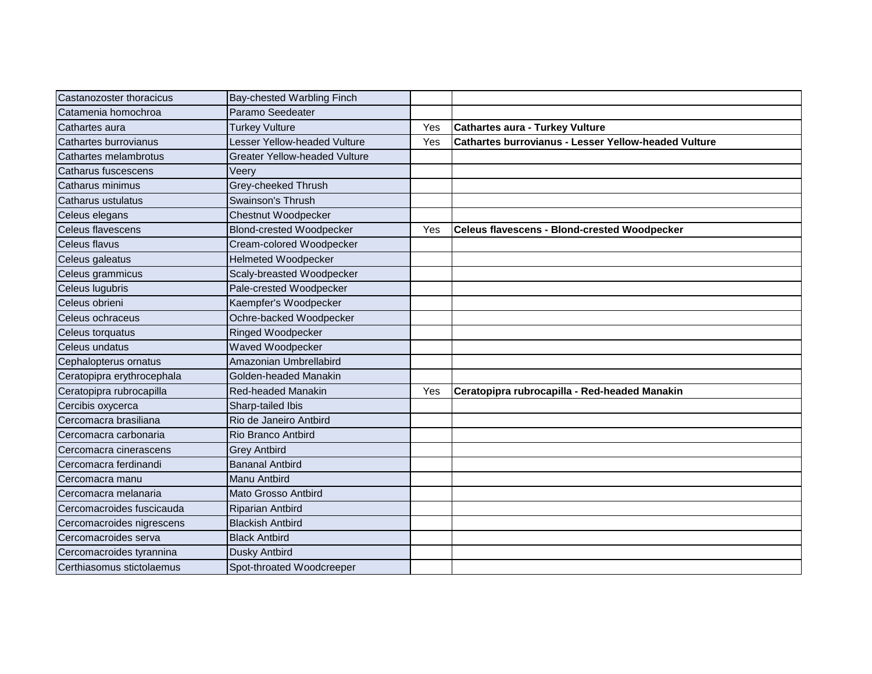| Castanozoster thoracicus   | Bay-chested Warbling Finch           |     |                                                             |
|----------------------------|--------------------------------------|-----|-------------------------------------------------------------|
| Catamenia homochroa        | Paramo Seedeater                     |     |                                                             |
| Cathartes aura             | <b>Turkey Vulture</b>                | Yes | <b>Cathartes aura - Turkey Vulture</b>                      |
| Cathartes burrovianus      | Lesser Yellow-headed Vulture         | Yes | <b>Cathartes burrovianus - Lesser Yellow-headed Vulture</b> |
| Cathartes melambrotus      | <b>Greater Yellow-headed Vulture</b> |     |                                                             |
| Catharus fuscescens        | Veery                                |     |                                                             |
| Catharus minimus           | Grey-cheeked Thrush                  |     |                                                             |
| Catharus ustulatus         | Swainson's Thrush                    |     |                                                             |
| Celeus elegans             | Chestnut Woodpecker                  |     |                                                             |
| Celeus flavescens          | <b>Blond-crested Woodpecker</b>      | Yes | <b>Celeus flavescens - Blond-crested Woodpecker</b>         |
| Celeus flavus              | Cream-colored Woodpecker             |     |                                                             |
| Celeus galeatus            | <b>Helmeted Woodpecker</b>           |     |                                                             |
| Celeus grammicus           | Scaly-breasted Woodpecker            |     |                                                             |
| Celeus lugubris            | Pale-crested Woodpecker              |     |                                                             |
| Celeus obrieni             | Kaempfer's Woodpecker                |     |                                                             |
| Celeus ochraceus           | Ochre-backed Woodpecker              |     |                                                             |
| Celeus torquatus           | Ringed Woodpecker                    |     |                                                             |
| Celeus undatus             | Waved Woodpecker                     |     |                                                             |
| Cephalopterus ornatus      | Amazonian Umbrellabird               |     |                                                             |
| Ceratopipra erythrocephala | Golden-headed Manakin                |     |                                                             |
| Ceratopipra rubrocapilla   | <b>Red-headed Manakin</b>            | Yes | Ceratopipra rubrocapilla - Red-headed Manakin               |
| Cercibis oxycerca          | Sharp-tailed Ibis                    |     |                                                             |
| Cercomacra brasiliana      | Rio de Janeiro Antbird               |     |                                                             |
| Cercomacra carbonaria      | Rio Branco Antbird                   |     |                                                             |
| Cercomacra cinerascens     | <b>Grey Antbird</b>                  |     |                                                             |
| Cercomacra ferdinandi      | <b>Bananal Antbird</b>               |     |                                                             |
| Cercomacra manu            | Manu Antbird                         |     |                                                             |
| Cercomacra melanaria       | Mato Grosso Antbird                  |     |                                                             |
| Cercomacroides fuscicauda  | Riparian Antbird                     |     |                                                             |
| Cercomacroides nigrescens  | <b>Blackish Antbird</b>              |     |                                                             |
| Cercomacroides serva       | <b>Black Antbird</b>                 |     |                                                             |
| Cercomacroides tyrannina   | Dusky Antbird                        |     |                                                             |
| Certhiasomus stictolaemus  | Spot-throated Woodcreeper            |     |                                                             |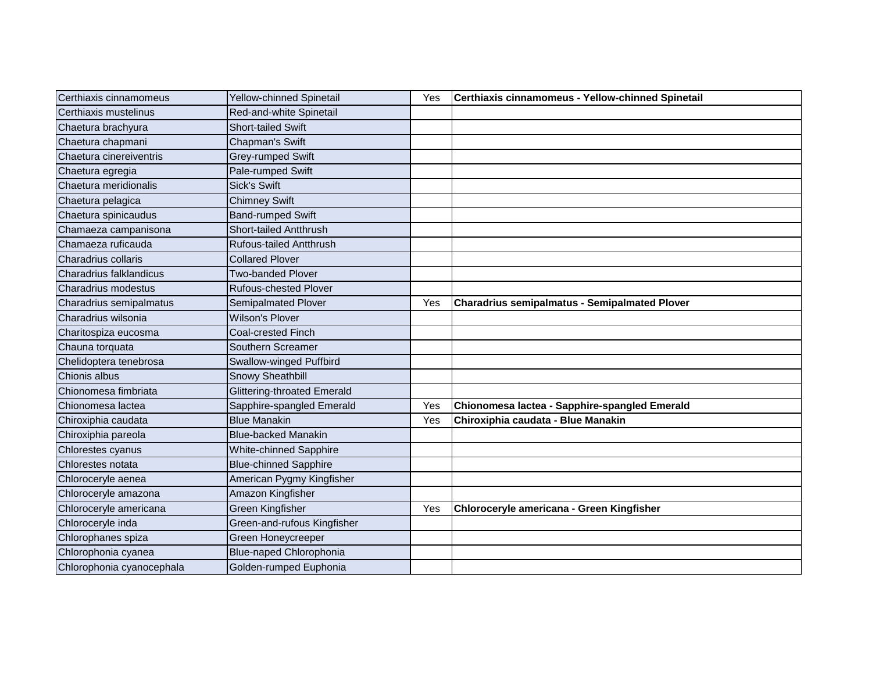| Certhiaxis cinnamomeus    | Yellow-chinned Spinetail     | Yes | Certhiaxis cinnamomeus - Yellow-chinned Spinetail    |
|---------------------------|------------------------------|-----|------------------------------------------------------|
| Certhiaxis mustelinus     | Red-and-white Spinetail      |     |                                                      |
| Chaetura brachyura        | <b>Short-tailed Swift</b>    |     |                                                      |
| Chaetura chapmani         | Chapman's Swift              |     |                                                      |
| Chaetura cinereiventris   | Grey-rumped Swift            |     |                                                      |
| Chaetura egregia          | Pale-rumped Swift            |     |                                                      |
| Chaetura meridionalis     | <b>Sick's Swift</b>          |     |                                                      |
| Chaetura pelagica         | <b>Chimney Swift</b>         |     |                                                      |
| Chaetura spinicaudus      | <b>Band-rumped Swift</b>     |     |                                                      |
| Chamaeza campanisona      | Short-tailed Antthrush       |     |                                                      |
| Chamaeza ruficauda        | Rufous-tailed Antthrush      |     |                                                      |
| Charadrius collaris       | <b>Collared Plover</b>       |     |                                                      |
| Charadrius falklandicus   | <b>Two-banded Plover</b>     |     |                                                      |
| Charadrius modestus       | <b>Rufous-chested Plover</b> |     |                                                      |
| Charadrius semipalmatus   | <b>Semipalmated Plover</b>   | Yes | <b>Charadrius semipalmatus - Semipalmated Plover</b> |
| Charadrius wilsonia       | <b>Wilson's Plover</b>       |     |                                                      |
| Charitospiza eucosma      | Coal-crested Finch           |     |                                                      |
| Chauna torquata           | Southern Screamer            |     |                                                      |
| Chelidoptera tenebrosa    | Swallow-winged Puffbird      |     |                                                      |
| Chionis albus             | Snowy Sheathbill             |     |                                                      |
| Chionomesa fimbriata      | Glittering-throated Emerald  |     |                                                      |
| Chionomesa lactea         | Sapphire-spangled Emerald    | Yes | Chionomesa lactea - Sapphire-spangled Emerald        |
| Chiroxiphia caudata       | <b>Blue Manakin</b>          | Yes | Chiroxiphia caudata - Blue Manakin                   |
| Chiroxiphia pareola       | <b>Blue-backed Manakin</b>   |     |                                                      |
| Chlorestes cyanus         | White-chinned Sapphire       |     |                                                      |
| Chlorestes notata         | <b>Blue-chinned Sapphire</b> |     |                                                      |
| Chloroceryle aenea        | American Pygmy Kingfisher    |     |                                                      |
| Chloroceryle amazona      | Amazon Kingfisher            |     |                                                      |
| Chloroceryle americana    | Green Kingfisher             | Yes | Chloroceryle americana - Green Kingfisher            |
| Chloroceryle inda         | Green-and-rufous Kingfisher  |     |                                                      |
| Chlorophanes spiza        | Green Honeycreeper           |     |                                                      |
| Chlorophonia cyanea       | Blue-naped Chlorophonia      |     |                                                      |
| Chlorophonia cyanocephala | Golden-rumped Euphonia       |     |                                                      |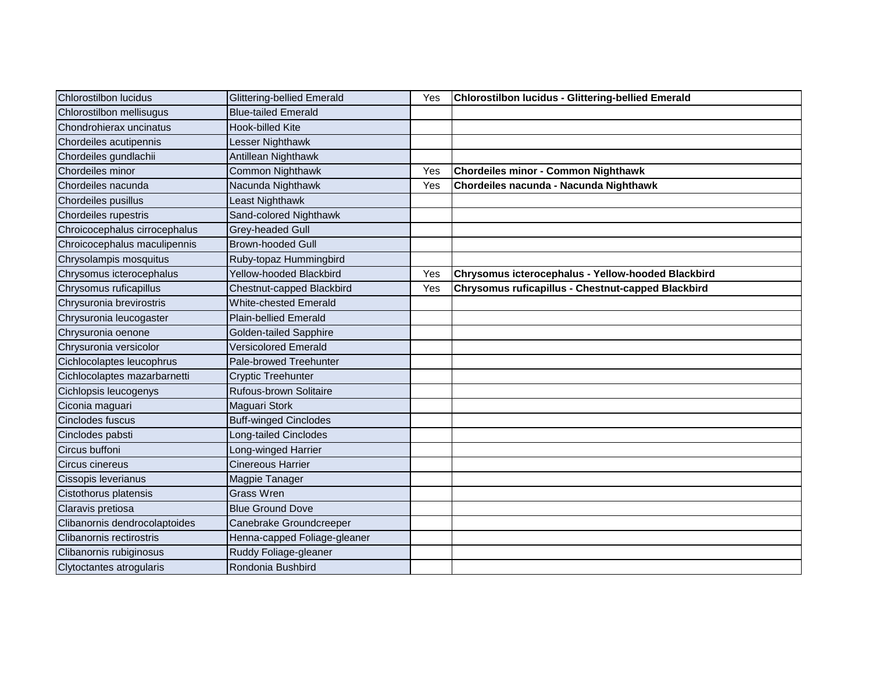| Chlorostilbon lucidus         | <b>Glittering-bellied Emerald</b> | Yes | Chlorostilbon lucidus - Glittering-bellied Emerald |
|-------------------------------|-----------------------------------|-----|----------------------------------------------------|
| Chlorostilbon mellisugus      | <b>Blue-tailed Emerald</b>        |     |                                                    |
| Chondrohierax uncinatus       | <b>Hook-billed Kite</b>           |     |                                                    |
| Chordeiles acutipennis        | Lesser Nighthawk                  |     |                                                    |
| Chordeiles gundlachii         | Antillean Nighthawk               |     |                                                    |
| Chordeiles minor              | Common Nighthawk                  | Yes | Chordeiles minor - Common Nighthawk                |
| Chordeiles nacunda            | Nacunda Nighthawk                 | Yes | Chordeiles nacunda - Nacunda Nighthawk             |
| Chordeiles pusillus           | Least Nighthawk                   |     |                                                    |
| Chordeiles rupestris          | Sand-colored Nighthawk            |     |                                                    |
| Chroicocephalus cirrocephalus | Grey-headed Gull                  |     |                                                    |
| Chroicocephalus maculipennis  | <b>Brown-hooded Gull</b>          |     |                                                    |
| Chrysolampis mosquitus        | Ruby-topaz Hummingbird            |     |                                                    |
| Chrysomus icterocephalus      | Yellow-hooded Blackbird           | Yes | Chrysomus icterocephalus - Yellow-hooded Blackbird |
| Chrysomus ruficapillus        | Chestnut-capped Blackbird         | Yes | Chrysomus ruficapillus - Chestnut-capped Blackbird |
| Chrysuronia brevirostris      | <b>White-chested Emerald</b>      |     |                                                    |
| Chrysuronia leucogaster       | <b>Plain-bellied Emerald</b>      |     |                                                    |
| Chrysuronia oenone            | <b>Golden-tailed Sapphire</b>     |     |                                                    |
| Chrysuronia versicolor        | <b>Versicolored Emerald</b>       |     |                                                    |
| Cichlocolaptes leucophrus     | Pale-browed Treehunter            |     |                                                    |
| Cichlocolaptes mazarbarnetti  | Cryptic Treehunter                |     |                                                    |
| Cichlopsis leucogenys         | Rufous-brown Solitaire            |     |                                                    |
| Ciconia maguari               | Maguari Stork                     |     |                                                    |
| Cinclodes fuscus              | <b>Buff-winged Cinclodes</b>      |     |                                                    |
| Cinclodes pabsti              | Long-tailed Cinclodes             |     |                                                    |
| Circus buffoni                | Long-winged Harrier               |     |                                                    |
| Circus cinereus               | <b>Cinereous Harrier</b>          |     |                                                    |
| Cissopis leverianus           | Magpie Tanager                    |     |                                                    |
| Cistothorus platensis         | <b>Grass Wren</b>                 |     |                                                    |
| Claravis pretiosa             | <b>Blue Ground Dove</b>           |     |                                                    |
| Clibanornis dendrocolaptoides | Canebrake Groundcreeper           |     |                                                    |
| Clibanornis rectirostris      | Henna-capped Foliage-gleaner      |     |                                                    |
| Clibanornis rubiginosus       | Ruddy Foliage-gleaner             |     |                                                    |
| Clytoctantes atrogularis      | Rondonia Bushbird                 |     |                                                    |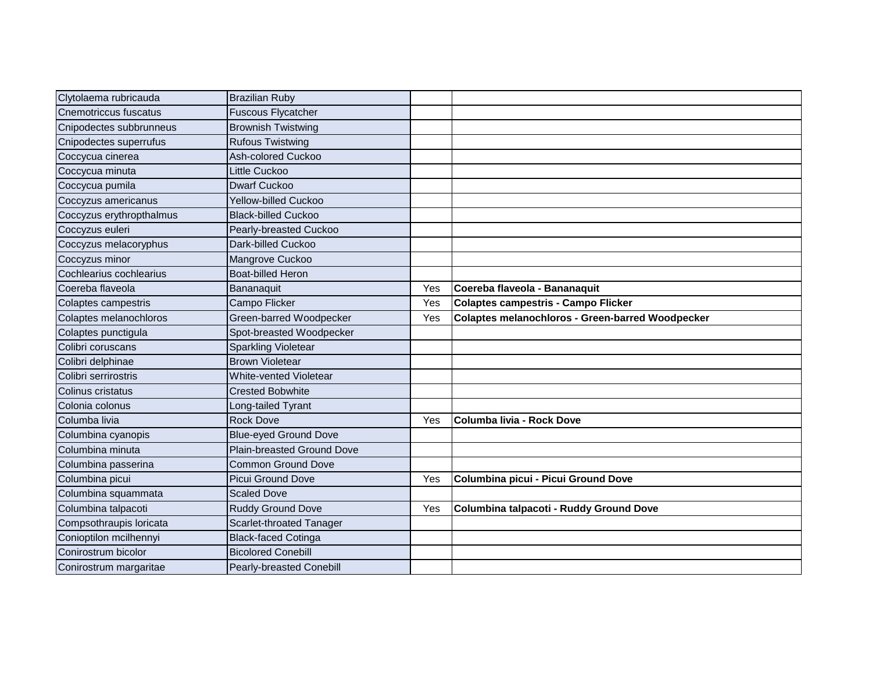| Clytolaema rubricauda    | <b>Brazilian Ruby</b>         |     |                                                         |
|--------------------------|-------------------------------|-----|---------------------------------------------------------|
| Cnemotriccus fuscatus    | <b>Fuscous Flycatcher</b>     |     |                                                         |
| Cnipodectes subbrunneus  | <b>Brownish Twistwing</b>     |     |                                                         |
| Cnipodectes superrufus   | <b>Rufous Twistwing</b>       |     |                                                         |
| Coccycua cinerea         | Ash-colored Cuckoo            |     |                                                         |
| Coccycua minuta          | Little Cuckoo                 |     |                                                         |
| Coccycua pumila          | <b>Dwarf Cuckoo</b>           |     |                                                         |
| Coccyzus americanus      | Yellow-billed Cuckoo          |     |                                                         |
| Coccyzus erythropthalmus | <b>Black-billed Cuckoo</b>    |     |                                                         |
| Coccyzus euleri          | Pearly-breasted Cuckoo        |     |                                                         |
| Coccyzus melacoryphus    | Dark-billed Cuckoo            |     |                                                         |
| Coccyzus minor           | Mangrove Cuckoo               |     |                                                         |
| Cochlearius cochlearius  | <b>Boat-billed Heron</b>      |     |                                                         |
| Coereba flaveola         | Bananaquit                    | Yes | Coereba flaveola - Bananaquit                           |
| Colaptes campestris      | Campo Flicker                 | Yes | <b>Colaptes campestris - Campo Flicker</b>              |
| Colaptes melanochloros   | Green-barred Woodpecker       | Yes | <b>Colaptes melanochloros - Green-barred Woodpecker</b> |
| Colaptes punctigula      | Spot-breasted Woodpecker      |     |                                                         |
| Colibri coruscans        | Sparkling Violetear           |     |                                                         |
| Colibri delphinae        | <b>Brown Violetear</b>        |     |                                                         |
| Colibri serrirostris     | <b>White-vented Violetear</b> |     |                                                         |
| Colinus cristatus        | <b>Crested Bobwhite</b>       |     |                                                         |
| Colonia colonus          | Long-tailed Tyrant            |     |                                                         |
| Columba livia            | <b>Rock Dove</b>              | Yes | Columba livia - Rock Dove                               |
| Columbina cyanopis       | <b>Blue-eyed Ground Dove</b>  |     |                                                         |
| Columbina minuta         | Plain-breasted Ground Dove    |     |                                                         |
| Columbina passerina      | <b>Common Ground Dove</b>     |     |                                                         |
| Columbina picui          | Picui Ground Dove             | Yes | Columbina picui - Picui Ground Dove                     |
| Columbina squammata      | <b>Scaled Dove</b>            |     |                                                         |
| Columbina talpacoti      | Ruddy Ground Dove             | Yes | Columbina talpacoti - Ruddy Ground Dove                 |
| Compsothraupis loricata  | Scarlet-throated Tanager      |     |                                                         |
| Conioptilon mcilhennyi   | <b>Black-faced Cotinga</b>    |     |                                                         |
| Conirostrum bicolor      | <b>Bicolored Conebill</b>     |     |                                                         |
| Conirostrum margaritae   | Pearly-breasted Conebill      |     |                                                         |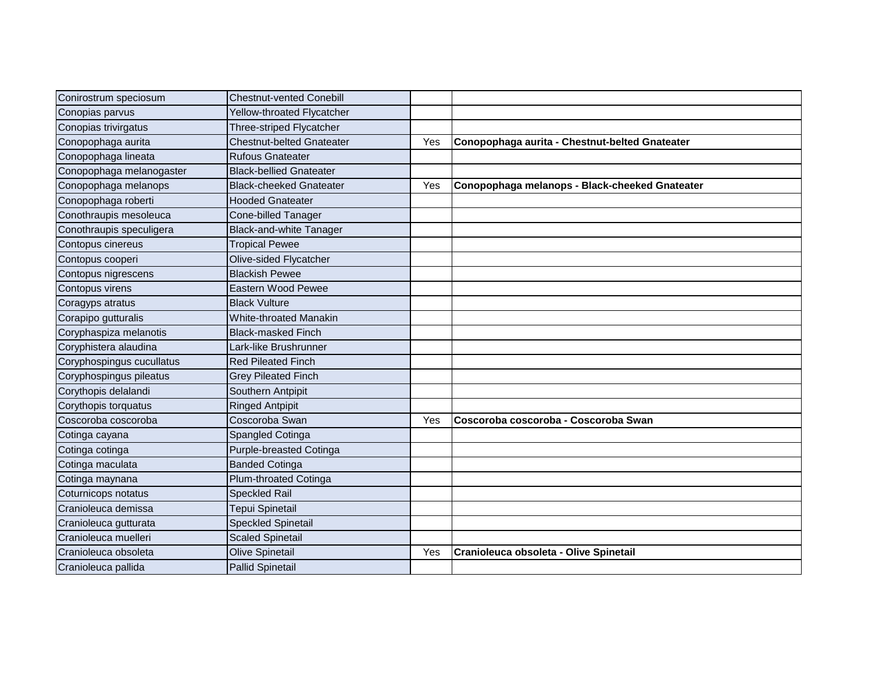| Conirostrum speciosum     | <b>Chestnut-vented Conebill</b>  |     |                                                |
|---------------------------|----------------------------------|-----|------------------------------------------------|
| Conopias parvus           | Yellow-throated Flycatcher       |     |                                                |
| Conopias trivirgatus      | Three-striped Flycatcher         |     |                                                |
| Conopophaga aurita        | <b>Chestnut-belted Gnateater</b> | Yes | Conopophaga aurita - Chestnut-belted Gnateater |
| Conopophaga lineata       | <b>Rufous Gnateater</b>          |     |                                                |
| Conopophaga melanogaster  | <b>Black-bellied Gnateater</b>   |     |                                                |
| Conopophaga melanops      | <b>Black-cheeked Gnateater</b>   | Yes | Conopophaga melanops - Black-cheeked Gnateater |
| Conopophaga roberti       | <b>Hooded Gnateater</b>          |     |                                                |
| Conothraupis mesoleuca    | Cone-billed Tanager              |     |                                                |
| Conothraupis speculigera  | <b>Black-and-white Tanager</b>   |     |                                                |
| Contopus cinereus         | <b>Tropical Pewee</b>            |     |                                                |
| Contopus cooperi          | Olive-sided Flycatcher           |     |                                                |
| Contopus nigrescens       | <b>Blackish Pewee</b>            |     |                                                |
| Contopus virens           | Eastern Wood Pewee               |     |                                                |
| Coragyps atratus          | <b>Black Vulture</b>             |     |                                                |
| Corapipo gutturalis       | White-throated Manakin           |     |                                                |
| Coryphaspiza melanotis    | <b>Black-masked Finch</b>        |     |                                                |
| Coryphistera alaudina     | Lark-like Brushrunner            |     |                                                |
| Coryphospingus cucullatus | <b>Red Pileated Finch</b>        |     |                                                |
| Coryphospingus pileatus   | <b>Grey Pileated Finch</b>       |     |                                                |
| Corythopis delalandi      | Southern Antpipit                |     |                                                |
| Corythopis torquatus      | <b>Ringed Antpipit</b>           |     |                                                |
| Coscoroba coscoroba       | Coscoroba Swan                   | Yes | Coscoroba coscoroba - Coscoroba Swan           |
| Cotinga cayana            | Spangled Cotinga                 |     |                                                |
| Cotinga cotinga           | Purple-breasted Cotinga          |     |                                                |
| Cotinga maculata          | <b>Banded Cotinga</b>            |     |                                                |
| Cotinga maynana           | Plum-throated Cotinga            |     |                                                |
| Coturnicops notatus       | <b>Speckled Rail</b>             |     |                                                |
| Cranioleuca demissa       | Tepui Spinetail                  |     |                                                |
| Cranioleuca gutturata     | Speckled Spinetail               |     |                                                |
| Cranioleuca muelleri      | <b>Scaled Spinetail</b>          |     |                                                |
| Cranioleuca obsoleta      | <b>Olive Spinetail</b>           | Yes | Cranioleuca obsoleta - Olive Spinetail         |
| Cranioleuca pallida       | Pallid Spinetail                 |     |                                                |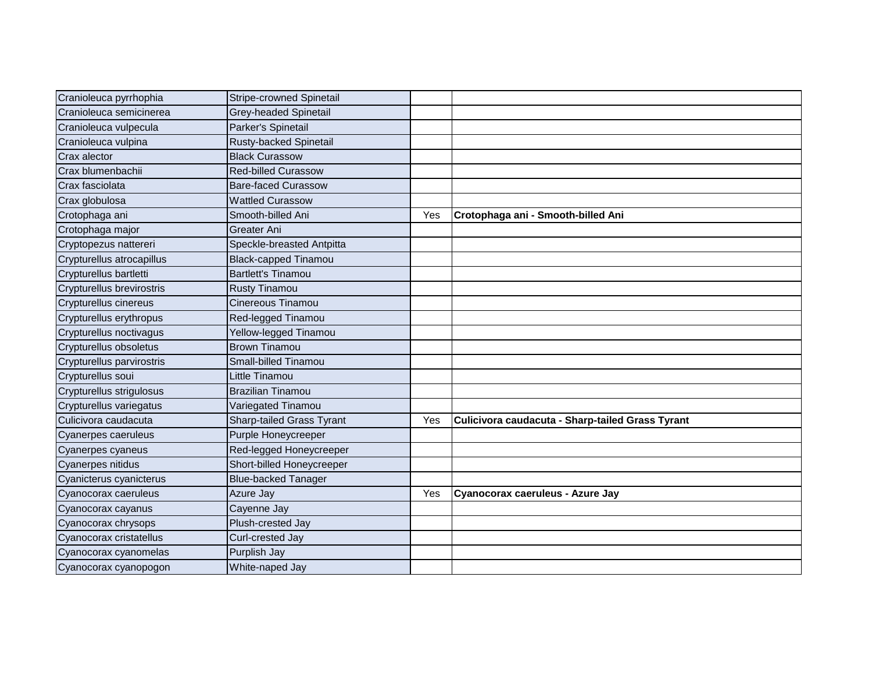| Cranioleuca pyrrhophia    | Stripe-crowned Spinetail         |     |                                                  |
|---------------------------|----------------------------------|-----|--------------------------------------------------|
| Cranioleuca semicinerea   | Grey-headed Spinetail            |     |                                                  |
| Cranioleuca vulpecula     | Parker's Spinetail               |     |                                                  |
| Cranioleuca vulpina       | Rusty-backed Spinetail           |     |                                                  |
| Crax alector              | <b>Black Curassow</b>            |     |                                                  |
| Crax blumenbachii         | <b>Red-billed Curassow</b>       |     |                                                  |
| Crax fasciolata           | <b>Bare-faced Curassow</b>       |     |                                                  |
| Crax globulosa            | <b>Wattled Curassow</b>          |     |                                                  |
| Crotophaga ani            | Smooth-billed Ani                | Yes | Crotophaga ani - Smooth-billed Ani               |
| Crotophaga major          | Greater Ani                      |     |                                                  |
| Cryptopezus nattereri     | Speckle-breasted Antpitta        |     |                                                  |
| Crypturellus atrocapillus | <b>Black-capped Tinamou</b>      |     |                                                  |
| Crypturellus bartletti    | <b>Bartlett's Tinamou</b>        |     |                                                  |
| Crypturellus brevirostris | <b>Rusty Tinamou</b>             |     |                                                  |
| Crypturellus cinereus     | Cinereous Tinamou                |     |                                                  |
| Crypturellus erythropus   | Red-legged Tinamou               |     |                                                  |
| Crypturellus noctivagus   | Yellow-legged Tinamou            |     |                                                  |
| Crypturellus obsoletus    | <b>Brown Tinamou</b>             |     |                                                  |
| Crypturellus parvirostris | Small-billed Tinamou             |     |                                                  |
| Crypturellus soui         | Little Tinamou                   |     |                                                  |
| Crypturellus strigulosus  | <b>Brazilian Tinamou</b>         |     |                                                  |
| Crypturellus variegatus   | Variegated Tinamou               |     |                                                  |
| Culicivora caudacuta      | <b>Sharp-tailed Grass Tyrant</b> | Yes | Culicivora caudacuta - Sharp-tailed Grass Tyrant |
| Cyanerpes caeruleus       | Purple Honeycreeper              |     |                                                  |
| Cyanerpes cyaneus         | Red-legged Honeycreeper          |     |                                                  |
| Cyanerpes nitidus         | Short-billed Honeycreeper        |     |                                                  |
| Cyanicterus cyanicterus   | <b>Blue-backed Tanager</b>       |     |                                                  |
| Cyanocorax caeruleus      | Azure Jay                        | Yes | Cyanocorax caeruleus - Azure Jay                 |
| Cyanocorax cayanus        | Cayenne Jay                      |     |                                                  |
| Cyanocorax chrysops       | Plush-crested Jay                |     |                                                  |
| Cyanocorax cristatellus   | Curl-crested Jay                 |     |                                                  |
| Cyanocorax cyanomelas     | Purplish Jay                     |     |                                                  |
| Cyanocorax cyanopogon     | White-naped Jay                  |     |                                                  |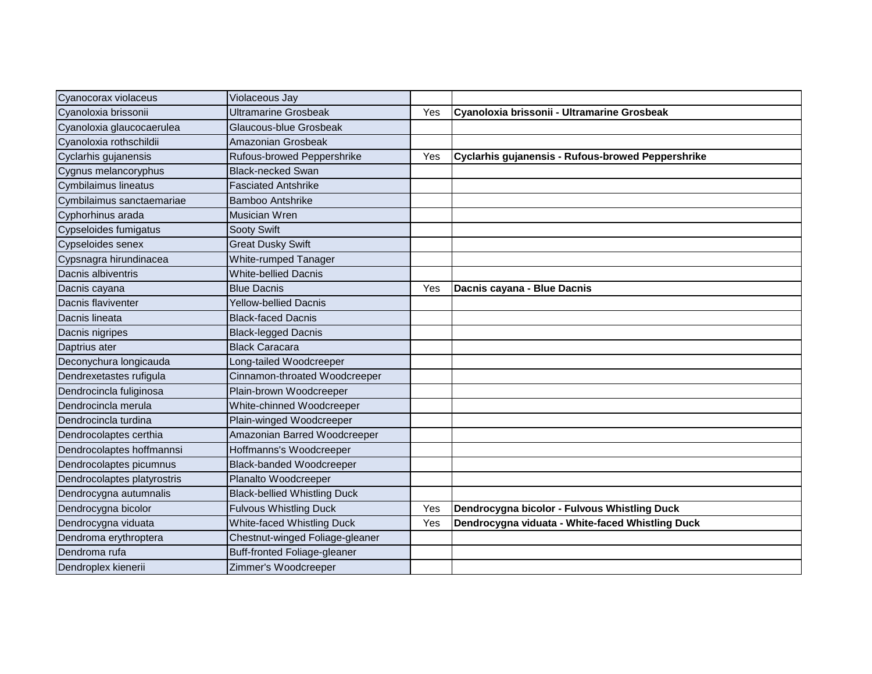| Cyanocorax violaceus        | Violaceous Jay                      |     |                                                   |
|-----------------------------|-------------------------------------|-----|---------------------------------------------------|
| Cyanoloxia brissonii        | <b>Ultramarine Grosbeak</b>         | Yes | Cyanoloxia brissonii - Ultramarine Grosbeak       |
| Cyanoloxia glaucocaerulea   | Glaucous-blue Grosbeak              |     |                                                   |
| Cyanoloxia rothschildii     | Amazonian Grosbeak                  |     |                                                   |
| Cyclarhis gujanensis        | Rufous-browed Peppershrike          | Yes | Cyclarhis gujanensis - Rufous-browed Peppershrike |
| Cygnus melancoryphus        | <b>Black-necked Swan</b>            |     |                                                   |
| Cymbilaimus lineatus        | <b>Fasciated Antshrike</b>          |     |                                                   |
| Cymbilaimus sanctaemariae   | <b>Bamboo Antshrike</b>             |     |                                                   |
| Cyphorhinus arada           | <b>Musician Wren</b>                |     |                                                   |
| Cypseloides fumigatus       | Sooty Swift                         |     |                                                   |
| Cypseloides senex           | <b>Great Dusky Swift</b>            |     |                                                   |
| Cypsnagra hirundinacea      | White-rumped Tanager                |     |                                                   |
| Dacnis albiventris          | <b>White-bellied Dacnis</b>         |     |                                                   |
| Dacnis cayana               | <b>Blue Dacnis</b>                  | Yes | Dacnis cayana - Blue Dacnis                       |
| Dacnis flaviventer          | <b>Yellow-bellied Dacnis</b>        |     |                                                   |
| Dacnis lineata              | <b>Black-faced Dacnis</b>           |     |                                                   |
| Dacnis nigripes             | <b>Black-legged Dacnis</b>          |     |                                                   |
| Daptrius ater               | <b>Black Caracara</b>               |     |                                                   |
| Deconychura longicauda      | Long-tailed Woodcreeper             |     |                                                   |
| Dendrexetastes rufigula     | Cinnamon-throated Woodcreeper       |     |                                                   |
| Dendrocincla fuliginosa     | Plain-brown Woodcreeper             |     |                                                   |
| Dendrocincla merula         | White-chinned Woodcreeper           |     |                                                   |
| Dendrocincla turdina        | Plain-winged Woodcreeper            |     |                                                   |
| Dendrocolaptes certhia      | Amazonian Barred Woodcreeper        |     |                                                   |
| Dendrocolaptes hoffmannsi   | Hoffmanns's Woodcreeper             |     |                                                   |
| Dendrocolaptes picumnus     | <b>Black-banded Woodcreeper</b>     |     |                                                   |
| Dendrocolaptes platyrostris | Planalto Woodcreeper                |     |                                                   |
| Dendrocygna autumnalis      | <b>Black-bellied Whistling Duck</b> |     |                                                   |
| Dendrocygna bicolor         | <b>Fulvous Whistling Duck</b>       | Yes | Dendrocygna bicolor - Fulvous Whistling Duck      |
| Dendrocygna viduata         | <b>White-faced Whistling Duck</b>   | Yes | Dendrocygna viduata - White-faced Whistling Duck  |
| Dendroma erythroptera       | Chestnut-winged Foliage-gleaner     |     |                                                   |
| Dendroma rufa               | <b>Buff-fronted Foliage-gleaner</b> |     |                                                   |
| Dendroplex kienerii         | Zimmer's Woodcreeper                |     |                                                   |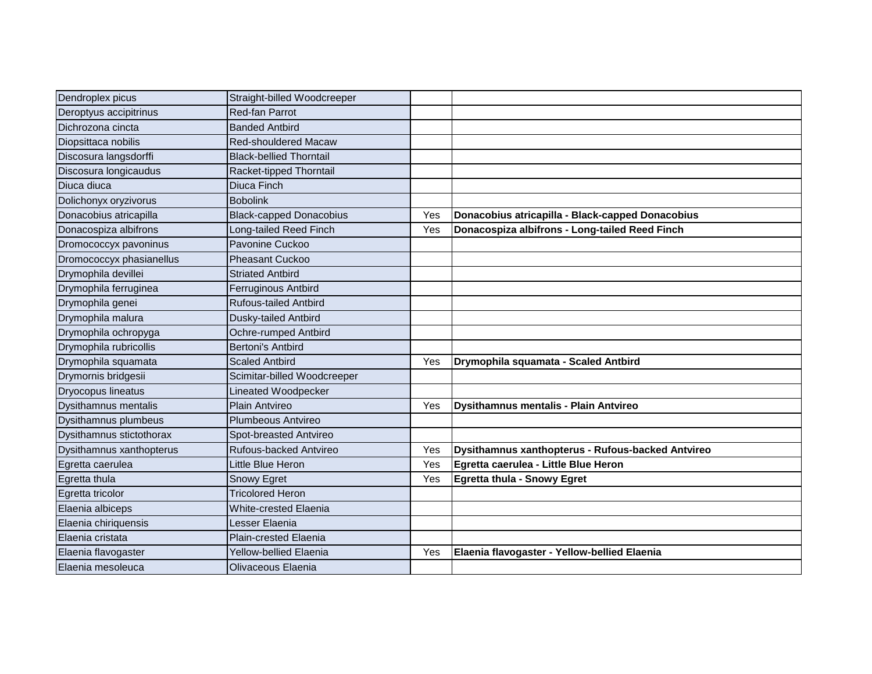| Dendroplex picus            | Straight-billed Woodcreeper    |     |                                                   |
|-----------------------------|--------------------------------|-----|---------------------------------------------------|
| Deroptyus accipitrinus      | Red-fan Parrot                 |     |                                                   |
| Dichrozona cincta           | <b>Banded Antbird</b>          |     |                                                   |
| Diopsittaca nobilis         | <b>Red-shouldered Macaw</b>    |     |                                                   |
| Discosura langsdorffi       | <b>Black-bellied Thorntail</b> |     |                                                   |
| Discosura longicaudus       | Racket-tipped Thorntail        |     |                                                   |
| Diuca diuca                 | Diuca Finch                    |     |                                                   |
| Dolichonyx oryzivorus       | <b>Bobolink</b>                |     |                                                   |
| Donacobius atricapilla      | <b>Black-capped Donacobius</b> | Yes | Donacobius atricapilla - Black-capped Donacobius  |
| Donacospiza albifrons       | Long-tailed Reed Finch         | Yes | Donacospiza albifrons - Long-tailed Reed Finch    |
| Dromococcyx pavoninus       | Pavonine Cuckoo                |     |                                                   |
| Dromococcyx phasianellus    | <b>Pheasant Cuckoo</b>         |     |                                                   |
| Drymophila devillei         | <b>Striated Antbird</b>        |     |                                                   |
| Drymophila ferruginea       | Ferruginous Antbird            |     |                                                   |
| Drymophila genei            | <b>Rufous-tailed Antbird</b>   |     |                                                   |
| Drymophila malura           | Dusky-tailed Antbird           |     |                                                   |
| Drymophila ochropyga        | Ochre-rumped Antbird           |     |                                                   |
| Drymophila rubricollis      | <b>Bertoni's Antbird</b>       |     |                                                   |
| Drymophila squamata         | <b>Scaled Antbird</b>          | Yes | Drymophila squamata - Scaled Antbird              |
| Drymornis bridgesii         | Scimitar-billed Woodcreeper    |     |                                                   |
| <b>Dryocopus lineatus</b>   | Lineated Woodpecker            |     |                                                   |
| <b>Dysithamnus mentalis</b> | Plain Antvireo                 | Yes | <b>Dysithamnus mentalis - Plain Antvireo</b>      |
| Dysithamnus plumbeus        | Plumbeous Antvireo             |     |                                                   |
| Dysithamnus stictothorax    | Spot-breasted Antvireo         |     |                                                   |
| Dysithamnus xanthopterus    | Rufous-backed Antvireo         | Yes | Dysithamnus xanthopterus - Rufous-backed Antvireo |
| Egretta caerulea            | Little Blue Heron              | Yes | Egretta caerulea - Little Blue Heron              |
| Egretta thula               | Snowy Egret                    | Yes | Egretta thula - Snowy Egret                       |
| Egretta tricolor            | <b>Tricolored Heron</b>        |     |                                                   |
| Elaenia albiceps            | <b>White-crested Elaenia</b>   |     |                                                   |
| Elaenia chiriquensis        | Lesser Elaenia                 |     |                                                   |
| Elaenia cristata            | <b>Plain-crested Elaenia</b>   |     |                                                   |
| Elaenia flavogaster         | <b>Yellow-bellied Elaenia</b>  | Yes | Elaenia flavogaster - Yellow-bellied Elaenia      |
| Elaenia mesoleuca           | Olivaceous Elaenia             |     |                                                   |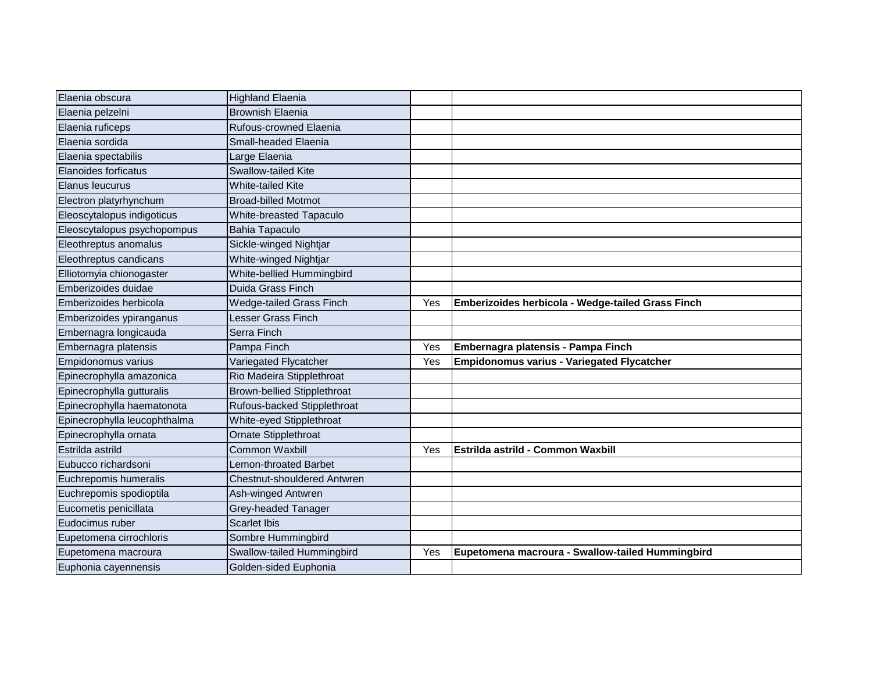| Elaenia obscura              | <b>Highland Elaenia</b>            |     |                                                   |
|------------------------------|------------------------------------|-----|---------------------------------------------------|
| Elaenia pelzelni             | <b>Brownish Elaenia</b>            |     |                                                   |
|                              |                                    |     |                                                   |
| Elaenia ruficeps             | Rufous-crowned Elaenia             |     |                                                   |
| Elaenia sordida              | Small-headed Elaenia               |     |                                                   |
| Elaenia spectabilis          | Large Elaenia                      |     |                                                   |
| Elanoides forficatus         | <b>Swallow-tailed Kite</b>         |     |                                                   |
| Elanus leucurus              | <b>White-tailed Kite</b>           |     |                                                   |
| Electron platyrhynchum       | <b>Broad-billed Motmot</b>         |     |                                                   |
| Eleoscytalopus indigoticus   | White-breasted Tapaculo            |     |                                                   |
| Eleoscytalopus psychopompus  | Bahia Tapaculo                     |     |                                                   |
| Eleothreptus anomalus        | Sickle-winged Nightjar             |     |                                                   |
| Eleothreptus candicans       | White-winged Nightjar              |     |                                                   |
| Elliotomyia chionogaster     | White-bellied Hummingbird          |     |                                                   |
| Emberizoides duidae          | Duida Grass Finch                  |     |                                                   |
| Emberizoides herbicola       | <b>Wedge-tailed Grass Finch</b>    | Yes | Emberizoides herbicola - Wedge-tailed Grass Finch |
| Emberizoides ypiranganus     | Lesser Grass Finch                 |     |                                                   |
| Embernagra longicauda        | Serra Finch                        |     |                                                   |
| Embernagra platensis         | Pampa Finch                        | Yes | Embernagra platensis - Pampa Finch                |
| Empidonomus varius           | Variegated Flycatcher              | Yes | <b>Empidonomus varius - Variegated Flycatcher</b> |
| Epinecrophylla amazonica     | Rio Madeira Stipplethroat          |     |                                                   |
| Epinecrophylla gutturalis    | <b>Brown-bellied Stipplethroat</b> |     |                                                   |
| Epinecrophylla haematonota   | Rufous-backed Stipplethroat        |     |                                                   |
| Epinecrophylla leucophthalma | White-eyed Stipplethroat           |     |                                                   |
| Epinecrophylla ornata        | Ornate Stipplethroat               |     |                                                   |
| Estrilda astrild             | <b>Common Waxbill</b>              | Yes | <b>Estrilda astrild - Common Waxbill</b>          |
| Eubucco richardsoni          | Lemon-throated Barbet              |     |                                                   |
| Euchrepomis humeralis        | Chestnut-shouldered Antwren        |     |                                                   |
| Euchrepomis spodioptila      | Ash-winged Antwren                 |     |                                                   |
| Eucometis penicillata        | Grey-headed Tanager                |     |                                                   |
| Eudocimus ruber              | <b>Scarlet Ibis</b>                |     |                                                   |
| Eupetomena cirrochloris      | Sombre Hummingbird                 |     |                                                   |
| Eupetomena macroura          | Swallow-tailed Hummingbird         | Yes | Eupetomena macroura - Swallow-tailed Hummingbird  |
| Euphonia cayennensis         | Golden-sided Euphonia              |     |                                                   |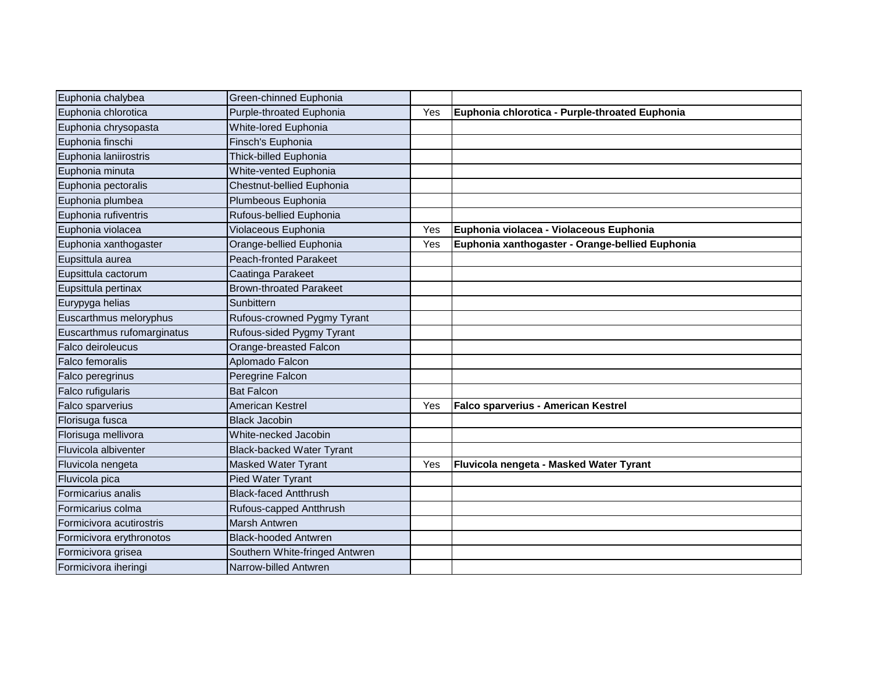| Euphonia chalybea          | Green-chinned Euphonia           |     |                                                 |
|----------------------------|----------------------------------|-----|-------------------------------------------------|
| Euphonia chlorotica        | Purple-throated Euphonia         | Yes | Euphonia chlorotica - Purple-throated Euphonia  |
| Euphonia chrysopasta       | White-lored Euphonia             |     |                                                 |
| Euphonia finschi           | Finsch's Euphonia                |     |                                                 |
| Euphonia laniirostris      | Thick-billed Euphonia            |     |                                                 |
| Euphonia minuta            | White-vented Euphonia            |     |                                                 |
| Euphonia pectoralis        | Chestnut-bellied Euphonia        |     |                                                 |
| Euphonia plumbea           | Plumbeous Euphonia               |     |                                                 |
| Euphonia rufiventris       | Rufous-bellied Euphonia          |     |                                                 |
| Euphonia violacea          | Violaceous Euphonia              | Yes | Euphonia violacea - Violaceous Euphonia         |
| Euphonia xanthogaster      | Orange-bellied Euphonia          | Yes | Euphonia xanthogaster - Orange-bellied Euphonia |
| Eupsittula aurea           | <b>Peach-fronted Parakeet</b>    |     |                                                 |
| Eupsittula cactorum        | Caatinga Parakeet                |     |                                                 |
| Eupsittula pertinax        | <b>Brown-throated Parakeet</b>   |     |                                                 |
| Eurypyga helias            | Sunbittern                       |     |                                                 |
| Euscarthmus meloryphus     | Rufous-crowned Pygmy Tyrant      |     |                                                 |
| Euscarthmus rufomarginatus | Rufous-sided Pygmy Tyrant        |     |                                                 |
| Falco deiroleucus          | Orange-breasted Falcon           |     |                                                 |
| Falco femoralis            | Aplomado Falcon                  |     |                                                 |
| Falco peregrinus           | Peregrine Falcon                 |     |                                                 |
| Falco rufigularis          | <b>Bat Falcon</b>                |     |                                                 |
| Falco sparverius           | <b>American Kestrel</b>          | Yes | Falco sparverius - American Kestrel             |
| Florisuga fusca            | <b>Black Jacobin</b>             |     |                                                 |
| Florisuga mellivora        | White-necked Jacobin             |     |                                                 |
| Fluvicola albiventer       | <b>Black-backed Water Tyrant</b> |     |                                                 |
| Fluvicola nengeta          | <b>Masked Water Tyrant</b>       | Yes | Fluvicola nengeta - Masked Water Tyrant         |
| Fluvicola pica             | <b>Pied Water Tyrant</b>         |     |                                                 |
| Formicarius analis         | <b>Black-faced Antthrush</b>     |     |                                                 |
| Formicarius colma          | Rufous-capped Antthrush          |     |                                                 |
| Formicivora acutirostris   | Marsh Antwren                    |     |                                                 |
| Formicivora erythronotos   | <b>Black-hooded Antwren</b>      |     |                                                 |
| Formicivora grisea         | Southern White-fringed Antwren   |     |                                                 |
| Formicivora iheringi       | Narrow-billed Antwren            |     |                                                 |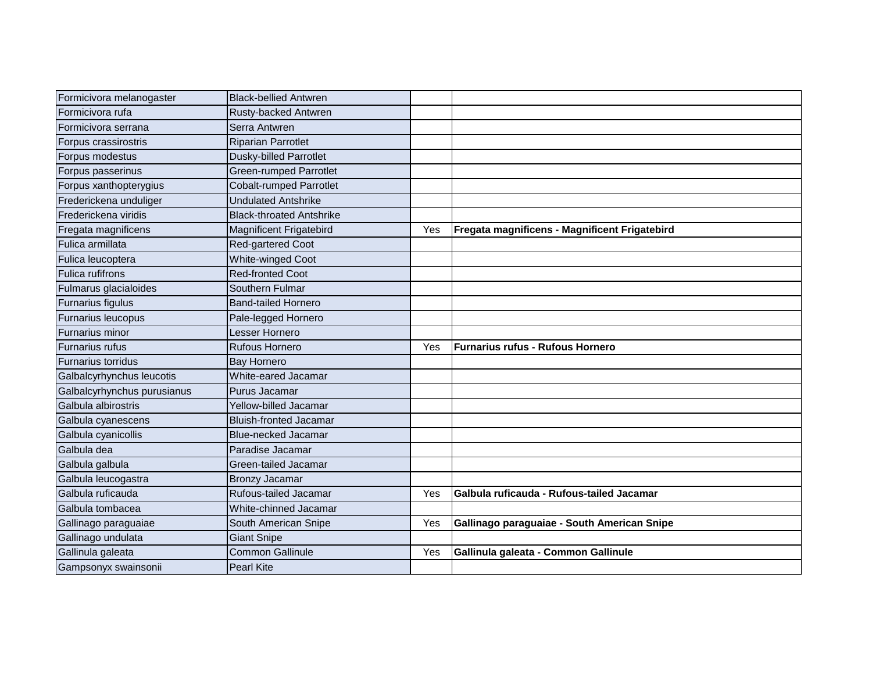| Formicivora melanogaster    | <b>Black-bellied Antwren</b>    |     |                                               |
|-----------------------------|---------------------------------|-----|-----------------------------------------------|
| Formicivora rufa            | Rusty-backed Antwren            |     |                                               |
| Formicivora serrana         | Serra Antwren                   |     |                                               |
| Forpus crassirostris        | <b>Riparian Parrotlet</b>       |     |                                               |
| Forpus modestus             | <b>Dusky-billed Parrotlet</b>   |     |                                               |
| Forpus passerinus           | <b>Green-rumped Parrotlet</b>   |     |                                               |
| Forpus xanthopterygius      | <b>Cobalt-rumped Parrotlet</b>  |     |                                               |
| Frederickena unduliger      | <b>Undulated Antshrike</b>      |     |                                               |
| Frederickena viridis        | <b>Black-throated Antshrike</b> |     |                                               |
| Fregata magnificens         | <b>Magnificent Frigatebird</b>  | Yes | Fregata magnificens - Magnificent Frigatebird |
| Fulica armillata            | Red-gartered Coot               |     |                                               |
| Fulica leucoptera           | White-winged Coot               |     |                                               |
| <b>Fulica rufifrons</b>     | <b>Red-fronted Coot</b>         |     |                                               |
| Fulmarus glacialoides       | Southern Fulmar                 |     |                                               |
| Furnarius figulus           | <b>Band-tailed Hornero</b>      |     |                                               |
| Furnarius leucopus          | Pale-legged Hornero             |     |                                               |
| Furnarius minor             | Lesser Hornero                  |     |                                               |
| <b>Furnarius rufus</b>      | <b>Rufous Hornero</b>           | Yes | Furnarius rufus - Rufous Hornero              |
| Furnarius torridus          | <b>Bay Hornero</b>              |     |                                               |
| Galbalcyrhynchus leucotis   | White-eared Jacamar             |     |                                               |
| Galbalcyrhynchus purusianus | Purus Jacamar                   |     |                                               |
| Galbula albirostris         | Yellow-billed Jacamar           |     |                                               |
| Galbula cyanescens          | <b>Bluish-fronted Jacamar</b>   |     |                                               |
| Galbula cyanicollis         | <b>Blue-necked Jacamar</b>      |     |                                               |
| Galbula dea                 | Paradise Jacamar                |     |                                               |
| Galbula galbula             | Green-tailed Jacamar            |     |                                               |
| Galbula leucogastra         | <b>Bronzy Jacamar</b>           |     |                                               |
| Galbula ruficauda           | Rufous-tailed Jacamar           | Yes | Galbula ruficauda - Rufous-tailed Jacamar     |
| Galbula tombacea            | White-chinned Jacamar           |     |                                               |
| Gallinago paraguaiae        | South American Snipe            | Yes | Gallinago paraguaiae - South American Snipe   |
| Gallinago undulata          | <b>Giant Snipe</b>              |     |                                               |
| Gallinula galeata           | <b>Common Gallinule</b>         | Yes | Gallinula galeata - Common Gallinule          |
| Gampsonyx swainsonii        | Pearl Kite                      |     |                                               |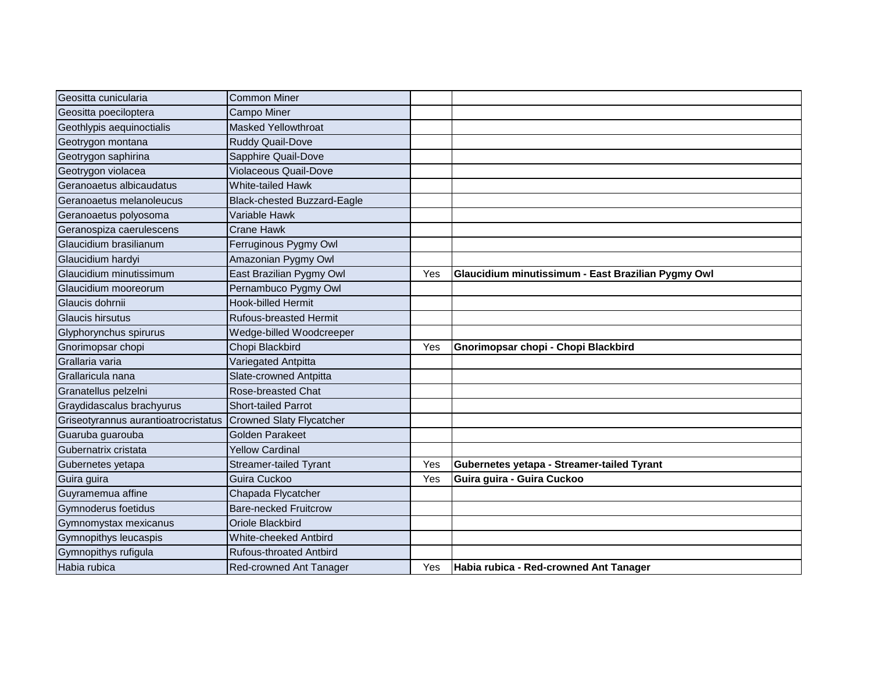| Geositta cunicularia                 | <b>Common Miner</b>                |     |                                                    |
|--------------------------------------|------------------------------------|-----|----------------------------------------------------|
| Geositta poeciloptera                | <b>Campo Miner</b>                 |     |                                                    |
| Geothlypis aequinoctialis            | <b>Masked Yellowthroat</b>         |     |                                                    |
| Geotrygon montana                    | <b>Ruddy Quail-Dove</b>            |     |                                                    |
| Geotrygon saphirina                  | Sapphire Quail-Dove                |     |                                                    |
| Geotrygon violacea                   | <b>Violaceous Quail-Dove</b>       |     |                                                    |
| Geranoaetus albicaudatus             | White-tailed Hawk                  |     |                                                    |
| Geranoaetus melanoleucus             | <b>Black-chested Buzzard-Eagle</b> |     |                                                    |
| Geranoaetus polyosoma                | Variable Hawk                      |     |                                                    |
| Geranospiza caerulescens             | <b>Crane Hawk</b>                  |     |                                                    |
| Glaucidium brasilianum               | Ferruginous Pygmy Owl              |     |                                                    |
| Glaucidium hardyi                    | Amazonian Pygmy Owl                |     |                                                    |
| Glaucidium minutissimum              | East Brazilian Pygmy Owl           | Yes | Glaucidium minutissimum - East Brazilian Pygmy Owl |
| Glaucidium mooreorum                 | Pernambuco Pygmy Owl               |     |                                                    |
| Glaucis dohrnii                      | <b>Hook-billed Hermit</b>          |     |                                                    |
| Glaucis hirsutus                     | <b>Rufous-breasted Hermit</b>      |     |                                                    |
| Glyphorynchus spirurus               | Wedge-billed Woodcreeper           |     |                                                    |
| Gnorimopsar chopi                    | Chopi Blackbird                    | Yes | Gnorimopsar chopi - Chopi Blackbird                |
| Grallaria varia                      | Variegated Antpitta                |     |                                                    |
| Grallaricula nana                    | Slate-crowned Antpitta             |     |                                                    |
| Granatellus pelzelni                 | Rose-breasted Chat                 |     |                                                    |
| Graydidascalus brachyurus            | <b>Short-tailed Parrot</b>         |     |                                                    |
| Griseotyrannus aurantioatrocristatus | <b>Crowned Slaty Flycatcher</b>    |     |                                                    |
| Guaruba guarouba                     | <b>Golden Parakeet</b>             |     |                                                    |
| Gubernatrix cristata                 | <b>Yellow Cardinal</b>             |     |                                                    |
| Gubernetes yetapa                    | <b>Streamer-tailed Tyrant</b>      | Yes | Gubernetes yetapa - Streamer-tailed Tyrant         |
| Guira guira                          | Guira Cuckoo                       | Yes | Guira guira - Guira Cuckoo                         |
| Guyramemua affine                    | Chapada Flycatcher                 |     |                                                    |
| Gymnoderus foetidus                  | <b>Bare-necked Fruitcrow</b>       |     |                                                    |
| Gymnomystax mexicanus                | Oriole Blackbird                   |     |                                                    |
| Gymnopithys leucaspis                | White-cheeked Antbird              |     |                                                    |
| Gymnopithys rufigula                 | <b>Rufous-throated Antbird</b>     |     |                                                    |
| Habia rubica                         | Red-crowned Ant Tanager            | Yes | Habia rubica - Red-crowned Ant Tanager             |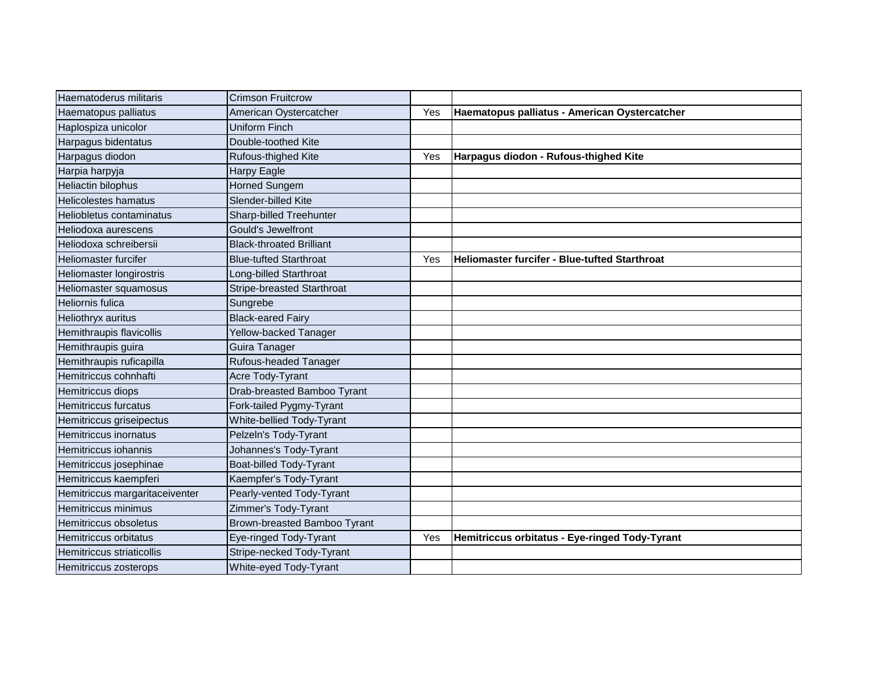| Haematoderus militaris         | <b>Crimson Fruitcrow</b>        |     |                                                |
|--------------------------------|---------------------------------|-----|------------------------------------------------|
| Haematopus palliatus           | American Oystercatcher          | Yes | Haematopus palliatus - American Oystercatcher  |
| Haplospiza unicolor            | <b>Uniform Finch</b>            |     |                                                |
| Harpagus bidentatus            | Double-toothed Kite             |     |                                                |
| Harpagus diodon                | Rufous-thighed Kite             | Yes | Harpagus diodon - Rufous-thighed Kite          |
| Harpia harpyja                 | <b>Harpy Eagle</b>              |     |                                                |
| Heliactin bilophus             | <b>Horned Sungem</b>            |     |                                                |
| Helicolestes hamatus           | Slender-billed Kite             |     |                                                |
| Heliobletus contaminatus       | Sharp-billed Treehunter         |     |                                                |
| Heliodoxa aurescens            | <b>Gould's Jewelfront</b>       |     |                                                |
| Heliodoxa schreibersii         | <b>Black-throated Brilliant</b> |     |                                                |
| Heliomaster furcifer           | <b>Blue-tufted Starthroat</b>   | Yes | Heliomaster furcifer - Blue-tufted Starthroat  |
| Heliomaster longirostris       | Long-billed Starthroat          |     |                                                |
| Heliomaster squamosus          | Stripe-breasted Starthroat      |     |                                                |
| Heliornis fulica               | Sungrebe                        |     |                                                |
| Heliothryx auritus             | <b>Black-eared Fairy</b>        |     |                                                |
| Hemithraupis flavicollis       | Yellow-backed Tanager           |     |                                                |
| Hemithraupis guira             | Guira Tanager                   |     |                                                |
| Hemithraupis ruficapilla       | Rufous-headed Tanager           |     |                                                |
| Hemitriccus cohnhafti          | Acre Tody-Tyrant                |     |                                                |
| Hemitriccus diops              | Drab-breasted Bamboo Tyrant     |     |                                                |
| Hemitriccus furcatus           | Fork-tailed Pygmy-Tyrant        |     |                                                |
| Hemitriccus griseipectus       | White-bellied Tody-Tyrant       |     |                                                |
| <b>Hemitriccus inornatus</b>   | Pelzeln's Tody-Tyrant           |     |                                                |
| Hemitriccus iohannis           | Johannes's Tody-Tyrant          |     |                                                |
| Hemitriccus josephinae         | Boat-billed Tody-Tyrant         |     |                                                |
| Hemitriccus kaempferi          | Kaempfer's Tody-Tyrant          |     |                                                |
| Hemitriccus margaritaceiventer | Pearly-vented Tody-Tyrant       |     |                                                |
| Hemitriccus minimus            | Zimmer's Tody-Tyrant            |     |                                                |
| Hemitriccus obsoletus          | Brown-breasted Bamboo Tyrant    |     |                                                |
| Hemitriccus orbitatus          | Eye-ringed Tody-Tyrant          | Yes | Hemitriccus orbitatus - Eye-ringed Tody-Tyrant |
| Hemitriccus striaticollis      | Stripe-necked Tody-Tyrant       |     |                                                |
| Hemitriccus zosterops          | White-eyed Tody-Tyrant          |     |                                                |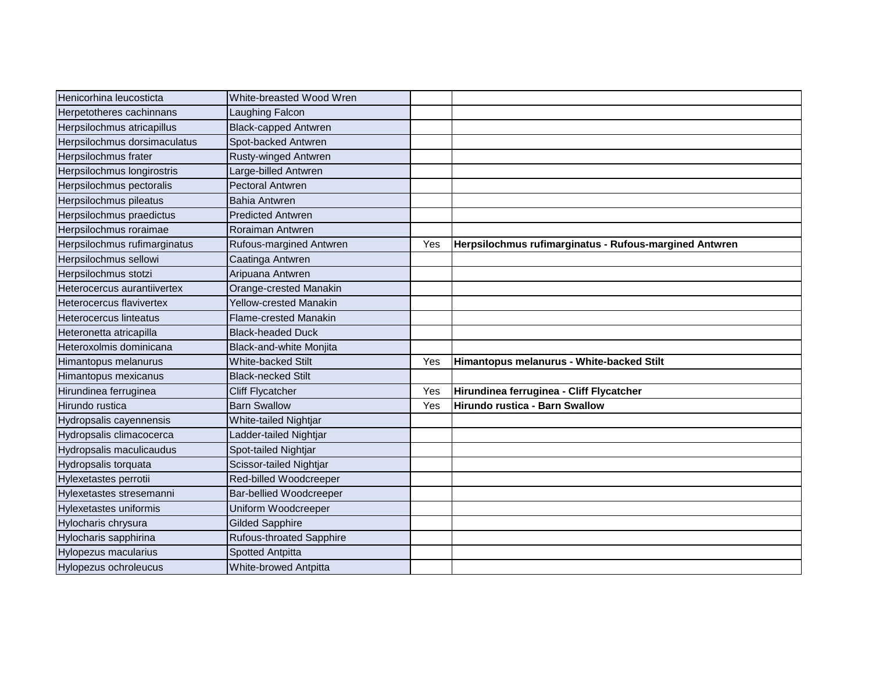| Henicorhina leucosticta       | White-breasted Wood Wren        |     |                                                        |
|-------------------------------|---------------------------------|-----|--------------------------------------------------------|
| Herpetotheres cachinnans      | Laughing Falcon                 |     |                                                        |
| Herpsilochmus atricapillus    | <b>Black-capped Antwren</b>     |     |                                                        |
| Herpsilochmus dorsimaculatus  | Spot-backed Antwren             |     |                                                        |
| Herpsilochmus frater          | Rusty-winged Antwren            |     |                                                        |
| Herpsilochmus longirostris    | Large-billed Antwren            |     |                                                        |
| Herpsilochmus pectoralis      | <b>Pectoral Antwren</b>         |     |                                                        |
| Herpsilochmus pileatus        | <b>Bahia Antwren</b>            |     |                                                        |
| Herpsilochmus praedictus      | <b>Predicted Antwren</b>        |     |                                                        |
| Herpsilochmus roraimae        | Roraiman Antwren                |     |                                                        |
| Herpsilochmus rufimarginatus  | Rufous-margined Antwren         | Yes | Herpsilochmus rufimarginatus - Rufous-margined Antwren |
| Herpsilochmus sellowi         | Caatinga Antwren                |     |                                                        |
| Herpsilochmus stotzi          | Aripuana Antwren                |     |                                                        |
| Heterocercus aurantiivertex   | Orange-crested Manakin          |     |                                                        |
| Heterocercus flavivertex      | <b>Yellow-crested Manakin</b>   |     |                                                        |
| Heterocercus linteatus        | <b>Flame-crested Manakin</b>    |     |                                                        |
| Heteronetta atricapilla       | <b>Black-headed Duck</b>        |     |                                                        |
| Heteroxolmis dominicana       | Black-and-white Monjita         |     |                                                        |
| Himantopus melanurus          | <b>White-backed Stilt</b>       | Yes | Himantopus melanurus - White-backed Stilt              |
| Himantopus mexicanus          | <b>Black-necked Stilt</b>       |     |                                                        |
| Hirundinea ferruginea         | <b>Cliff Flycatcher</b>         | Yes | Hirundinea ferruginea - Cliff Flycatcher               |
| Hirundo rustica               | <b>Barn Swallow</b>             | Yes | Hirundo rustica - Barn Swallow                         |
| Hydropsalis cayennensis       | White-tailed Nightjar           |     |                                                        |
| Hydropsalis climacocerca      | Ladder-tailed Nightjar          |     |                                                        |
| Hydropsalis maculicaudus      | Spot-tailed Nightjar            |     |                                                        |
| Hydropsalis torquata          | Scissor-tailed Nightjar         |     |                                                        |
| Hylexetastes perrotii         | Red-billed Woodcreeper          |     |                                                        |
| Hylexetastes stresemanni      | <b>Bar-bellied Woodcreeper</b>  |     |                                                        |
| <b>Hylexetastes uniformis</b> | Uniform Woodcreeper             |     |                                                        |
| Hylocharis chrysura           | <b>Gilded Sapphire</b>          |     |                                                        |
| Hylocharis sapphirina         | <b>Rufous-throated Sapphire</b> |     |                                                        |
| Hylopezus macularius          | <b>Spotted Antpitta</b>         |     |                                                        |
| Hylopezus ochroleucus         | <b>White-browed Antpitta</b>    |     |                                                        |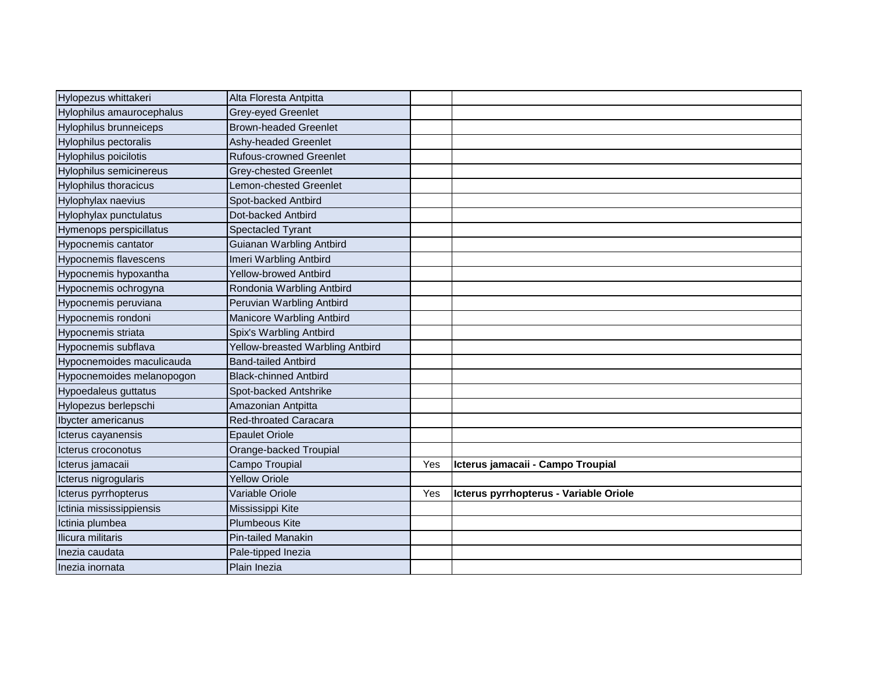| Hylopezus whittakeri           | Alta Floresta Antpitta           |     |                                        |
|--------------------------------|----------------------------------|-----|----------------------------------------|
| Hylophilus amaurocephalus      | Grey-eyed Greenlet               |     |                                        |
| <b>Hylophilus brunneiceps</b>  | <b>Brown-headed Greenlet</b>     |     |                                        |
| <b>Hylophilus pectoralis</b>   | Ashy-headed Greenlet             |     |                                        |
| Hylophilus poicilotis          | <b>Rufous-crowned Greenlet</b>   |     |                                        |
| <b>Hylophilus semicinereus</b> | <b>Grey-chested Greenlet</b>     |     |                                        |
| <b>Hylophilus thoracicus</b>   | Lemon-chested Greenlet           |     |                                        |
| Hylophylax naevius             | Spot-backed Antbird              |     |                                        |
| Hylophylax punctulatus         | Dot-backed Antbird               |     |                                        |
| Hymenops perspicillatus        | <b>Spectacled Tyrant</b>         |     |                                        |
| Hypocnemis cantator            | Guianan Warbling Antbird         |     |                                        |
| Hypocnemis flavescens          | Imeri Warbling Antbird           |     |                                        |
| Hypocnemis hypoxantha          | <b>Yellow-browed Antbird</b>     |     |                                        |
| Hypocnemis ochrogyna           | Rondonia Warbling Antbird        |     |                                        |
| Hypocnemis peruviana           | Peruvian Warbling Antbird        |     |                                        |
| Hypocnemis rondoni             | Manicore Warbling Antbird        |     |                                        |
| Hypocnemis striata             | Spix's Warbling Antbird          |     |                                        |
| Hypocnemis subflava            | Yellow-breasted Warbling Antbird |     |                                        |
| Hypocnemoides maculicauda      | <b>Band-tailed Antbird</b>       |     |                                        |
| Hypocnemoides melanopogon      | <b>Black-chinned Antbird</b>     |     |                                        |
| <b>Hypoedaleus guttatus</b>    | Spot-backed Antshrike            |     |                                        |
| Hylopezus berlepschi           | Amazonian Antpitta               |     |                                        |
| <b>Ibycter americanus</b>      | <b>Red-throated Caracara</b>     |     |                                        |
| Icterus cayanensis             | <b>Epaulet Oriole</b>            |     |                                        |
| Icterus croconotus             | Orange-backed Troupial           |     |                                        |
| Icterus jamacaii               | Campo Troupial                   | Yes | Icterus jamacaii - Campo Troupial      |
| Icterus nigrogularis           | <b>Yellow Oriole</b>             |     |                                        |
| Icterus pyrrhopterus           | Variable Oriole                  | Yes | Icterus pyrrhopterus - Variable Oriole |
| Ictinia mississippiensis       | Mississippi Kite                 |     |                                        |
| Ictinia plumbea                | <b>Plumbeous Kite</b>            |     |                                        |
| Ilicura militaris              | <b>Pin-tailed Manakin</b>        |     |                                        |
| Inezia caudata                 | Pale-tipped Inezia               |     |                                        |
| Inezia inornata                | Plain Inezia                     |     |                                        |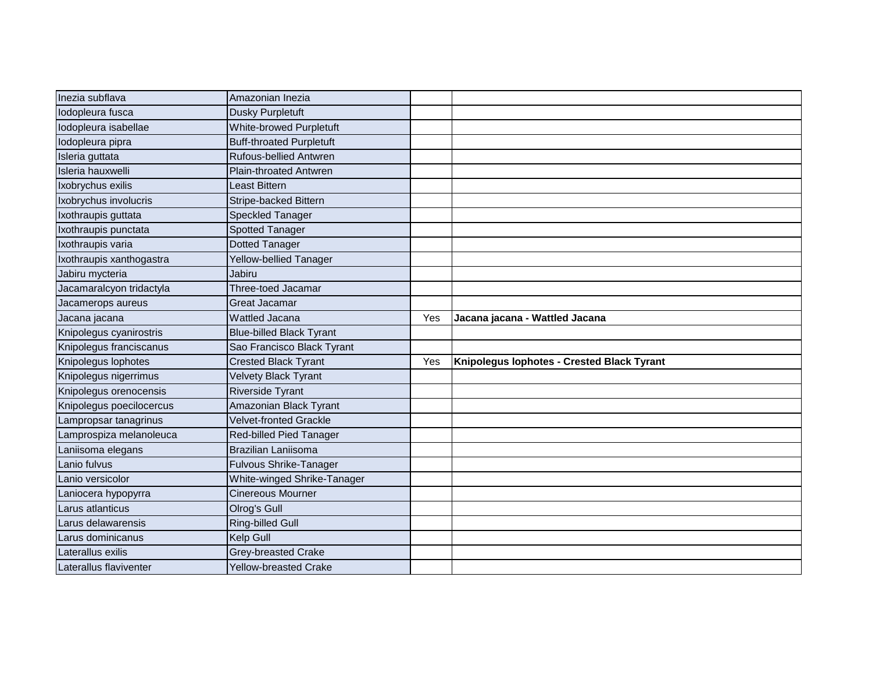| Inezia subflava          | Amazonian Inezia                |     |                                            |
|--------------------------|---------------------------------|-----|--------------------------------------------|
| lodopleura fusca         | <b>Dusky Purpletuft</b>         |     |                                            |
| Iodopleura isabellae     | White-browed Purpletuft         |     |                                            |
| lodopleura pipra         | <b>Buff-throated Purpletuft</b> |     |                                            |
| Isleria guttata          | Rufous-bellied Antwren          |     |                                            |
| Isleria hauxwelli        | Plain-throated Antwren          |     |                                            |
| Ixobrychus exilis        | Least Bittern                   |     |                                            |
| Ixobrychus involucris    | <b>Stripe-backed Bittern</b>    |     |                                            |
| Ixothraupis guttata      | <b>Speckled Tanager</b>         |     |                                            |
| Ixothraupis punctata     | <b>Spotted Tanager</b>          |     |                                            |
| Ixothraupis varia        | <b>Dotted Tanager</b>           |     |                                            |
| Ixothraupis xanthogastra | Yellow-bellied Tanager          |     |                                            |
| Jabiru mycteria          | Jabiru                          |     |                                            |
| Jacamaralcyon tridactyla | Three-toed Jacamar              |     |                                            |
| Jacamerops aureus        | <b>Great Jacamar</b>            |     |                                            |
| Jacana jacana            | <b>Wattled Jacana</b>           | Yes | Jacana jacana - Wattled Jacana             |
| Knipolegus cyanirostris  | <b>Blue-billed Black Tyrant</b> |     |                                            |
| Knipolegus franciscanus  | Sao Francisco Black Tyrant      |     |                                            |
| Knipolegus lophotes      | <b>Crested Black Tyrant</b>     | Yes | Knipolegus lophotes - Crested Black Tyrant |
| Knipolegus nigerrimus    | <b>Velvety Black Tyrant</b>     |     |                                            |
| Knipolegus orenocensis   | <b>Riverside Tyrant</b>         |     |                                            |
| Knipolegus poecilocercus | Amazonian Black Tyrant          |     |                                            |
| Lampropsar tanagrinus    | <b>Velvet-fronted Grackle</b>   |     |                                            |
| Lamprospiza melanoleuca  | Red-billed Pied Tanager         |     |                                            |
| Laniisoma elegans        | <b>Brazilian Laniisoma</b>      |     |                                            |
| Lanio fulvus             | <b>Fulvous Shrike-Tanager</b>   |     |                                            |
| Lanio versicolor         | White-winged Shrike-Tanager     |     |                                            |
| Laniocera hypopyrra      | <b>Cinereous Mourner</b>        |     |                                            |
| Larus atlanticus         | Olrog's Gull                    |     |                                            |
| Larus delawarensis       | Ring-billed Gull                |     |                                            |
| Larus dominicanus        | Kelp Gull                       |     |                                            |
| Laterallus exilis        | Grey-breasted Crake             |     |                                            |
| Laterallus flaviventer   | <b>Yellow-breasted Crake</b>    |     |                                            |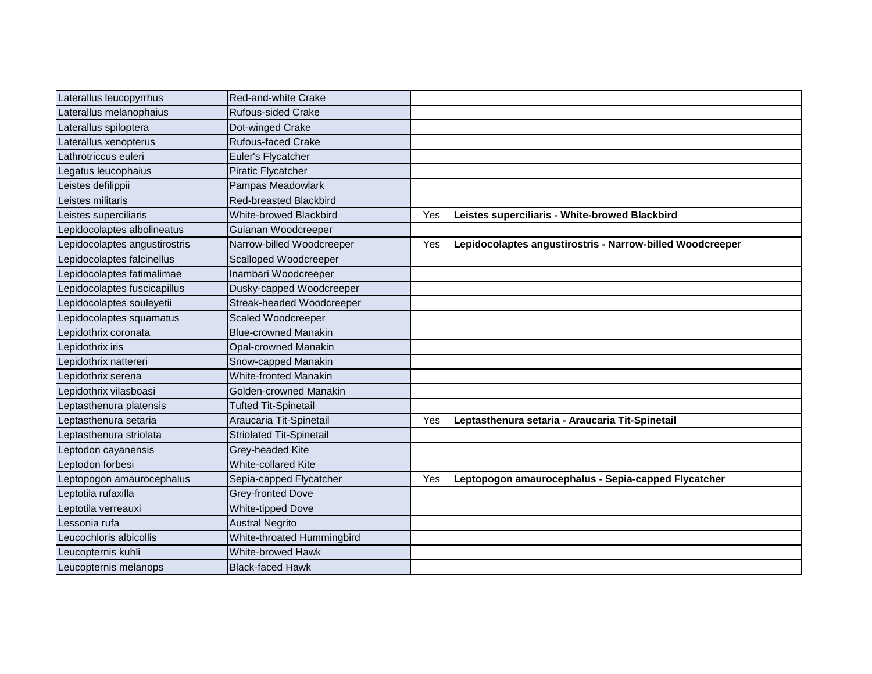| Laterallus leucopyrrhus      | Red-and-white Crake             |     |                                                           |
|------------------------------|---------------------------------|-----|-----------------------------------------------------------|
| Laterallus melanophaius      | <b>Rufous-sided Crake</b>       |     |                                                           |
| Laterallus spiloptera        | Dot-winged Crake                |     |                                                           |
| aterallus xenopterus         | <b>Rufous-faced Crake</b>       |     |                                                           |
| athrotriccus euleri          | Euler's Flycatcher              |     |                                                           |
| egatus leucophaius           | Piratic Flycatcher              |     |                                                           |
| eistes defilippii            | Pampas Meadowlark               |     |                                                           |
| eistes militaris             | <b>Red-breasted Blackbird</b>   |     |                                                           |
| eistes superciliaris         | <b>White-browed Blackbird</b>   | Yes | Leistes superciliaris - White-browed Blackbird            |
| epidocolaptes albolineatus   | Guianan Woodcreeper             |     |                                                           |
| epidocolaptes angustirostris | Narrow-billed Woodcreeper       | Yes | Lepidocolaptes angustirostris - Narrow-billed Woodcreeper |
| epidocolaptes falcinellus    | <b>Scalloped Woodcreeper</b>    |     |                                                           |
| epidocolaptes fatimalimae    | Inambari Woodcreeper            |     |                                                           |
| epidocolaptes fuscicapillus  | Dusky-capped Woodcreeper        |     |                                                           |
| epidocolaptes souleyetii     | Streak-headed Woodcreeper       |     |                                                           |
| epidocolaptes squamatus      | Scaled Woodcreeper              |     |                                                           |
| epidothrix coronata          | <b>Blue-crowned Manakin</b>     |     |                                                           |
| epidothrix iris              | <b>Opal-crowned Manakin</b>     |     |                                                           |
| epidothrix nattereri         | Snow-capped Manakin             |     |                                                           |
| epidothrix serena            | <b>White-fronted Manakin</b>    |     |                                                           |
| epidothrix vilasboasi        | Golden-crowned Manakin          |     |                                                           |
| eptasthenura platensis       | <b>Tufted Tit-Spinetail</b>     |     |                                                           |
| eptasthenura setaria         | Araucaria Tit-Spinetail         | Yes | Leptasthenura setaria - Araucaria Tit-Spinetail           |
| eptasthenura striolata       | <b>Striolated Tit-Spinetail</b> |     |                                                           |
| eptodon cayanensis           | Grey-headed Kite                |     |                                                           |
| eptodon forbesi              | <b>White-collared Kite</b>      |     |                                                           |
| eptopogon amaurocephalus     | Sepia-capped Flycatcher         | Yes | Leptopogon amaurocephalus - Sepia-capped Flycatcher       |
| Leptotila rufaxilla          | Grey-fronted Dove               |     |                                                           |
| eptotila verreauxi           | <b>White-tipped Dove</b>        |     |                                                           |
| Lessonia rufa                | <b>Austral Negrito</b>          |     |                                                           |
| eucochloris albicollis       | White-throated Hummingbird      |     |                                                           |
| eucopternis kuhli            | White-browed Hawk               |     |                                                           |
| Leucopternis melanops        | <b>Black-faced Hawk</b>         |     |                                                           |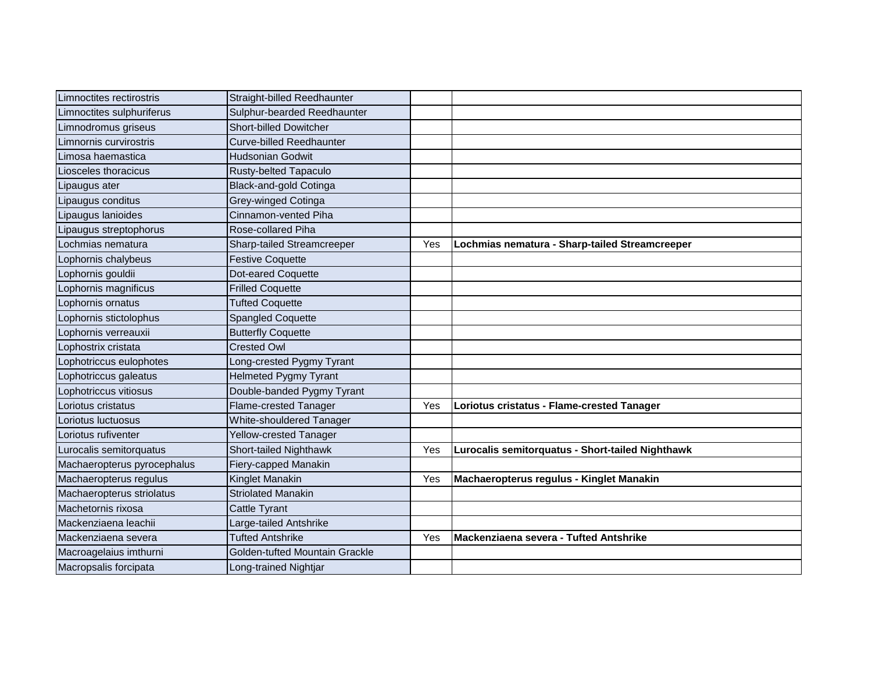| Limnoctites rectirostris    | Straight-billed Reedhaunter     |     |                                                  |
|-----------------------------|---------------------------------|-----|--------------------------------------------------|
| imnoctites sulphuriferus    | Sulphur-bearded Reedhaunter     |     |                                                  |
| imnodromus griseus          | <b>Short-billed Dowitcher</b>   |     |                                                  |
| imnornis curvirostris       | <b>Curve-billed Reedhaunter</b> |     |                                                  |
| Limosa haemastica           | <b>Hudsonian Godwit</b>         |     |                                                  |
| iosceles thoracicus         | Rusty-belted Tapaculo           |     |                                                  |
| ipaugus ater                | Black-and-gold Cotinga          |     |                                                  |
| ipaugus conditus            | Grey-winged Cotinga             |     |                                                  |
| ipaugus lanioides           | Cinnamon-vented Piha            |     |                                                  |
| ipaugus streptophorus       | Rose-collared Piha              |     |                                                  |
| cochmias nematura           | Sharp-tailed Streamcreeper      | Yes | Lochmias nematura - Sharp-tailed Streamcreeper   |
| ophornis chalybeus          | <b>Festive Coquette</b>         |     |                                                  |
| _ophornis gouldii           | Dot-eared Coquette              |     |                                                  |
| _ophornis magnificus        | <b>Frilled Coquette</b>         |     |                                                  |
| _ophornis ornatus           | <b>Tufted Coquette</b>          |     |                                                  |
| _ophornis stictolophus      | <b>Spangled Coquette</b>        |     |                                                  |
| Lophornis verreauxii        | <b>Butterfly Coquette</b>       |     |                                                  |
| _ophostrix cristata         | <b>Crested Owl</b>              |     |                                                  |
| ophotriccus eulophotes      | Long-crested Pygmy Tyrant       |     |                                                  |
| _ophotriccus galeatus       | <b>Helmeted Pygmy Tyrant</b>    |     |                                                  |
| Lophotriccus vitiosus       | Double-banded Pygmy Tyrant      |     |                                                  |
| _oriotus cristatus          | Flame-crested Tanager           | Yes | Loriotus cristatus - Flame-crested Tanager       |
| oriotus luctuosus           | White-shouldered Tanager        |     |                                                  |
| Loriotus rufiventer         | Yellow-crested Tanager          |     |                                                  |
| Lurocalis semitorquatus     | Short-tailed Nighthawk          | Yes | Lurocalis semitorquatus - Short-tailed Nighthawk |
| Machaeropterus pyrocephalus | Fiery-capped Manakin            |     |                                                  |
| Machaeropterus regulus      | Kinglet Manakin                 | Yes | Machaeropterus regulus - Kinglet Manakin         |
| Machaeropterus striolatus   | <b>Striolated Manakin</b>       |     |                                                  |
| Machetornis rixosa          | Cattle Tyrant                   |     |                                                  |
| Mackenziaena leachii        | Large-tailed Antshrike          |     |                                                  |
| Mackenziaena severa         | <b>Tufted Antshrike</b>         | Yes | Mackenziaena severa - Tufted Antshrike           |
| Macroagelaius imthurni      | Golden-tufted Mountain Grackle  |     |                                                  |
| Macropsalis forcipata       | Long-trained Nightjar           |     |                                                  |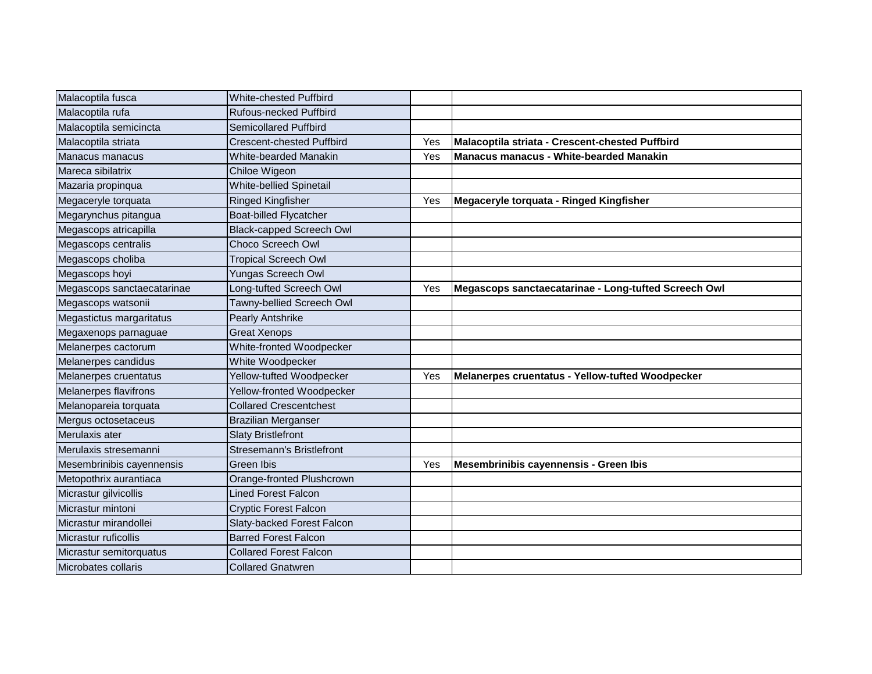| Malacoptila fusca          | White-chested Puffbird           |     |                                                      |
|----------------------------|----------------------------------|-----|------------------------------------------------------|
| Malacoptila rufa           | Rufous-necked Puffbird           |     |                                                      |
| Malacoptila semicincta     | <b>Semicollared Puffbird</b>     |     |                                                      |
| Malacoptila striata        | <b>Crescent-chested Puffbird</b> | Yes | Malacoptila striata - Crescent-chested Puffbird      |
| Manacus manacus            | White-bearded Manakin            | Yes | Manacus manacus - White-bearded Manakin              |
| Mareca sibilatrix          | Chiloe Wigeon                    |     |                                                      |
| Mazaria propinqua          | <b>White-bellied Spinetail</b>   |     |                                                      |
| Megaceryle torquata        | Ringed Kingfisher                | Yes | Megaceryle torquata - Ringed Kingfisher              |
| Megarynchus pitangua       | <b>Boat-billed Flycatcher</b>    |     |                                                      |
| Megascops atricapilla      | <b>Black-capped Screech Owl</b>  |     |                                                      |
| Megascops centralis        | Choco Screech Owl                |     |                                                      |
| Megascops choliba          | <b>Tropical Screech Owl</b>      |     |                                                      |
| Megascops hoyi             | <b>Yungas Screech Owl</b>        |     |                                                      |
| Megascops sanctaecatarinae | Long-tufted Screech Owl          | Yes | Megascops sanctaecatarinae - Long-tufted Screech Owl |
| Megascops watsonii         | Tawny-bellied Screech Owl        |     |                                                      |
| Megastictus margaritatus   | <b>Pearly Antshrike</b>          |     |                                                      |
| Megaxenops parnaguae       | <b>Great Xenops</b>              |     |                                                      |
| Melanerpes cactorum        | White-fronted Woodpecker         |     |                                                      |
| Melanerpes candidus        | White Woodpecker                 |     |                                                      |
| Melanerpes cruentatus      | Yellow-tufted Woodpecker         | Yes | Melanerpes cruentatus - Yellow-tufted Woodpecker     |
| Melanerpes flavifrons      | Yellow-fronted Woodpecker        |     |                                                      |
| Melanopareia torquata      | <b>Collared Crescentchest</b>    |     |                                                      |
| Mergus octosetaceus        | <b>Brazilian Merganser</b>       |     |                                                      |
| Merulaxis ater             | <b>Slaty Bristlefront</b>        |     |                                                      |
| Merulaxis stresemanni      | Stresemann's Bristlefront        |     |                                                      |
| Mesembrinibis cayennensis  | Green Ibis                       | Yes | Mesembrinibis cayennensis - Green Ibis               |
| Metopothrix aurantiaca     | Orange-fronted Plushcrown        |     |                                                      |
| Micrastur gilvicollis      | Lined Forest Falcon              |     |                                                      |
| Micrastur mintoni          | <b>Cryptic Forest Falcon</b>     |     |                                                      |
| Micrastur mirandollei      | Slaty-backed Forest Falcon       |     |                                                      |
| Micrastur ruficollis       | <b>Barred Forest Falcon</b>      |     |                                                      |
| Micrastur semitorquatus    | <b>Collared Forest Falcon</b>    |     |                                                      |
| Microbates collaris        | <b>Collared Gnatwren</b>         |     |                                                      |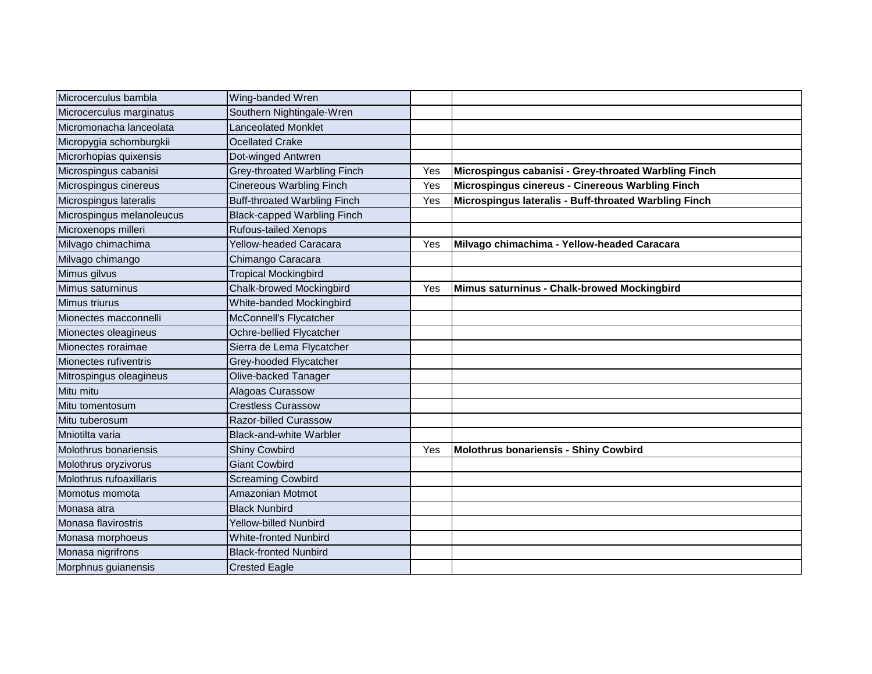| Microcerculus bambla      | Wing-banded Wren                    |     |                                                       |
|---------------------------|-------------------------------------|-----|-------------------------------------------------------|
| Microcerculus marginatus  | Southern Nightingale-Wren           |     |                                                       |
| Micromonacha lanceolata   | Lanceolated Monklet                 |     |                                                       |
| Micropygia schomburgkii   | <b>Ocellated Crake</b>              |     |                                                       |
| Microrhopias quixensis    | Dot-winged Antwren                  |     |                                                       |
| Microspingus cabanisi     | Grey-throated Warbling Finch        | Yes | Microspingus cabanisi - Grey-throated Warbling Finch  |
| Microspingus cinereus     | <b>Cinereous Warbling Finch</b>     | Yes | Microspingus cinereus - Cinereous Warbling Finch      |
| Microspingus lateralis    | <b>Buff-throated Warbling Finch</b> | Yes | Microspingus lateralis - Buff-throated Warbling Finch |
| Microspingus melanoleucus | <b>Black-capped Warbling Finch</b>  |     |                                                       |
| Microxenops milleri       | <b>Rufous-tailed Xenops</b>         |     |                                                       |
| Milvago chimachima        | <b>Yellow-headed Caracara</b>       | Yes | Milvago chimachima - Yellow-headed Caracara           |
| Milvago chimango          | Chimango Caracara                   |     |                                                       |
| Mimus gilvus              | <b>Tropical Mockingbird</b>         |     |                                                       |
| Mimus saturninus          | Chalk-browed Mockingbird            | Yes | Mimus saturninus - Chalk-browed Mockingbird           |
| Mimus triurus             | White-banded Mockingbird            |     |                                                       |
| Mionectes macconnelli     | McConnell's Flycatcher              |     |                                                       |
| Mionectes oleagineus      | Ochre-bellied Flycatcher            |     |                                                       |
| Mionectes roraimae        | Sierra de Lema Flycatcher           |     |                                                       |
| Mionectes rufiventris     | Grey-hooded Flycatcher              |     |                                                       |
| Mitrospingus oleagineus   | Olive-backed Tanager                |     |                                                       |
| Mitu mitu                 | Alagoas Curassow                    |     |                                                       |
| Mitu tomentosum           | <b>Crestless Curassow</b>           |     |                                                       |
| Mitu tuberosum            | Razor-billed Curassow               |     |                                                       |
| Mniotilta varia           | <b>Black-and-white Warbler</b>      |     |                                                       |
| Molothrus bonariensis     | <b>Shiny Cowbird</b>                | Yes | Molothrus bonariensis - Shiny Cowbird                 |
| Molothrus oryzivorus      | <b>Giant Cowbird</b>                |     |                                                       |
| Molothrus rufoaxillaris   | <b>Screaming Cowbird</b>            |     |                                                       |
| Momotus momota            | Amazonian Motmot                    |     |                                                       |
| Monasa atra               | <b>Black Nunbird</b>                |     |                                                       |
| Monasa flavirostris       | <b>Yellow-billed Nunbird</b>        |     |                                                       |
| Monasa morphoeus          | <b>White-fronted Nunbird</b>        |     |                                                       |
| Monasa nigrifrons         | <b>Black-fronted Nunbird</b>        |     |                                                       |
| Morphnus guianensis       | <b>Crested Eagle</b>                |     |                                                       |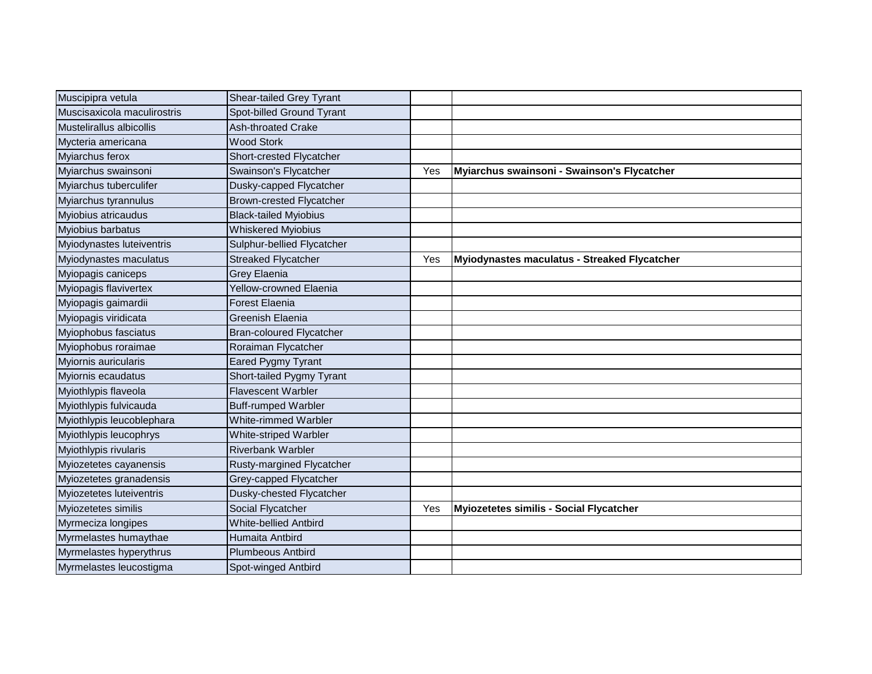| Muscipipra vetula           | <b>Shear-tailed Grey Tyrant</b> |     |                                              |
|-----------------------------|---------------------------------|-----|----------------------------------------------|
| Muscisaxicola maculirostris | Spot-billed Ground Tyrant       |     |                                              |
| Mustelirallus albicollis    | <b>Ash-throated Crake</b>       |     |                                              |
| Mycteria americana          | <b>Wood Stork</b>               |     |                                              |
| Myiarchus ferox             | Short-crested Flycatcher        |     |                                              |
| Myiarchus swainsoni         | Swainson's Flycatcher           | Yes | Myiarchus swainsoni - Swainson's Flycatcher  |
| Myiarchus tuberculifer      | Dusky-capped Flycatcher         |     |                                              |
| Myiarchus tyrannulus        | <b>Brown-crested Flycatcher</b> |     |                                              |
| Myiobius atricaudus         | <b>Black-tailed Myiobius</b>    |     |                                              |
| Myiobius barbatus           | <b>Whiskered Myiobius</b>       |     |                                              |
| Myiodynastes luteiventris   | Sulphur-bellied Flycatcher      |     |                                              |
| Myiodynastes maculatus      | <b>Streaked Flycatcher</b>      | Yes | Myiodynastes maculatus - Streaked Flycatcher |
| Myiopagis caniceps          | Grey Elaenia                    |     |                                              |
| Myiopagis flavivertex       | <b>Yellow-crowned Elaenia</b>   |     |                                              |
| Myiopagis gaimardii         | <b>Forest Elaenia</b>           |     |                                              |
| Myiopagis viridicata        | Greenish Elaenia                |     |                                              |
| Myiophobus fasciatus        | <b>Bran-coloured Flycatcher</b> |     |                                              |
| Myiophobus roraimae         | Roraiman Flycatcher             |     |                                              |
| Myiornis auricularis        | Eared Pygmy Tyrant              |     |                                              |
| Myiornis ecaudatus          | Short-tailed Pygmy Tyrant       |     |                                              |
| Myiothlypis flaveola        | <b>Flavescent Warbler</b>       |     |                                              |
| Myiothlypis fulvicauda      | <b>Buff-rumped Warbler</b>      |     |                                              |
| Myiothlypis leucoblephara   | White-rimmed Warbler            |     |                                              |
| Myiothlypis leucophrys      | White-striped Warbler           |     |                                              |
| Myiothlypis rivularis       | <b>Riverbank Warbler</b>        |     |                                              |
| Myiozetetes cayanensis      | Rusty-margined Flycatcher       |     |                                              |
| Myiozetetes granadensis     | Grey-capped Flycatcher          |     |                                              |
| Myiozetetes luteiventris    | Dusky-chested Flycatcher        |     |                                              |
| Myiozetetes similis         | Social Flycatcher               | Yes | Myiozetetes similis - Social Flycatcher      |
| Myrmeciza longipes          | <b>White-bellied Antbird</b>    |     |                                              |
| Myrmelastes humaythae       | Humaita Antbird                 |     |                                              |
| Myrmelastes hyperythrus     | <b>Plumbeous Antbird</b>        |     |                                              |
| Myrmelastes leucostigma     | Spot-winged Antbird             |     |                                              |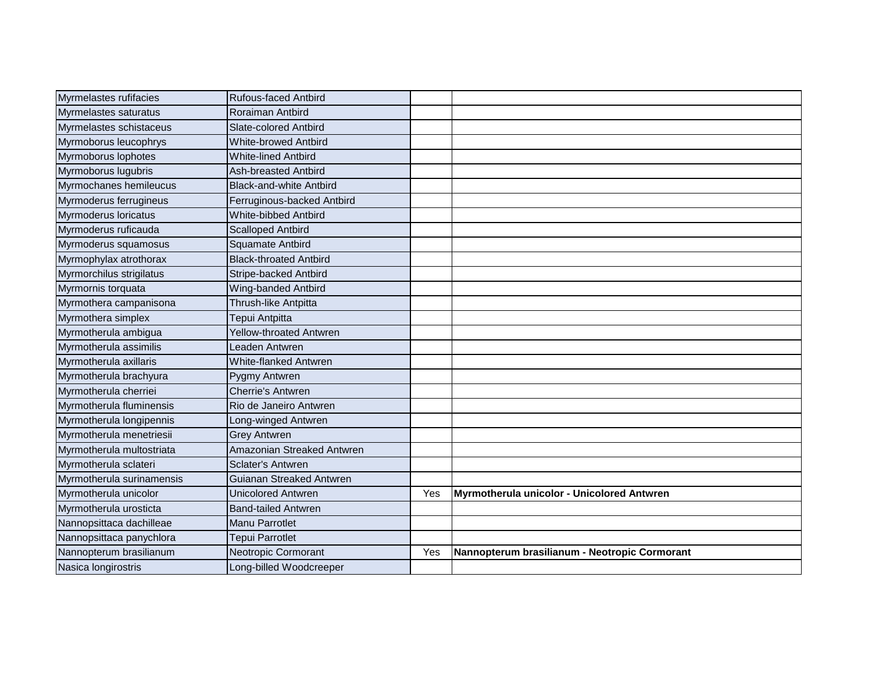| Myrmelastes rufifacies    | <b>Rufous-faced Antbird</b>    |     |                                               |
|---------------------------|--------------------------------|-----|-----------------------------------------------|
| Myrmelastes saturatus     | Roraiman Antbird               |     |                                               |
| Myrmelastes schistaceus   | Slate-colored Antbird          |     |                                               |
| Myrmoborus leucophrys     | <b>White-browed Antbird</b>    |     |                                               |
| Myrmoborus lophotes       | <b>White-lined Antbird</b>     |     |                                               |
| Myrmoborus lugubris       | Ash-breasted Antbird           |     |                                               |
| Myrmochanes hemileucus    | <b>Black-and-white Antbird</b> |     |                                               |
| Myrmoderus ferrugineus    | Ferruginous-backed Antbird     |     |                                               |
| Myrmoderus loricatus      | White-bibbed Antbird           |     |                                               |
| Myrmoderus ruficauda      | <b>Scalloped Antbird</b>       |     |                                               |
| Myrmoderus squamosus      | Squamate Antbird               |     |                                               |
| Myrmophylax atrothorax    | <b>Black-throated Antbird</b>  |     |                                               |
| Myrmorchilus strigilatus  | Stripe-backed Antbird          |     |                                               |
| Myrmornis torquata        | Wing-banded Antbird            |     |                                               |
| Myrmothera campanisona    | Thrush-like Antpitta           |     |                                               |
| Myrmothera simplex        | Tepui Antpitta                 |     |                                               |
| Myrmotherula ambigua      | Yellow-throated Antwren        |     |                                               |
| Myrmotherula assimilis    | Leaden Antwren                 |     |                                               |
| Myrmotherula axillaris    | White-flanked Antwren          |     |                                               |
| Myrmotherula brachyura    | Pygmy Antwren                  |     |                                               |
| Myrmotherula cherriei     | <b>Cherrie's Antwren</b>       |     |                                               |
| Myrmotherula fluminensis  | Rio de Janeiro Antwren         |     |                                               |
| Myrmotherula longipennis  | Long-winged Antwren            |     |                                               |
| Myrmotherula menetriesii  | <b>Grey Antwren</b>            |     |                                               |
| Myrmotherula multostriata | Amazonian Streaked Antwren     |     |                                               |
| Myrmotherula sclateri     | <b>Sclater's Antwren</b>       |     |                                               |
| Myrmotherula surinamensis | Guianan Streaked Antwren       |     |                                               |
| Myrmotherula unicolor     | <b>Unicolored Antwren</b>      | Yes | Myrmotherula unicolor - Unicolored Antwren    |
| Myrmotherula urosticta    | <b>Band-tailed Antwren</b>     |     |                                               |
| Nannopsittaca dachilleae  | <b>Manu Parrotlet</b>          |     |                                               |
| Nannopsittaca panychlora  | Tepui Parrotlet                |     |                                               |
| Nannopterum brasilianum   | Neotropic Cormorant            | Yes | Nannopterum brasilianum - Neotropic Cormorant |
| Nasica longirostris       | Long-billed Woodcreeper        |     |                                               |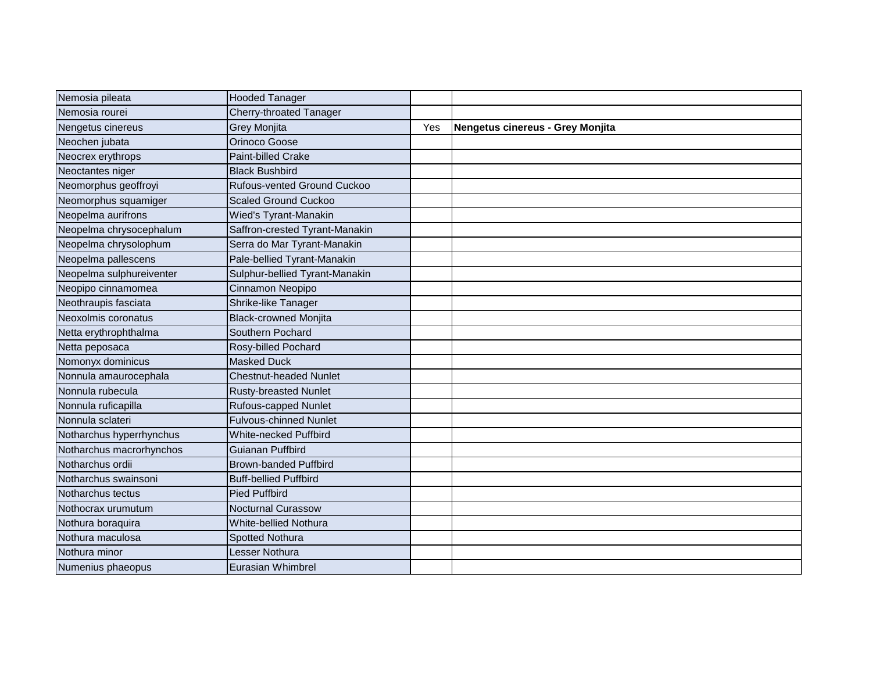| Nemosia pileata          | <b>Hooded Tanager</b>          |     |                                  |
|--------------------------|--------------------------------|-----|----------------------------------|
| Nemosia rourei           | Cherry-throated Tanager        |     |                                  |
| Nengetus cinereus        | Grey Monjita                   | Yes | Nengetus cinereus - Grey Monjita |
| Neochen jubata           | Orinoco Goose                  |     |                                  |
| Neocrex erythrops        | Paint-billed Crake             |     |                                  |
| Neoctantes niger         | <b>Black Bushbird</b>          |     |                                  |
| Neomorphus geoffroyi     | Rufous-vented Ground Cuckoo    |     |                                  |
| Neomorphus squamiger     | <b>Scaled Ground Cuckoo</b>    |     |                                  |
| Neopelma aurifrons       | Wied's Tyrant-Manakin          |     |                                  |
| Neopelma chrysocephalum  | Saffron-crested Tyrant-Manakin |     |                                  |
| Neopelma chrysolophum    | Serra do Mar Tyrant-Manakin    |     |                                  |
| Neopelma pallescens      | Pale-bellied Tyrant-Manakin    |     |                                  |
| Neopelma sulphureiventer | Sulphur-bellied Tyrant-Manakin |     |                                  |
| Neopipo cinnamomea       | Cinnamon Neopipo               |     |                                  |
| Neothraupis fasciata     | Shrike-like Tanager            |     |                                  |
| Neoxolmis coronatus      | <b>Black-crowned Monjita</b>   |     |                                  |
| Netta erythrophthalma    | Southern Pochard               |     |                                  |
| Netta peposaca           | Rosy-billed Pochard            |     |                                  |
| Nomonyx dominicus        | <b>Masked Duck</b>             |     |                                  |
| Nonnula amaurocephala    | <b>Chestnut-headed Nunlet</b>  |     |                                  |
| Nonnula rubecula         | <b>Rusty-breasted Nunlet</b>   |     |                                  |
| Nonnula ruficapilla      | <b>Rufous-capped Nunlet</b>    |     |                                  |
| Nonnula sclateri         | <b>Fulvous-chinned Nunlet</b>  |     |                                  |
| Notharchus hyperrhynchus | <b>White-necked Puffbird</b>   |     |                                  |
| Notharchus macrorhynchos | Guianan Puffbird               |     |                                  |
| Notharchus ordii         | <b>Brown-banded Puffbird</b>   |     |                                  |
| Notharchus swainsoni     | <b>Buff-bellied Puffbird</b>   |     |                                  |
| Notharchus tectus        | <b>Pied Puffbird</b>           |     |                                  |
| Nothocrax urumutum       | <b>Nocturnal Curassow</b>      |     |                                  |
| Nothura boraquira        | White-bellied Nothura          |     |                                  |
| Nothura maculosa         | <b>Spotted Nothura</b>         |     |                                  |
| Nothura minor            | Lesser Nothura                 |     |                                  |
| Numenius phaeopus        | Eurasian Whimbrel              |     |                                  |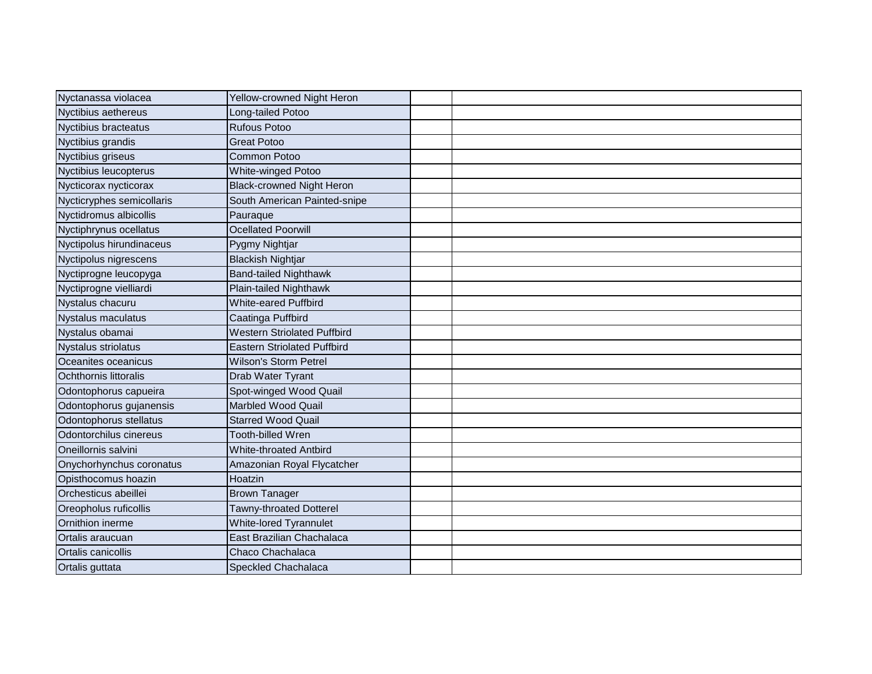| Nyctanassa violacea        | Yellow-crowned Night Heron         |  |
|----------------------------|------------------------------------|--|
| Nyctibius aethereus        | Long-tailed Potoo                  |  |
| Nyctibius bracteatus       | <b>Rufous Potoo</b>                |  |
| Nyctibius grandis          | <b>Great Potoo</b>                 |  |
| Nyctibius griseus          | Common Potoo                       |  |
| Nyctibius leucopterus      | White-winged Potoo                 |  |
| Nycticorax nycticorax      | <b>Black-crowned Night Heron</b>   |  |
| Nycticryphes semicollaris  | South American Painted-snipe       |  |
| Nyctidromus albicollis     | Pauraque                           |  |
| Nyctiphrynus ocellatus     | <b>Ocellated Poorwill</b>          |  |
| Nyctipolus hirundinaceus   | Pygmy Nightjar                     |  |
| Nyctipolus nigrescens      | <b>Blackish Nightjar</b>           |  |
| Nyctiprogne leucopyga      | <b>Band-tailed Nighthawk</b>       |  |
| Nyctiprogne vielliardi     | Plain-tailed Nighthawk             |  |
| Nystalus chacuru           | White-eared Puffbird               |  |
| <b>Nystalus maculatus</b>  | Caatinga Puffbird                  |  |
| Nystalus obamai            | <b>Western Striolated Puffbird</b> |  |
| <b>Nystalus striolatus</b> | <b>Eastern Striolated Puffbird</b> |  |
| Oceanites oceanicus        | <b>Wilson's Storm Petrel</b>       |  |
| Ochthornis littoralis      | Drab Water Tyrant                  |  |
| Odontophorus capueira      | Spot-winged Wood Quail             |  |
| Odontophorus gujanensis    | Marbled Wood Quail                 |  |
| Odontophorus stellatus     | <b>Starred Wood Quail</b>          |  |
| Odontorchilus cinereus     | Tooth-billed Wren                  |  |
| Oneillornis salvini        | <b>White-throated Antbird</b>      |  |
| Onychorhynchus coronatus   | Amazonian Royal Flycatcher         |  |
| Opisthocomus hoazin        | Hoatzin                            |  |
| Orchesticus abeillei       | <b>Brown Tanager</b>               |  |
| Oreopholus ruficollis      | Tawny-throated Dotterel            |  |
| Ornithion inerme           | White-lored Tyrannulet             |  |
| Ortalis araucuan           | East Brazilian Chachalaca          |  |
| <b>Ortalis canicollis</b>  | Chaco Chachalaca                   |  |
| Ortalis guttata            | <b>Speckled Chachalaca</b>         |  |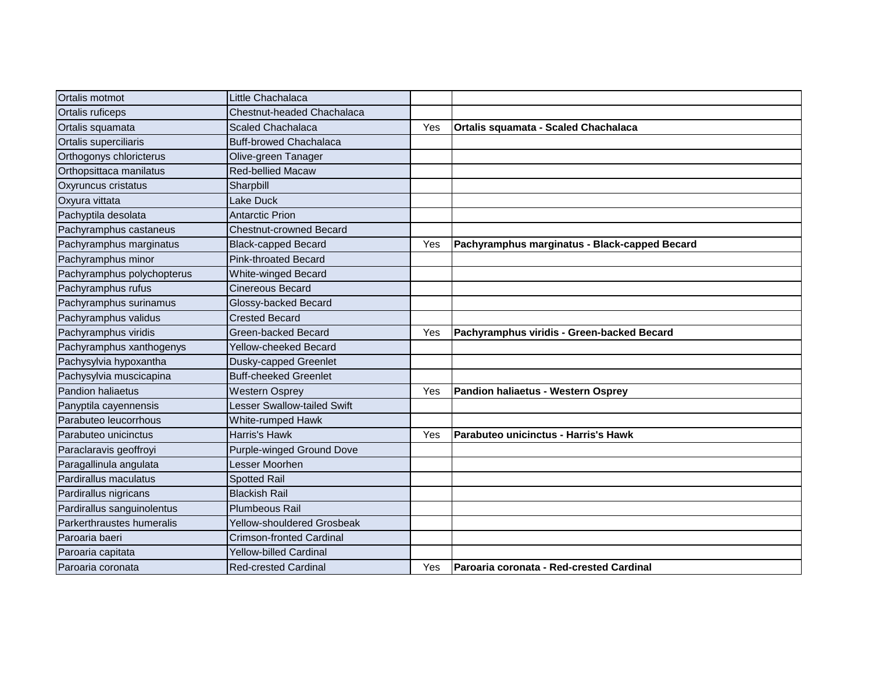| Ortalis motmot             | Little Chachalaca               |     |                                               |
|----------------------------|---------------------------------|-----|-----------------------------------------------|
| Ortalis ruficeps           | Chestnut-headed Chachalaca      |     |                                               |
| Ortalis squamata           | <b>Scaled Chachalaca</b>        | Yes | Ortalis squamata - Scaled Chachalaca          |
| Ortalis superciliaris      | <b>Buff-browed Chachalaca</b>   |     |                                               |
| Orthogonys chloricterus    | Olive-green Tanager             |     |                                               |
| Orthopsittaca manilatus    | <b>Red-bellied Macaw</b>        |     |                                               |
| Oxyruncus cristatus        | Sharpbill                       |     |                                               |
| Oxyura vittata             | Lake Duck                       |     |                                               |
| Pachyptila desolata        | <b>Antarctic Prion</b>          |     |                                               |
| Pachyramphus castaneus     | <b>Chestnut-crowned Becard</b>  |     |                                               |
| Pachyramphus marginatus    | <b>Black-capped Becard</b>      | Yes | Pachyramphus marginatus - Black-capped Becard |
| Pachyramphus minor         | <b>Pink-throated Becard</b>     |     |                                               |
| Pachyramphus polychopterus | <b>White-winged Becard</b>      |     |                                               |
| Pachyramphus rufus         | <b>Cinereous Becard</b>         |     |                                               |
| Pachyramphus surinamus     | Glossy-backed Becard            |     |                                               |
| Pachyramphus validus       | <b>Crested Becard</b>           |     |                                               |
| Pachyramphus viridis       | Green-backed Becard             | Yes | Pachyramphus viridis - Green-backed Becard    |
| Pachyramphus xanthogenys   | Yellow-cheeked Becard           |     |                                               |
| Pachysylvia hypoxantha     | Dusky-capped Greenlet           |     |                                               |
| Pachysylvia muscicapina    | <b>Buff-cheeked Greenlet</b>    |     |                                               |
| <b>Pandion haliaetus</b>   | <b>Western Osprey</b>           | Yes | Pandion haliaetus - Western Osprey            |
| Panyptila cayennensis      | Lesser Swallow-tailed Swift     |     |                                               |
| Parabuteo leucorrhous      | White-rumped Hawk               |     |                                               |
| Parabuteo unicinctus       | Harris's Hawk                   | Yes | Parabuteo unicinctus - Harris's Hawk          |
| Paraclaravis geoffroyi     | Purple-winged Ground Dove       |     |                                               |
| Paragallinula angulata     | Lesser Moorhen                  |     |                                               |
| Pardirallus maculatus      | <b>Spotted Rail</b>             |     |                                               |
| Pardirallus nigricans      | <b>Blackish Rail</b>            |     |                                               |
| Pardirallus sanguinolentus | <b>Plumbeous Rail</b>           |     |                                               |
| Parkerthraustes humeralis  | Yellow-shouldered Grosbeak      |     |                                               |
| Paroaria baeri             | <b>Crimson-fronted Cardinal</b> |     |                                               |
| Paroaria capitata          | <b>Yellow-billed Cardinal</b>   |     |                                               |
| Paroaria coronata          | <b>Red-crested Cardinal</b>     | Yes | Paroaria coronata - Red-crested Cardinal      |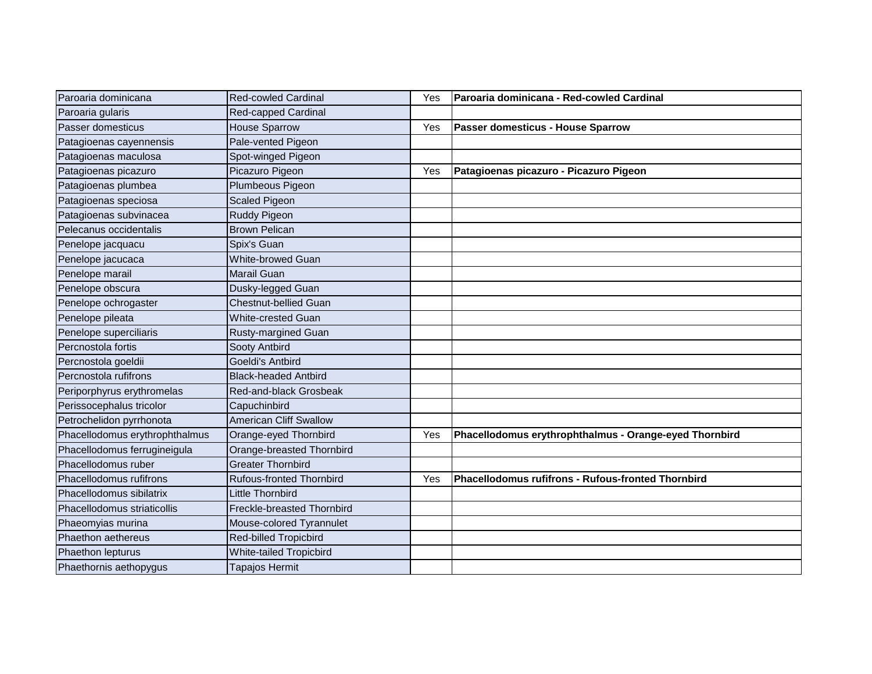| Paroaria dominicana            | <b>Red-cowled Cardinal</b>    | Yes | Paroaria dominicana - Red-cowled Cardinal              |
|--------------------------------|-------------------------------|-----|--------------------------------------------------------|
| Paroaria gularis               | Red-capped Cardinal           |     |                                                        |
| Passer domesticus              | <b>House Sparrow</b>          | Yes | Passer domesticus - House Sparrow                      |
| Patagioenas cayennensis        | Pale-vented Pigeon            |     |                                                        |
| Patagioenas maculosa           | Spot-winged Pigeon            |     |                                                        |
| Patagioenas picazuro           | Picazuro Pigeon               | Yes | Patagioenas picazuro - Picazuro Pigeon                 |
| Patagioenas plumbea            | Plumbeous Pigeon              |     |                                                        |
| Patagioenas speciosa           | <b>Scaled Pigeon</b>          |     |                                                        |
| Patagioenas subvinacea         | <b>Ruddy Pigeon</b>           |     |                                                        |
| Pelecanus occidentalis         | <b>Brown Pelican</b>          |     |                                                        |
| Penelope jacquacu              | Spix's Guan                   |     |                                                        |
| Penelope jacucaca              | <b>White-browed Guan</b>      |     |                                                        |
| Penelope marail                | <b>Marail Guan</b>            |     |                                                        |
| Penelope obscura               | Dusky-legged Guan             |     |                                                        |
| Penelope ochrogaster           | <b>Chestnut-bellied Guan</b>  |     |                                                        |
| Penelope pileata               | <b>White-crested Guan</b>     |     |                                                        |
| Penelope superciliaris         | Rusty-margined Guan           |     |                                                        |
| Percnostola fortis             | Sooty Antbird                 |     |                                                        |
| Percnostola goeldii            | Goeldi's Antbird              |     |                                                        |
| Percnostola rufifrons          | <b>Black-headed Antbird</b>   |     |                                                        |
| Periporphyrus erythromelas     | Red-and-black Grosbeak        |     |                                                        |
| Perissocephalus tricolor       | Capuchinbird                  |     |                                                        |
| Petrochelidon pyrrhonota       | <b>American Cliff Swallow</b> |     |                                                        |
| Phacellodomus erythrophthalmus | Orange-eyed Thornbird         | Yes | Phacellodomus erythrophthalmus - Orange-eyed Thornbird |
| Phacellodomus ferrugineigula   | Orange-breasted Thornbird     |     |                                                        |
| Phacellodomus ruber            | <b>Greater Thornbird</b>      |     |                                                        |
| Phacellodomus rufifrons        | Rufous-fronted Thornbird      | Yes | Phacellodomus rufifrons - Rufous-fronted Thornbird     |
| Phacellodomus sibilatrix       | <b>Little Thornbird</b>       |     |                                                        |
| Phacellodomus striaticollis    | Freckle-breasted Thornbird    |     |                                                        |
| Phaeomyias murina              | Mouse-colored Tyrannulet      |     |                                                        |
| Phaethon aethereus             | <b>Red-billed Tropicbird</b>  |     |                                                        |
| Phaethon lepturus              | White-tailed Tropicbird       |     |                                                        |
| Phaethornis aethopygus         | <b>Tapajos Hermit</b>         |     |                                                        |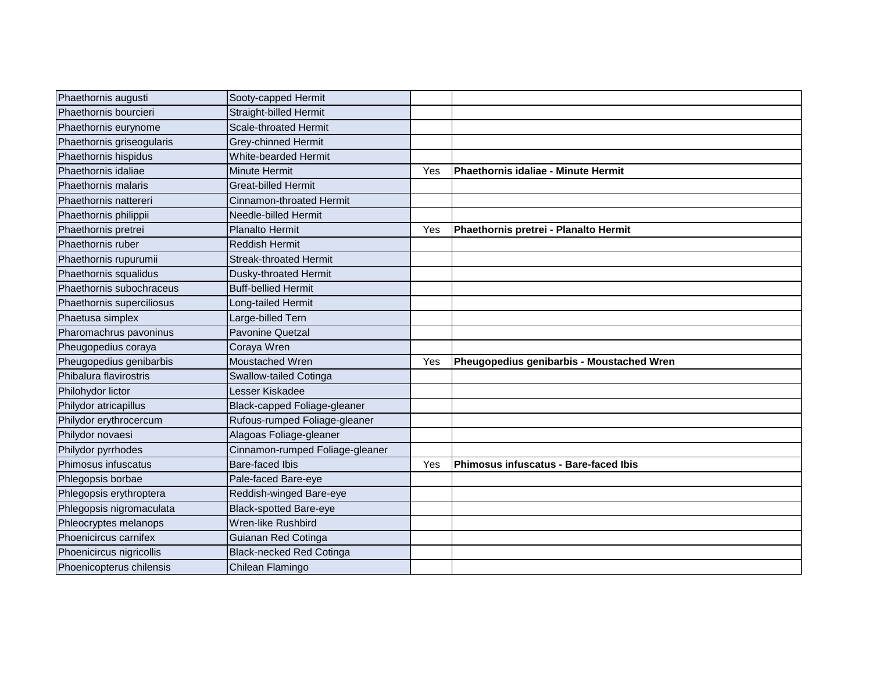| Phaethornis augusti       | Sooty-capped Hermit             |     |                                           |
|---------------------------|---------------------------------|-----|-------------------------------------------|
| Phaethornis bourcieri     | <b>Straight-billed Hermit</b>   |     |                                           |
| Phaethornis eurynome      | <b>Scale-throated Hermit</b>    |     |                                           |
| Phaethornis griseogularis | Grey-chinned Hermit             |     |                                           |
| Phaethornis hispidus      | <b>White-bearded Hermit</b>     |     |                                           |
| Phaethornis idaliae       | <b>Minute Hermit</b>            | Yes | Phaethornis idaliae - Minute Hermit       |
| Phaethornis malaris       | <b>Great-billed Hermit</b>      |     |                                           |
| Phaethornis nattereri     | Cinnamon-throated Hermit        |     |                                           |
| Phaethornis philippii     | Needle-billed Hermit            |     |                                           |
| Phaethornis pretrei       | <b>Planalto Hermit</b>          | Yes | Phaethornis pretrei - Planalto Hermit     |
| Phaethornis ruber         | <b>Reddish Hermit</b>           |     |                                           |
| Phaethornis rupurumii     | Streak-throated Hermit          |     |                                           |
| Phaethornis squalidus     | Dusky-throated Hermit           |     |                                           |
| Phaethornis subochraceus  | <b>Buff-bellied Hermit</b>      |     |                                           |
| Phaethornis superciliosus | Long-tailed Hermit              |     |                                           |
| Phaetusa simplex          | Large-billed Tern               |     |                                           |
| Pharomachrus pavoninus    | <b>Pavonine Quetzal</b>         |     |                                           |
| Pheugopedius coraya       | Coraya Wren                     |     |                                           |
| Pheugopedius genibarbis   | Moustached Wren                 | Yes | Pheugopedius genibarbis - Moustached Wren |
| Phibalura flavirostris    | Swallow-tailed Cotinga          |     |                                           |
| Philohydor lictor         | Lesser Kiskadee                 |     |                                           |
| Philydor atricapillus     | Black-capped Foliage-gleaner    |     |                                           |
| Philydor erythrocercum    | Rufous-rumped Foliage-gleaner   |     |                                           |
| Philydor novaesi          | Alagoas Foliage-gleaner         |     |                                           |
| Philydor pyrrhodes        | Cinnamon-rumped Foliage-gleaner |     |                                           |
| Phimosus infuscatus       | Bare-faced Ibis                 | Yes | Phimosus infuscatus - Bare-faced Ibis     |
| Phlegopsis borbae         | Pale-faced Bare-eye             |     |                                           |
| Phlegopsis erythroptera   | Reddish-winged Bare-eye         |     |                                           |
| Phlegopsis nigromaculata  | <b>Black-spotted Bare-eye</b>   |     |                                           |
| Phleocryptes melanops     | Wren-like Rushbird              |     |                                           |
| Phoenicircus carnifex     | Guianan Red Cotinga             |     |                                           |
| Phoenicircus nigricollis  | <b>Black-necked Red Cotinga</b> |     |                                           |
| Phoenicopterus chilensis  | Chilean Flamingo                |     |                                           |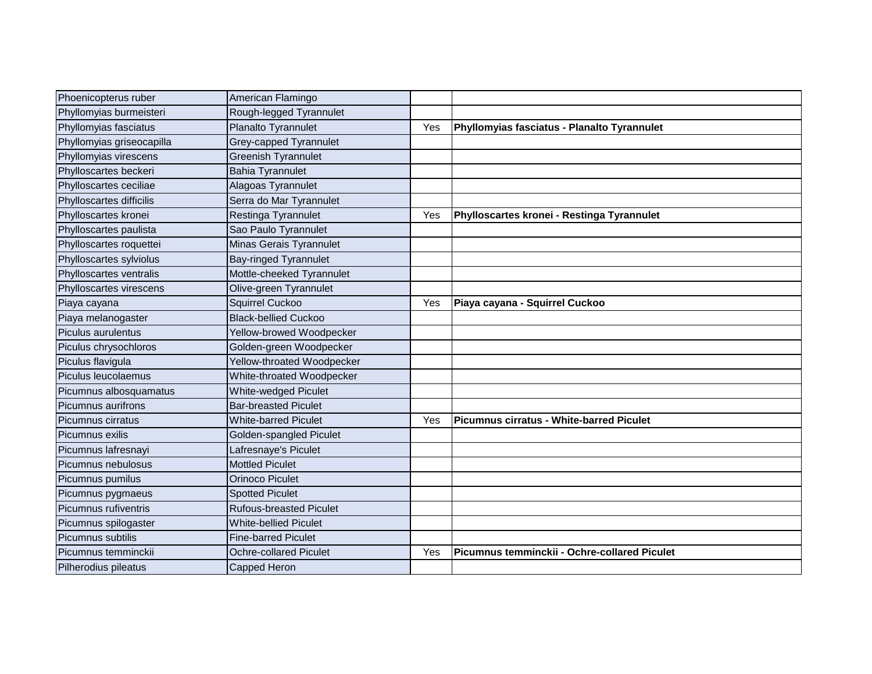| Phoenicopterus ruber      | American Flamingo              |     |                                              |
|---------------------------|--------------------------------|-----|----------------------------------------------|
| Phyllomyias burmeisteri   | Rough-legged Tyrannulet        |     |                                              |
| Phyllomyias fasciatus     | Planalto Tyrannulet            | Yes | Phyllomyias fasciatus - Planalto Tyrannulet  |
| Phyllomyias griseocapilla | Grey-capped Tyrannulet         |     |                                              |
| Phyllomyias virescens     | <b>Greenish Tyrannulet</b>     |     |                                              |
| Phylloscartes beckeri     | <b>Bahia Tyrannulet</b>        |     |                                              |
| Phylloscartes ceciliae    | Alagoas Tyrannulet             |     |                                              |
| Phylloscartes difficilis  | Serra do Mar Tyrannulet        |     |                                              |
| Phylloscartes kronei      | Restinga Tyrannulet            | Yes | Phylloscartes kronei - Restinga Tyrannulet   |
| Phylloscartes paulista    | Sao Paulo Tyrannulet           |     |                                              |
| Phylloscartes roquettei   | Minas Gerais Tyrannulet        |     |                                              |
| Phylloscartes sylviolus   | <b>Bay-ringed Tyrannulet</b>   |     |                                              |
| Phylloscartes ventralis   | Mottle-cheeked Tyrannulet      |     |                                              |
| Phylloscartes virescens   | Olive-green Tyrannulet         |     |                                              |
| Piaya cayana              | Squirrel Cuckoo                | Yes | Piaya cayana - Squirrel Cuckoo               |
| Piaya melanogaster        | <b>Black-bellied Cuckoo</b>    |     |                                              |
| Piculus aurulentus        | Yellow-browed Woodpecker       |     |                                              |
| Piculus chrysochloros     | Golden-green Woodpecker        |     |                                              |
| Piculus flavigula         | Yellow-throated Woodpecker     |     |                                              |
| Piculus leucolaemus       | White-throated Woodpecker      |     |                                              |
| Picumnus albosquamatus    | <b>White-wedged Piculet</b>    |     |                                              |
| Picumnus aurifrons        | <b>Bar-breasted Piculet</b>    |     |                                              |
| Picumnus cirratus         | <b>White-barred Piculet</b>    | Yes | Picumnus cirratus - White-barred Piculet     |
| Picumnus exilis           | Golden-spangled Piculet        |     |                                              |
| Picumnus lafresnayi       | Lafresnaye's Piculet           |     |                                              |
| Picumnus nebulosus        | <b>Mottled Piculet</b>         |     |                                              |
| Picumnus pumilus          | Orinoco Piculet                |     |                                              |
| Picumnus pygmaeus         | <b>Spotted Piculet</b>         |     |                                              |
| Picumnus rufiventris      | <b>Rufous-breasted Piculet</b> |     |                                              |
| Picumnus spilogaster      | <b>White-bellied Piculet</b>   |     |                                              |
| Picumnus subtilis         | <b>Fine-barred Piculet</b>     |     |                                              |
| Picumnus temminckii       | <b>Ochre-collared Piculet</b>  | Yes | Picumnus temminckii - Ochre-collared Piculet |
| Pilherodius pileatus      | <b>Capped Heron</b>            |     |                                              |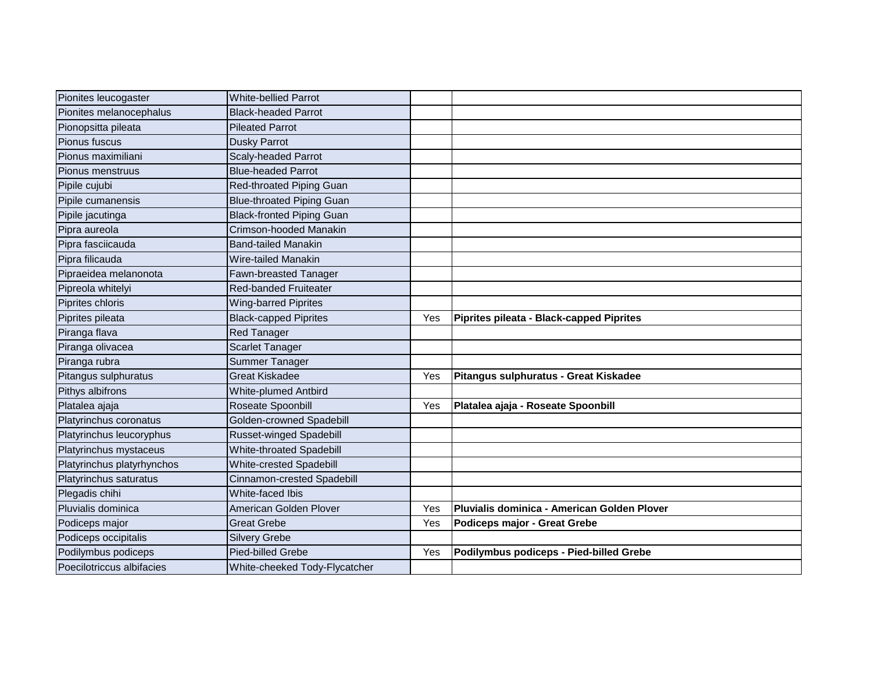| Pionites leucogaster       | <b>White-bellied Parrot</b>      |     |                                             |
|----------------------------|----------------------------------|-----|---------------------------------------------|
| Pionites melanocephalus    | <b>Black-headed Parrot</b>       |     |                                             |
| Pionopsitta pileata        | <b>Pileated Parrot</b>           |     |                                             |
| Pionus fuscus              | <b>Dusky Parrot</b>              |     |                                             |
| Pionus maximiliani         | Scaly-headed Parrot              |     |                                             |
| Pionus menstruus           | <b>Blue-headed Parrot</b>        |     |                                             |
| Pipile cujubi              | Red-throated Piping Guan         |     |                                             |
| Pipile cumanensis          | <b>Blue-throated Piping Guan</b> |     |                                             |
| Pipile jacutinga           | <b>Black-fronted Piping Guan</b> |     |                                             |
| Pipra aureola              | Crimson-hooded Manakin           |     |                                             |
| Pipra fasciicauda          | <b>Band-tailed Manakin</b>       |     |                                             |
| Pipra filicauda            | Wire-tailed Manakin              |     |                                             |
| Pipraeidea melanonota      | Fawn-breasted Tanager            |     |                                             |
| Pipreola whitelyi          | <b>Red-banded Fruiteater</b>     |     |                                             |
| Piprites chloris           | <b>Wing-barred Piprites</b>      |     |                                             |
| Piprites pileata           | <b>Black-capped Piprites</b>     | Yes | Piprites pileata - Black-capped Piprites    |
| Piranga flava              | <b>Red Tanager</b>               |     |                                             |
| Piranga olivacea           | <b>Scarlet Tanager</b>           |     |                                             |
| Piranga rubra              | <b>Summer Tanager</b>            |     |                                             |
| Pitangus sulphuratus       | <b>Great Kiskadee</b>            | Yes | Pitangus sulphuratus - Great Kiskadee       |
| Pithys albifrons           | <b>White-plumed Antbird</b>      |     |                                             |
| Platalea ajaja             | Roseate Spoonbill                | Yes | Platalea ajaja - Roseate Spoonbill          |
| Platyrinchus coronatus     | Golden-crowned Spadebill         |     |                                             |
| Platyrinchus leucoryphus   | Russet-winged Spadebill          |     |                                             |
| Platyrinchus mystaceus     | White-throated Spadebill         |     |                                             |
| Platyrinchus platyrhynchos | White-crested Spadebill          |     |                                             |
| Platyrinchus saturatus     | Cinnamon-crested Spadebill       |     |                                             |
| Plegadis chihi             | White-faced Ibis                 |     |                                             |
| Pluvialis dominica         | American Golden Plover           | Yes | Pluvialis dominica - American Golden Plover |
| Podiceps major             | <b>Great Grebe</b>               | Yes | Podiceps major - Great Grebe                |
| Podiceps occipitalis       | <b>Silvery Grebe</b>             |     |                                             |
| Podilymbus podiceps        | Pied-billed Grebe                | Yes | Podilymbus podiceps - Pied-billed Grebe     |
| Poecilotriccus albifacies  | White-cheeked Tody-Flycatcher    |     |                                             |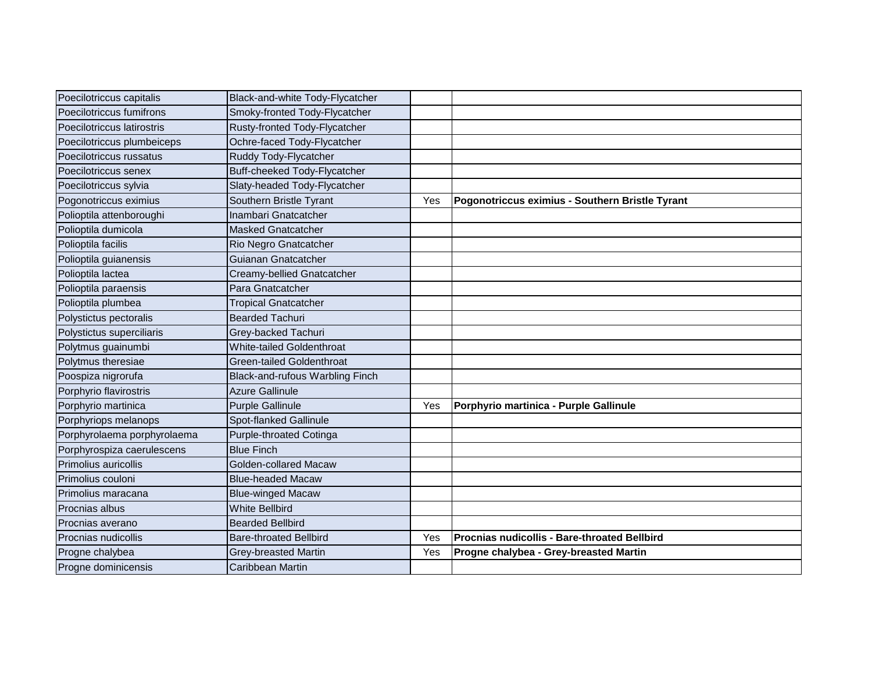| Poecilotriccus capitalis    | Black-and-white Tody-Flycatcher     |     |                                                 |
|-----------------------------|-------------------------------------|-----|-------------------------------------------------|
| Poecilotriccus fumifrons    | Smoky-fronted Tody-Flycatcher       |     |                                                 |
| Poecilotriccus latirostris  | Rusty-fronted Tody-Flycatcher       |     |                                                 |
| Poecilotriccus plumbeiceps  | Ochre-faced Tody-Flycatcher         |     |                                                 |
| Poecilotriccus russatus     | Ruddy Tody-Flycatcher               |     |                                                 |
| Poecilotriccus senex        | <b>Buff-cheeked Tody-Flycatcher</b> |     |                                                 |
| Poecilotriccus sylvia       | Slaty-headed Tody-Flycatcher        |     |                                                 |
| Pogonotriccus eximius       | Southern Bristle Tyrant             | Yes | Pogonotriccus eximius - Southern Bristle Tyrant |
| Polioptila attenboroughi    | Inambari Gnatcatcher                |     |                                                 |
| Polioptila dumicola         | <b>Masked Gnatcatcher</b>           |     |                                                 |
| Polioptila facilis          | Rio Negro Gnatcatcher               |     |                                                 |
| Polioptila guianensis       | Guianan Gnatcatcher                 |     |                                                 |
| Polioptila lactea           | Creamy-bellied Gnatcatcher          |     |                                                 |
| Polioptila paraensis        | Para Gnatcatcher                    |     |                                                 |
| Polioptila plumbea          | <b>Tropical Gnatcatcher</b>         |     |                                                 |
| Polystictus pectoralis      | <b>Bearded Tachuri</b>              |     |                                                 |
| Polystictus superciliaris   | Grey-backed Tachuri                 |     |                                                 |
| Polytmus guainumbi          | <b>White-tailed Goldenthroat</b>    |     |                                                 |
| Polytmus theresiae          | Green-tailed Goldenthroat           |     |                                                 |
| Poospiza nigrorufa          | Black-and-rufous Warbling Finch     |     |                                                 |
| Porphyrio flavirostris      | <b>Azure Gallinule</b>              |     |                                                 |
| Porphyrio martinica         | <b>Purple Gallinule</b>             | Yes | Porphyrio martinica - Purple Gallinule          |
| Porphyriops melanops        | Spot-flanked Gallinule              |     |                                                 |
| Porphyrolaema porphyrolaema | Purple-throated Cotinga             |     |                                                 |
| Porphyrospiza caerulescens  | <b>Blue Finch</b>                   |     |                                                 |
| <b>Primolius auricollis</b> | <b>Golden-collared Macaw</b>        |     |                                                 |
| Primolius couloni           | <b>Blue-headed Macaw</b>            |     |                                                 |
| Primolius maracana          | <b>Blue-winged Macaw</b>            |     |                                                 |
| <b>Procnias albus</b>       | <b>White Bellbird</b>               |     |                                                 |
| Procnias averano            | <b>Bearded Bellbird</b>             |     |                                                 |
| Procnias nudicollis         | <b>Bare-throated Bellbird</b>       | Yes | lProcnias nudicollis - Bare-throated Bellbird   |
| Progne chalybea             | Grey-breasted Martin                | Yes | Progne chalybea - Grey-breasted Martin          |
| Progne dominicensis         | Caribbean Martin                    |     |                                                 |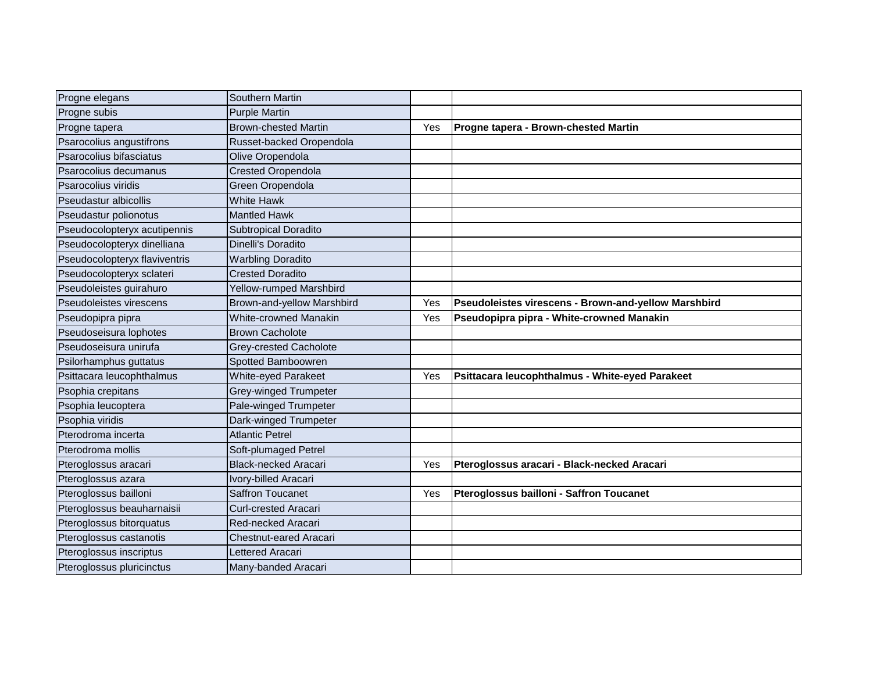| Progne elegans                | Southern Martin             |     |                                                      |
|-------------------------------|-----------------------------|-----|------------------------------------------------------|
| Progne subis                  | <b>Purple Martin</b>        |     |                                                      |
| Progne tapera                 | <b>Brown-chested Martin</b> | Yes | Progne tapera - Brown-chested Martin                 |
| Psarocolius angustifrons      | Russet-backed Oropendola    |     |                                                      |
| Psarocolius bifasciatus       | Olive Oropendola            |     |                                                      |
| Psarocolius decumanus         | <b>Crested Oropendola</b>   |     |                                                      |
| Psarocolius viridis           | Green Oropendola            |     |                                                      |
| Pseudastur albicollis         | <b>White Hawk</b>           |     |                                                      |
| Pseudastur polionotus         | <b>Mantled Hawk</b>         |     |                                                      |
| Pseudocolopteryx acutipennis  | <b>Subtropical Doradito</b> |     |                                                      |
| Pseudocolopteryx dinelliana   | Dinelli's Doradito          |     |                                                      |
| Pseudocolopteryx flaviventris | <b>Warbling Doradito</b>    |     |                                                      |
| Pseudocolopteryx sclateri     | <b>Crested Doradito</b>     |     |                                                      |
| Pseudoleistes guirahuro       | Yellow-rumped Marshbird     |     |                                                      |
| Pseudoleistes virescens       | Brown-and-yellow Marshbird  | Yes | Pseudoleistes virescens - Brown-and-yellow Marshbird |
| Pseudopipra pipra             | White-crowned Manakin       | Yes | Pseudopipra pipra - White-crowned Manakin            |
| Pseudoseisura lophotes        | <b>Brown Cacholote</b>      |     |                                                      |
| Pseudoseisura unirufa         | Grey-crested Cacholote      |     |                                                      |
| Psilorhamphus guttatus        | Spotted Bamboowren          |     |                                                      |
| Psittacara leucophthalmus     | White-eyed Parakeet         | Yes | Psittacara leucophthalmus - White-eyed Parakeet      |
| Psophia crepitans             | Grey-winged Trumpeter       |     |                                                      |
| Psophia leucoptera            | Pale-winged Trumpeter       |     |                                                      |
| Psophia viridis               | Dark-winged Trumpeter       |     |                                                      |
| Pterodroma incerta            | <b>Atlantic Petrel</b>      |     |                                                      |
| Pterodroma mollis             | Soft-plumaged Petrel        |     |                                                      |
| Pteroglossus aracari          | <b>Black-necked Aracari</b> | Yes | Pteroglossus aracari - Black-necked Aracari          |
| Pteroglossus azara            | Ivory-billed Aracari        |     |                                                      |
| Pteroglossus bailloni         | <b>Saffron Toucanet</b>     | Yes | Pteroglossus bailloni - Saffron Toucanet             |
| Pteroglossus beauharnaisii    | <b>Curl-crested Aracari</b> |     |                                                      |
| Pteroglossus bitorquatus      | Red-necked Aracari          |     |                                                      |
| Pteroglossus castanotis       | Chestnut-eared Aracari      |     |                                                      |
| Pteroglossus inscriptus       | Lettered Aracari            |     |                                                      |
| Pteroglossus pluricinctus     | Many-banded Aracari         |     |                                                      |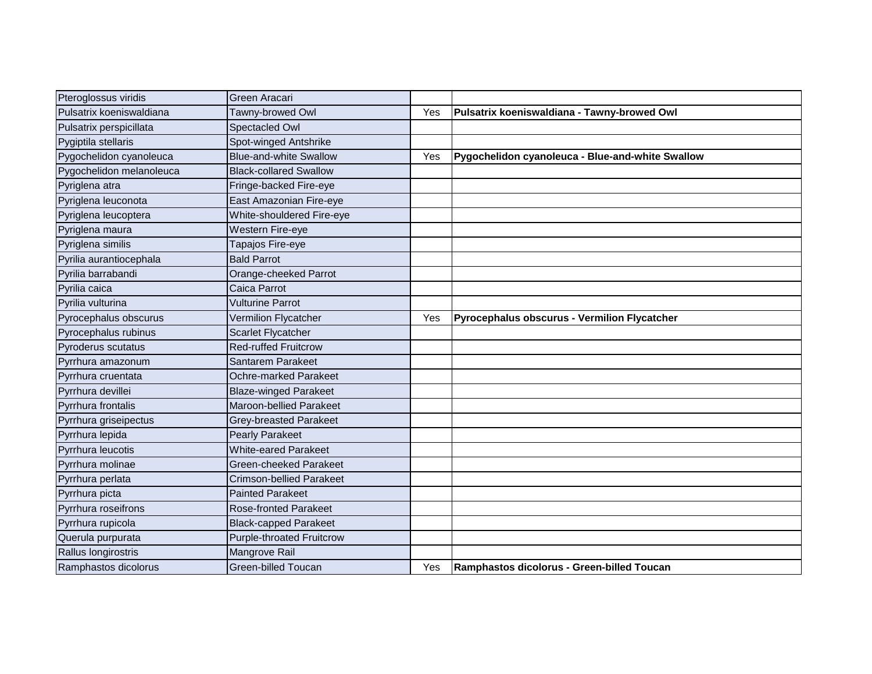| Pteroglossus viridis     | Green Aracari                    |     |                                                  |
|--------------------------|----------------------------------|-----|--------------------------------------------------|
| Pulsatrix koeniswaldiana | Tawny-browed Owl                 | Yes | Pulsatrix koeniswaldiana - Tawny-browed Owl      |
| Pulsatrix perspicillata  | Spectacled Owl                   |     |                                                  |
| Pygiptila stellaris      | Spot-winged Antshrike            |     |                                                  |
| Pygochelidon cyanoleuca  | <b>Blue-and-white Swallow</b>    | Yes | Pygochelidon cyanoleuca - Blue-and-white Swallow |
| Pygochelidon melanoleuca | <b>Black-collared Swallow</b>    |     |                                                  |
| Pyriglena atra           | Fringe-backed Fire-eye           |     |                                                  |
| Pyriglena leuconota      | East Amazonian Fire-eye          |     |                                                  |
| Pyriglena leucoptera     | White-shouldered Fire-eye        |     |                                                  |
| Pyriglena maura          | Western Fire-eye                 |     |                                                  |
| Pyriglena similis        | Tapajos Fire-eye                 |     |                                                  |
| Pyrilia aurantiocephala  | <b>Bald Parrot</b>               |     |                                                  |
| Pyrilia barrabandi       | Orange-cheeked Parrot            |     |                                                  |
| Pyrilia caica            | Caica Parrot                     |     |                                                  |
| Pyrilia vulturina        | <b>Vulturine Parrot</b>          |     |                                                  |
| Pyrocephalus obscurus    | Vermilion Flycatcher             | Yes | Pyrocephalus obscurus - Vermilion Flycatcher     |
| Pyrocephalus rubinus     | Scarlet Flycatcher               |     |                                                  |
| Pyroderus scutatus       | <b>Red-ruffed Fruitcrow</b>      |     |                                                  |
| Pyrrhura amazonum        | Santarem Parakeet                |     |                                                  |
| Pyrrhura cruentata       | Ochre-marked Parakeet            |     |                                                  |
| Pyrrhura devillei        | <b>Blaze-winged Parakeet</b>     |     |                                                  |
| Pyrrhura frontalis       | Maroon-bellied Parakeet          |     |                                                  |
| Pyrrhura griseipectus    | Grey-breasted Parakeet           |     |                                                  |
| Pyrrhura lepida          | <b>Pearly Parakeet</b>           |     |                                                  |
| Pyrrhura leucotis        | <b>White-eared Parakeet</b>      |     |                                                  |
| Pyrrhura molinae         | Green-cheeked Parakeet           |     |                                                  |
| Pyrrhura perlata         | Crimson-bellied Parakeet         |     |                                                  |
| Pyrrhura picta           | <b>Painted Parakeet</b>          |     |                                                  |
| Pyrrhura roseifrons      | <b>Rose-fronted Parakeet</b>     |     |                                                  |
| Pyrrhura rupicola        | <b>Black-capped Parakeet</b>     |     |                                                  |
| Querula purpurata        | <b>Purple-throated Fruitcrow</b> |     |                                                  |
| Rallus longirostris      | Mangrove Rail                    |     |                                                  |
| Ramphastos dicolorus     | <b>Green-billed Toucan</b>       | Yes | Ramphastos dicolorus - Green-billed Toucan       |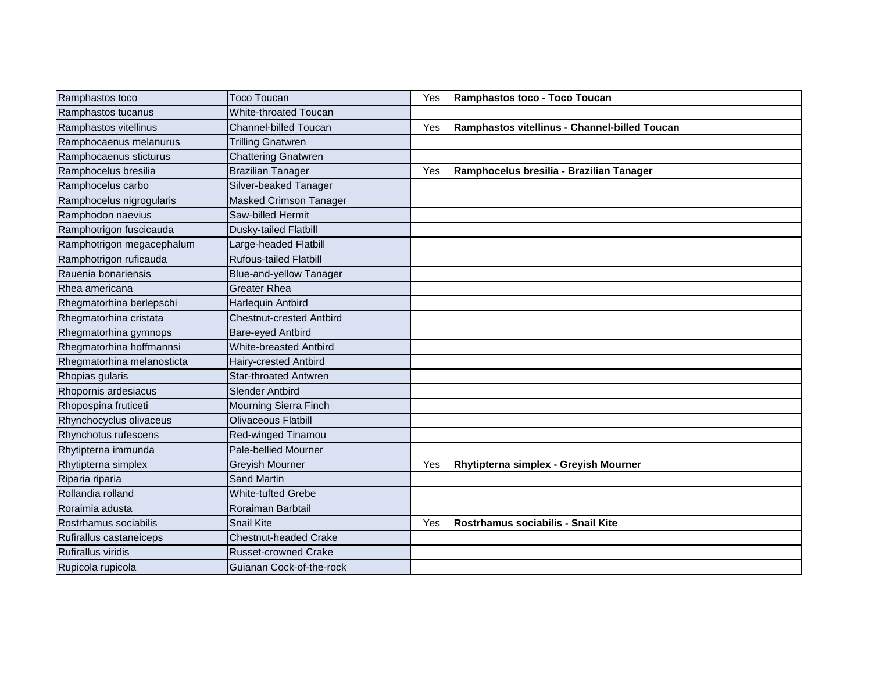| Ramphastos toco            | <b>Toco Toucan</b>              | Yes | Ramphastos toco - Toco Toucan                 |
|----------------------------|---------------------------------|-----|-----------------------------------------------|
| Ramphastos tucanus         | <b>White-throated Toucan</b>    |     |                                               |
| Ramphastos vitellinus      | <b>Channel-billed Toucan</b>    | Yes | Ramphastos vitellinus - Channel-billed Toucan |
| Ramphocaenus melanurus     | <b>Trilling Gnatwren</b>        |     |                                               |
| Ramphocaenus sticturus     | <b>Chattering Gnatwren</b>      |     |                                               |
| Ramphocelus bresilia       | <b>Brazilian Tanager</b>        | Yes | Ramphocelus bresilia - Brazilian Tanager      |
| Ramphocelus carbo          | Silver-beaked Tanager           |     |                                               |
| Ramphocelus nigrogularis   | <b>Masked Crimson Tanager</b>   |     |                                               |
| Ramphodon naevius          | Saw-billed Hermit               |     |                                               |
| Ramphotrigon fuscicauda    | Dusky-tailed Flatbill           |     |                                               |
| Ramphotrigon megacephalum  | Large-headed Flatbill           |     |                                               |
| Ramphotrigon ruficauda     | <b>Rufous-tailed Flatbill</b>   |     |                                               |
| Rauenia bonariensis        | <b>Blue-and-yellow Tanager</b>  |     |                                               |
| Rhea americana             | <b>Greater Rhea</b>             |     |                                               |
| Rhegmatorhina berlepschi   | Harlequin Antbird               |     |                                               |
| Rhegmatorhina cristata     | <b>Chestnut-crested Antbird</b> |     |                                               |
| Rhegmatorhina gymnops      | Bare-eyed Antbird               |     |                                               |
| Rhegmatorhina hoffmannsi   | <b>White-breasted Antbird</b>   |     |                                               |
| Rhegmatorhina melanosticta | Hairy-crested Antbird           |     |                                               |
| Rhopias gularis            | <b>Star-throated Antwren</b>    |     |                                               |
| Rhopornis ardesiacus       | <b>Slender Antbird</b>          |     |                                               |
| Rhopospina fruticeti       | Mourning Sierra Finch           |     |                                               |
| Rhynchocyclus olivaceus    | <b>Olivaceous Flatbill</b>      |     |                                               |
| Rhynchotus rufescens       | Red-winged Tinamou              |     |                                               |
| Rhytipterna immunda        | <b>Pale-bellied Mourner</b>     |     |                                               |
| Rhytipterna simplex        | <b>Greyish Mourner</b>          | Yes | Rhytipterna simplex - Greyish Mourner         |
| Riparia riparia            | <b>Sand Martin</b>              |     |                                               |
| Rollandia rolland          | <b>White-tufted Grebe</b>       |     |                                               |
| Roraimia adusta            | Roraiman Barbtail               |     |                                               |
| Rostrhamus sociabilis      | <b>Snail Kite</b>               | Yes | Rostrhamus sociabilis - Snail Kite            |
| Rufirallus castaneiceps    | <b>Chestnut-headed Crake</b>    |     |                                               |
| Rufirallus viridis         | <b>Russet-crowned Crake</b>     |     |                                               |
| Rupicola rupicola          | Guianan Cock-of-the-rock        |     |                                               |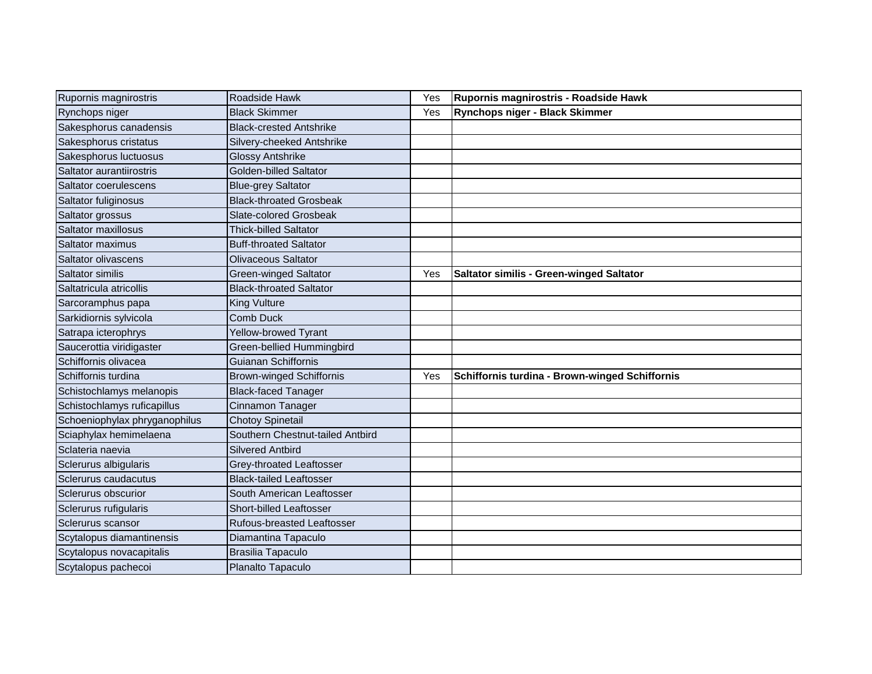| Rupornis magnirostris         | Roadside Hawk                     | Yes | Rupornis magnirostris - Roadside Hawk           |
|-------------------------------|-----------------------------------|-----|-------------------------------------------------|
| Rynchops niger                | <b>Black Skimmer</b>              | Yes | Rynchops niger - Black Skimmer                  |
| Sakesphorus canadensis        | <b>Black-crested Antshrike</b>    |     |                                                 |
| Sakesphorus cristatus         | Silvery-cheeked Antshrike         |     |                                                 |
| Sakesphorus luctuosus         | Glossy Antshrike                  |     |                                                 |
| Saltator aurantiirostris      | Golden-billed Saltator            |     |                                                 |
| Saltator coerulescens         | <b>Blue-grey Saltator</b>         |     |                                                 |
| Saltator fuliginosus          | <b>Black-throated Grosbeak</b>    |     |                                                 |
| Saltator grossus              | Slate-colored Grosbeak            |     |                                                 |
| Saltator maxillosus           | <b>Thick-billed Saltator</b>      |     |                                                 |
| Saltator maximus              | <b>Buff-throated Saltator</b>     |     |                                                 |
| Saltator olivascens           | Olivaceous Saltator               |     |                                                 |
| Saltator similis              | Green-winged Saltator             | Yes | <b>Saltator similis - Green-winged Saltator</b> |
| Saltatricula atricollis       | <b>Black-throated Saltator</b>    |     |                                                 |
| Sarcoramphus papa             | <b>King Vulture</b>               |     |                                                 |
| Sarkidiornis sylvicola        | Comb Duck                         |     |                                                 |
| Satrapa icterophrys           | Yellow-browed Tyrant              |     |                                                 |
| Saucerottia viridigaster      | Green-bellied Hummingbird         |     |                                                 |
| Schiffornis olivacea          | Guianan Schiffornis               |     |                                                 |
| Schiffornis turdina           | <b>Brown-winged Schiffornis</b>   | Yes | Schiffornis turdina - Brown-winged Schiffornis  |
| Schistochlamys melanopis      | <b>Black-faced Tanager</b>        |     |                                                 |
| Schistochlamys ruficapillus   | Cinnamon Tanager                  |     |                                                 |
| Schoeniophylax phryganophilus | <b>Chotoy Spinetail</b>           |     |                                                 |
| Sciaphylax hemimelaena        | Southern Chestnut-tailed Antbird  |     |                                                 |
| Sclateria naevia              | <b>Silvered Antbird</b>           |     |                                                 |
| Sclerurus albigularis         | Grey-throated Leaftosser          |     |                                                 |
| Sclerurus caudacutus          | <b>Black-tailed Leaftosser</b>    |     |                                                 |
| Sclerurus obscurior           | South American Leaftosser         |     |                                                 |
| Sclerurus rufigularis         | Short-billed Leaftosser           |     |                                                 |
| Sclerurus scansor             | <b>Rufous-breasted Leaftosser</b> |     |                                                 |
| Scytalopus diamantinensis     | Diamantina Tapaculo               |     |                                                 |
| Scytalopus novacapitalis      | Brasilia Tapaculo                 |     |                                                 |
| Scytalopus pachecoi           | Planalto Tapaculo                 |     |                                                 |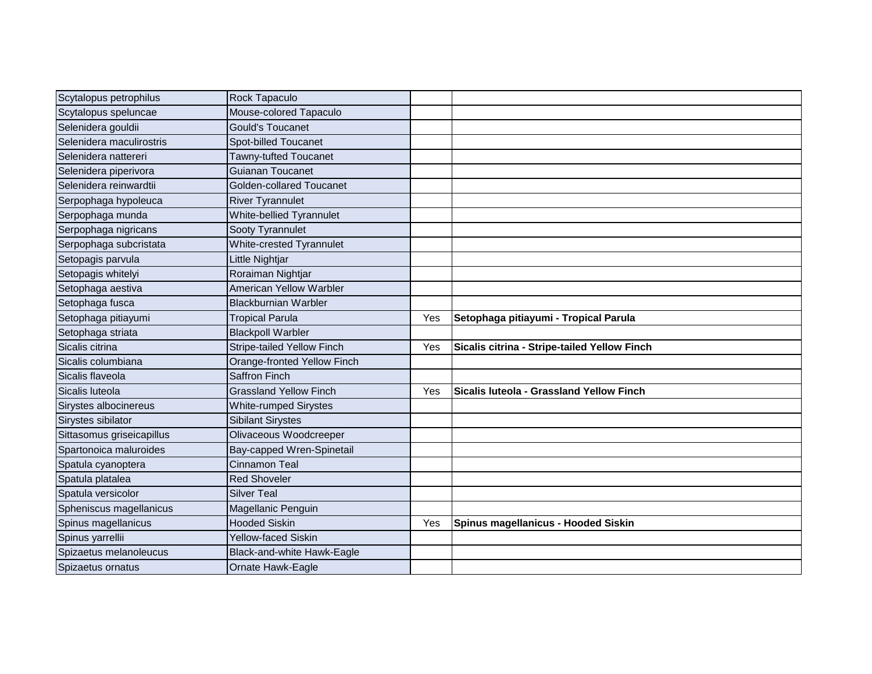| Scytalopus petrophilus    | Rock Tapaculo                   |     |                                              |
|---------------------------|---------------------------------|-----|----------------------------------------------|
| Scytalopus speluncae      | Mouse-colored Tapaculo          |     |                                              |
| Selenidera gouldii        | <b>Gould's Toucanet</b>         |     |                                              |
| Selenidera maculirostris  | Spot-billed Toucanet            |     |                                              |
| Selenidera nattereri      | Tawny-tufted Toucanet           |     |                                              |
| Selenidera piperivora     | <b>Guianan Toucanet</b>         |     |                                              |
| Selenidera reinwardtii    | Golden-collared Toucanet        |     |                                              |
| Serpophaga hypoleuca      | <b>River Tyrannulet</b>         |     |                                              |
| Serpophaga munda          | White-bellied Tyrannulet        |     |                                              |
| Serpophaga nigricans      | Sooty Tyrannulet                |     |                                              |
| Serpophaga subcristata    | <b>White-crested Tyrannulet</b> |     |                                              |
| Setopagis parvula         | Little Nightjar                 |     |                                              |
| Setopagis whitelyi        | Roraiman Nightjar               |     |                                              |
| Setophaga aestiva         | <b>American Yellow Warbler</b>  |     |                                              |
| Setophaga fusca           | <b>Blackburnian Warbler</b>     |     |                                              |
| Setophaga pitiayumi       | <b>Tropical Parula</b>          | Yes | Setophaga pitiayumi - Tropical Parula        |
| Setophaga striata         | <b>Blackpoll Warbler</b>        |     |                                              |
| Sicalis citrina           | Stripe-tailed Yellow Finch      | Yes | Sicalis citrina - Stripe-tailed Yellow Finch |
| Sicalis columbiana        | Orange-fronted Yellow Finch     |     |                                              |
| Sicalis flaveola          | <b>Saffron Finch</b>            |     |                                              |
| Sicalis luteola           | <b>Grassland Yellow Finch</b>   | Yes | Sicalis luteola - Grassland Yellow Finch     |
| Sirystes albocinereus     | <b>White-rumped Sirystes</b>    |     |                                              |
| Sirystes sibilator        | <b>Sibilant Sirystes</b>        |     |                                              |
| Sittasomus griseicapillus | Olivaceous Woodcreeper          |     |                                              |
| Spartonoica maluroides    | Bay-capped Wren-Spinetail       |     |                                              |
| Spatula cyanoptera        | Cinnamon Teal                   |     |                                              |
| Spatula platalea          | <b>Red Shoveler</b>             |     |                                              |
| Spatula versicolor        | <b>Silver Teal</b>              |     |                                              |
| Spheniscus magellanicus   | Magellanic Penguin              |     |                                              |
| Spinus magellanicus       | <b>Hooded Siskin</b>            | Yes | Spinus magellanicus - Hooded Siskin          |
| Spinus yarrellii          | <b>Yellow-faced Siskin</b>      |     |                                              |
| Spizaetus melanoleucus    | Black-and-white Hawk-Eagle      |     |                                              |
| Spizaetus ornatus         | Ornate Hawk-Eagle               |     |                                              |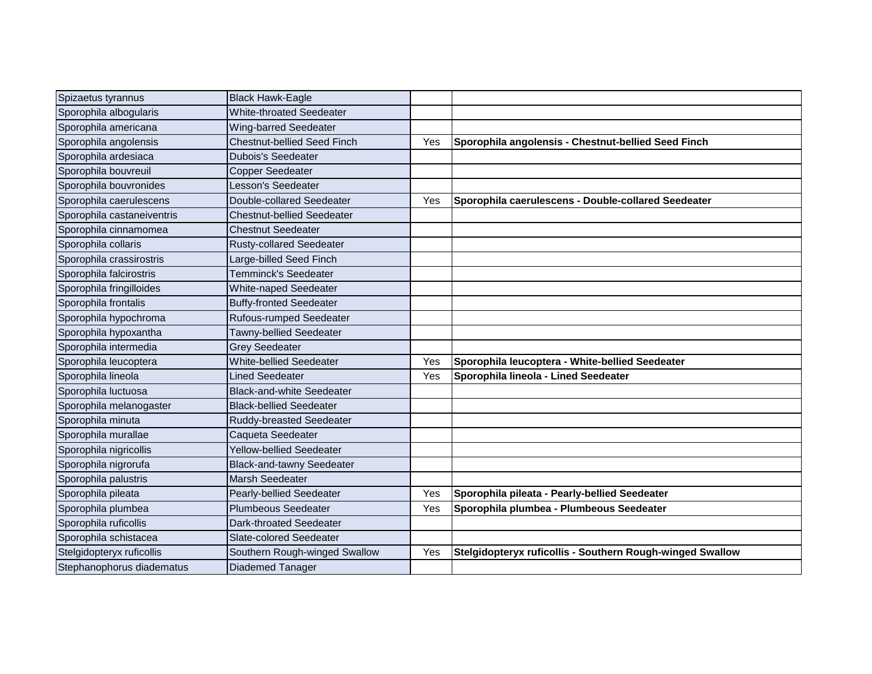| Spizaetus tyrannus         | <b>Black Hawk-Eagle</b>            |     |                                                           |
|----------------------------|------------------------------------|-----|-----------------------------------------------------------|
| Sporophila albogularis     | <b>White-throated Seedeater</b>    |     |                                                           |
| Sporophila americana       | Wing-barred Seedeater              |     |                                                           |
| Sporophila angolensis      | <b>Chestnut-bellied Seed Finch</b> | Yes | Sporophila angolensis - Chestnut-bellied Seed Finch       |
| Sporophila ardesiaca       | <b>Dubois's Seedeater</b>          |     |                                                           |
| Sporophila bouvreuil       | <b>Copper Seedeater</b>            |     |                                                           |
| Sporophila bouvronides     | Lesson's Seedeater                 |     |                                                           |
| Sporophila caerulescens    | Double-collared Seedeater          | Yes | Sporophila caerulescens - Double-collared Seedeater       |
| Sporophila castaneiventris | <b>Chestnut-bellied Seedeater</b>  |     |                                                           |
| Sporophila cinnamomea      | <b>Chestnut Seedeater</b>          |     |                                                           |
| Sporophila collaris        | <b>Rusty-collared Seedeater</b>    |     |                                                           |
| Sporophila crassirostris   | Large-billed Seed Finch            |     |                                                           |
| Sporophila falcirostris    | Temminck's Seedeater               |     |                                                           |
| Sporophila fringilloides   | <b>White-naped Seedeater</b>       |     |                                                           |
| Sporophila frontalis       | <b>Buffy-fronted Seedeater</b>     |     |                                                           |
| Sporophila hypochroma      | <b>Rufous-rumped Seedeater</b>     |     |                                                           |
| Sporophila hypoxantha      | Tawny-bellied Seedeater            |     |                                                           |
| Sporophila intermedia      | <b>Grey Seedeater</b>              |     |                                                           |
| Sporophila leucoptera      | <b>White-bellied Seedeater</b>     | Yes | Sporophila leucoptera - White-bellied Seedeater           |
| Sporophila lineola         | Lined Seedeater                    | Yes | Sporophila lineola - Lined Seedeater                      |
| Sporophila luctuosa        | <b>Black-and-white Seedeater</b>   |     |                                                           |
| Sporophila melanogaster    | <b>Black-bellied Seedeater</b>     |     |                                                           |
| Sporophila minuta          | Ruddy-breasted Seedeater           |     |                                                           |
| Sporophila murallae        | Caqueta Seedeater                  |     |                                                           |
| Sporophila nigricollis     | <b>Yellow-bellied Seedeater</b>    |     |                                                           |
| Sporophila nigrorufa       | <b>Black-and-tawny Seedeater</b>   |     |                                                           |
| Sporophila palustris       | Marsh Seedeater                    |     |                                                           |
| Sporophila pileata         | <b>Pearly-bellied Seedeater</b>    | Yes | Sporophila pileata - Pearly-bellied Seedeater             |
| Sporophila plumbea         | <b>Plumbeous Seedeater</b>         | Yes | Sporophila plumbea - Plumbeous Seedeater                  |
| Sporophila ruficollis      | Dark-throated Seedeater            |     |                                                           |
| Sporophila schistacea      | Slate-colored Seedeater            |     |                                                           |
| Stelgidopteryx ruficollis  | Southern Rough-winged Swallow      | Yes | Stelgidopteryx ruficollis - Southern Rough-winged Swallow |
| Stephanophorus diadematus  | Diademed Tanager                   |     |                                                           |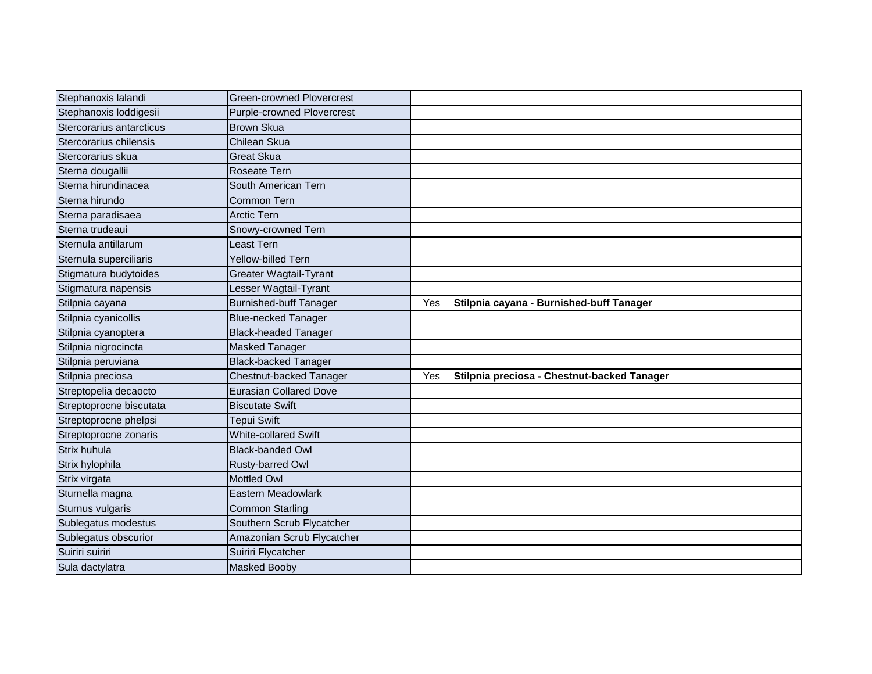| Stephanoxis lalandi      | <b>Green-crowned Plovercrest</b>  |     |                                             |
|--------------------------|-----------------------------------|-----|---------------------------------------------|
| Stephanoxis loddigesii   | <b>Purple-crowned Plovercrest</b> |     |                                             |
| Stercorarius antarcticus | <b>Brown Skua</b>                 |     |                                             |
| Stercorarius chilensis   | Chilean Skua                      |     |                                             |
| Stercorarius skua        | <b>Great Skua</b>                 |     |                                             |
| Sterna dougallii         | <b>Roseate Tern</b>               |     |                                             |
| Sterna hirundinacea      | South American Tern               |     |                                             |
| Sterna hirundo           | Common Tern                       |     |                                             |
| Sterna paradisaea        | <b>Arctic Tern</b>                |     |                                             |
| Sterna trudeaui          | Snowy-crowned Tern                |     |                                             |
| Sternula antillarum      | Least Tern                        |     |                                             |
| Sternula superciliaris   | Yellow-billed Tern                |     |                                             |
| Stigmatura budytoides    | <b>Greater Wagtail-Tyrant</b>     |     |                                             |
| Stigmatura napensis      | Lesser Wagtail-Tyrant             |     |                                             |
| Stilpnia cayana          | <b>Burnished-buff Tanager</b>     | Yes | Stilpnia cayana - Burnished-buff Tanager    |
| Stilpnia cyanicollis     | <b>Blue-necked Tanager</b>        |     |                                             |
| Stilpnia cyanoptera      | <b>Black-headed Tanager</b>       |     |                                             |
| Stilpnia nigrocincta     | <b>Masked Tanager</b>             |     |                                             |
| Stilpnia peruviana       | <b>Black-backed Tanager</b>       |     |                                             |
| Stilpnia preciosa        | Chestnut-backed Tanager           | Yes | Stilpnia preciosa - Chestnut-backed Tanager |
| Streptopelia decaocto    | <b>Eurasian Collared Dove</b>     |     |                                             |
| Streptoprocne biscutata  | <b>Biscutate Swift</b>            |     |                                             |
| Streptoprocne phelpsi    | <b>Tepui Swift</b>                |     |                                             |
| Streptoprocne zonaris    | <b>White-collared Swift</b>       |     |                                             |
| Strix huhula             | <b>Black-banded Owl</b>           |     |                                             |
| Strix hylophila          | Rusty-barred Owl                  |     |                                             |
| Strix virgata            | <b>Mottled Owl</b>                |     |                                             |
| Sturnella magna          | Eastern Meadowlark                |     |                                             |
| Sturnus vulgaris         | <b>Common Starling</b>            |     |                                             |
| Sublegatus modestus      | Southern Scrub Flycatcher         |     |                                             |
| Sublegatus obscurior     | Amazonian Scrub Flycatcher        |     |                                             |
| Suiriri suiriri          | Suiriri Flycatcher                |     |                                             |
| Sula dactylatra          | <b>Masked Booby</b>               |     |                                             |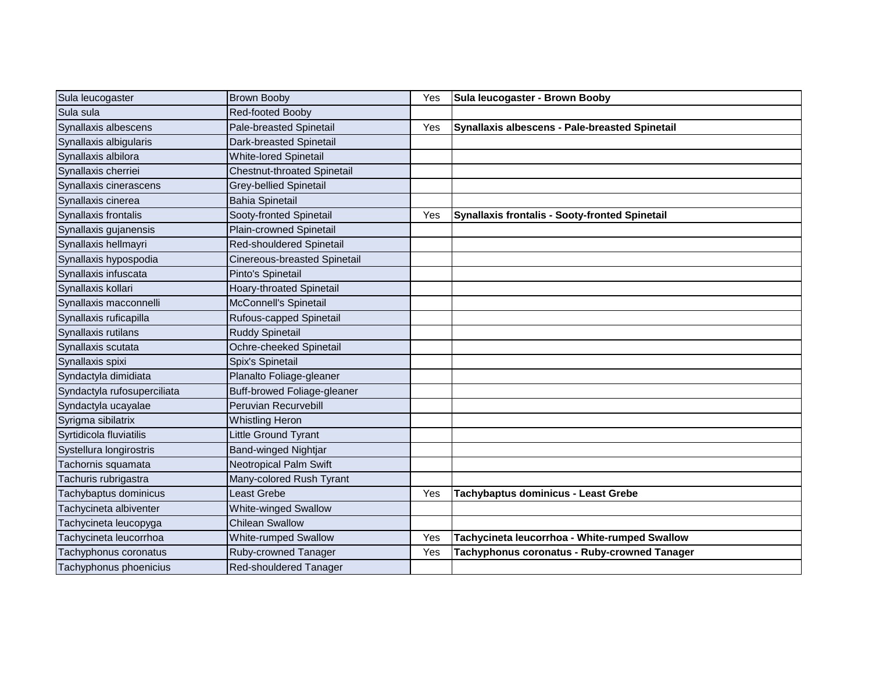| Sula leucogaster            | <b>Brown Booby</b>                 | Yes | Sula leucogaster - Brown Booby                 |
|-----------------------------|------------------------------------|-----|------------------------------------------------|
| Sula sula                   | <b>Red-footed Booby</b>            |     |                                                |
| Synallaxis albescens        | <b>Pale-breasted Spinetail</b>     | Yes | Synallaxis albescens - Pale-breasted Spinetail |
| Synallaxis albigularis      | Dark-breasted Spinetail            |     |                                                |
| Synallaxis albilora         | <b>White-lored Spinetail</b>       |     |                                                |
| Synallaxis cherriei         | <b>Chestnut-throated Spinetail</b> |     |                                                |
| Synallaxis cinerascens      | Grey-bellied Spinetail             |     |                                                |
| Synallaxis cinerea          | <b>Bahia Spinetail</b>             |     |                                                |
| Synallaxis frontalis        | Sooty-fronted Spinetail            | Yes | Synallaxis frontalis - Sooty-fronted Spinetail |
| Synallaxis gujanensis       | <b>Plain-crowned Spinetail</b>     |     |                                                |
| Synallaxis hellmayri        | Red-shouldered Spinetail           |     |                                                |
| Synallaxis hypospodia       | Cinereous-breasted Spinetail       |     |                                                |
| Synallaxis infuscata        | Pinto's Spinetail                  |     |                                                |
| Synallaxis kollari          | <b>Hoary-throated Spinetail</b>    |     |                                                |
| Synallaxis macconnelli      | McConnell's Spinetail              |     |                                                |
| Synallaxis ruficapilla      | Rufous-capped Spinetail            |     |                                                |
| Synallaxis rutilans         | <b>Ruddy Spinetail</b>             |     |                                                |
| Synallaxis scutata          | Ochre-cheeked Spinetail            |     |                                                |
| Synallaxis spixi            | Spix's Spinetail                   |     |                                                |
| Syndactyla dimidiata        | Planalto Foliage-gleaner           |     |                                                |
| Syndactyla rufosuperciliata | Buff-browed Foliage-gleaner        |     |                                                |
| Syndactyla ucayalae         | Peruvian Recurvebill               |     |                                                |
| Syrigma sibilatrix          | <b>Whistling Heron</b>             |     |                                                |
| Syrtidicola fluviatilis     | Little Ground Tyrant               |     |                                                |
| Systellura longirostris     | Band-winged Nightjar               |     |                                                |
| Tachornis squamata          | <b>Neotropical Palm Swift</b>      |     |                                                |
| Tachuris rubrigastra        | Many-colored Rush Tyrant           |     |                                                |
| Tachybaptus dominicus       | Least Grebe                        | Yes | Tachybaptus dominicus - Least Grebe            |
| Tachycineta albiventer      | <b>White-winged Swallow</b>        |     |                                                |
| Tachycineta leucopyga       | <b>Chilean Swallow</b>             |     |                                                |
| Tachycineta leucorrhoa      | <b>White-rumped Swallow</b>        | Yes | Tachycineta leucorrhoa - White-rumped Swallow  |
| Tachyphonus coronatus       | Ruby-crowned Tanager               | Yes | Tachyphonus coronatus - Ruby-crowned Tanager   |
| Tachyphonus phoenicius      | Red-shouldered Tanager             |     |                                                |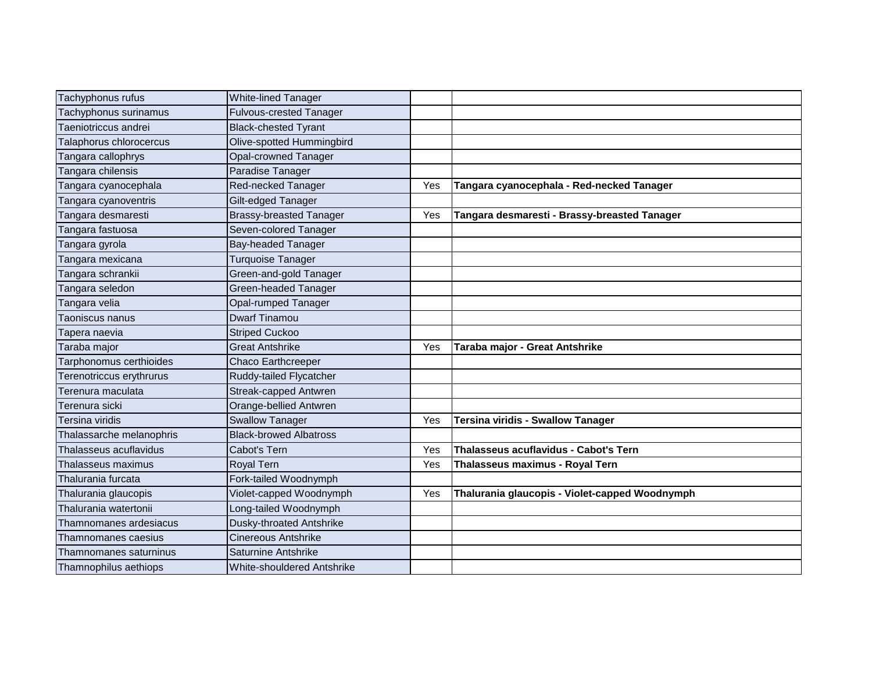| Tachyphonus rufus        | White-lined Tanager            |     |                                                |
|--------------------------|--------------------------------|-----|------------------------------------------------|
| Tachyphonus surinamus    | <b>Fulvous-crested Tanager</b> |     |                                                |
| Taeniotriccus andrei     | <b>Black-chested Tyrant</b>    |     |                                                |
| Talaphorus chlorocercus  | Olive-spotted Hummingbird      |     |                                                |
| Tangara callophrys       | Opal-crowned Tanager           |     |                                                |
| Tangara chilensis        | Paradise Tanager               |     |                                                |
| Tangara cyanocephala     | Red-necked Tanager             | Yes | Tangara cyanocephala - Red-necked Tanager      |
| Tangara cyanoventris     | Gilt-edged Tanager             |     |                                                |
| Tangara desmaresti       | <b>Brassy-breasted Tanager</b> | Yes | Tangara desmaresti - Brassy-breasted Tanager   |
| Tangara fastuosa         | Seven-colored Tanager          |     |                                                |
| Tangara gyrola           | <b>Bay-headed Tanager</b>      |     |                                                |
| Tangara mexicana         | <b>Turquoise Tanager</b>       |     |                                                |
| Tangara schrankii        | Green-and-gold Tanager         |     |                                                |
| Tangara seledon          | Green-headed Tanager           |     |                                                |
| Tangara velia            | Opal-rumped Tanager            |     |                                                |
| <b>Taoniscus nanus</b>   | <b>Dwarf Tinamou</b>           |     |                                                |
| Tapera naevia            | <b>Striped Cuckoo</b>          |     |                                                |
| Taraba major             | <b>Great Antshrike</b>         | Yes | Taraba major - Great Antshrike                 |
| Tarphonomus certhioides  | Chaco Earthcreeper             |     |                                                |
| Terenotriccus erythrurus | Ruddy-tailed Flycatcher        |     |                                                |
| Ferenura maculata        | Streak-capped Antwren          |     |                                                |
| Terenura sicki           | Orange-bellied Antwren         |     |                                                |
| Tersina viridis          | <b>Swallow Tanager</b>         | Yes | <b>Tersina viridis - Swallow Tanager</b>       |
| Thalassarche melanophris | <b>Black-browed Albatross</b>  |     |                                                |
| Thalasseus acuflavidus   | Cabot's Tern                   | Yes | Thalasseus acuflavidus - Cabot's Tern          |
| Thalasseus maximus       | <b>Royal Tern</b>              | Yes | Thalasseus maximus - Royal Tern                |
| Thalurania furcata       | Fork-tailed Woodnymph          |     |                                                |
| Thalurania glaucopis     | Violet-capped Woodnymph        | Yes | Thalurania glaucopis - Violet-capped Woodnymph |
| Thalurania watertonii    | Long-tailed Woodnymph          |     |                                                |
| Thamnomanes ardesiacus   | Dusky-throated Antshrike       |     |                                                |
| Thamnomanes caesius      | <b>Cinereous Antshrike</b>     |     |                                                |
| Thamnomanes saturninus   | <b>Saturnine Antshrike</b>     |     |                                                |
| Thamnophilus aethiops    | White-shouldered Antshrike     |     |                                                |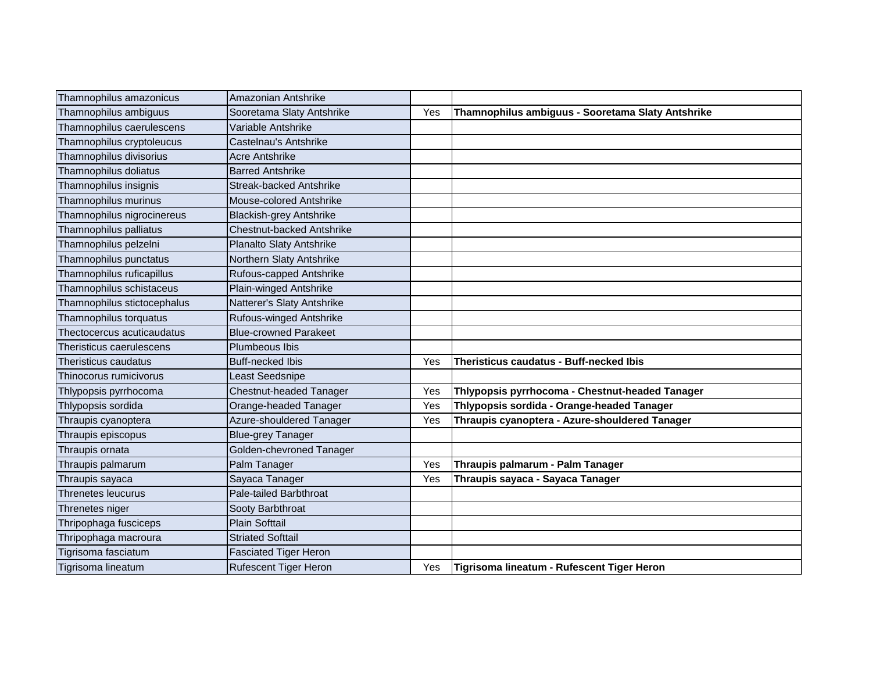| Thamnophilus amazonicus     | Amazonian Antshrike              |     |                                                   |
|-----------------------------|----------------------------------|-----|---------------------------------------------------|
| Thamnophilus ambiguus       | Sooretama Slaty Antshrike        | Yes | Thamnophilus ambiguus - Sooretama Slaty Antshrike |
| Thamnophilus caerulescens   | Variable Antshrike               |     |                                                   |
| Thamnophilus cryptoleucus   | Castelnau's Antshrike            |     |                                                   |
| Thamnophilus divisorius     | <b>Acre Antshrike</b>            |     |                                                   |
| Thamnophilus doliatus       | <b>Barred Antshrike</b>          |     |                                                   |
| Thamnophilus insignis       | Streak-backed Antshrike          |     |                                                   |
| Thamnophilus murinus        | Mouse-colored Antshrike          |     |                                                   |
| Thamnophilus nigrocinereus  | <b>Blackish-grey Antshrike</b>   |     |                                                   |
| Thamnophilus palliatus      | <b>Chestnut-backed Antshrike</b> |     |                                                   |
| Thamnophilus pelzelni       | Planalto Slaty Antshrike         |     |                                                   |
| Thamnophilus punctatus      | Northern Slaty Antshrike         |     |                                                   |
| Thamnophilus ruficapillus   | Rufous-capped Antshrike          |     |                                                   |
| Thamnophilus schistaceus    | Plain-winged Antshrike           |     |                                                   |
| Thamnophilus stictocephalus | Natterer's Slaty Antshrike       |     |                                                   |
| Thamnophilus torquatus      | Rufous-winged Antshrike          |     |                                                   |
| Thectocercus acuticaudatus  | <b>Blue-crowned Parakeet</b>     |     |                                                   |
| Theristicus caerulescens    | Plumbeous Ibis                   |     |                                                   |
| Theristicus caudatus        | <b>Buff-necked Ibis</b>          | Yes | Theristicus caudatus - Buff-necked Ibis           |
| Thinocorus rumicivorus      | Least Seedsnipe                  |     |                                                   |
| Thlypopsis pyrrhocoma       | Chestnut-headed Tanager          | Yes | Thlypopsis pyrrhocoma - Chestnut-headed Tanager   |
| Thlypopsis sordida          | Orange-headed Tanager            | Yes | Thlypopsis sordida - Orange-headed Tanager        |
| Thraupis cyanoptera         | Azure-shouldered Tanager         | Yes | Thraupis cyanoptera - Azure-shouldered Tanager    |
| Thraupis episcopus          | <b>Blue-grey Tanager</b>         |     |                                                   |
| Thraupis ornata             | Golden-chevroned Tanager         |     |                                                   |
| Thraupis palmarum           | Palm Tanager                     | Yes | Thraupis palmarum - Palm Tanager                  |
| Thraupis sayaca             | Sayaca Tanager                   | Yes | Thraupis sayaca - Sayaca Tanager                  |
| Threnetes leucurus          | Pale-tailed Barbthroat           |     |                                                   |
| Threnetes niger             | Sooty Barbthroat                 |     |                                                   |
| Thripophaga fusciceps       | <b>Plain Softtail</b>            |     |                                                   |
| Thripophaga macroura        | <b>Striated Softtail</b>         |     |                                                   |
| Tigrisoma fasciatum         | <b>Fasciated Tiger Heron</b>     |     |                                                   |
| Tigrisoma lineatum          | <b>Rufescent Tiger Heron</b>     | Yes | Tigrisoma lineatum - Rufescent Tiger Heron        |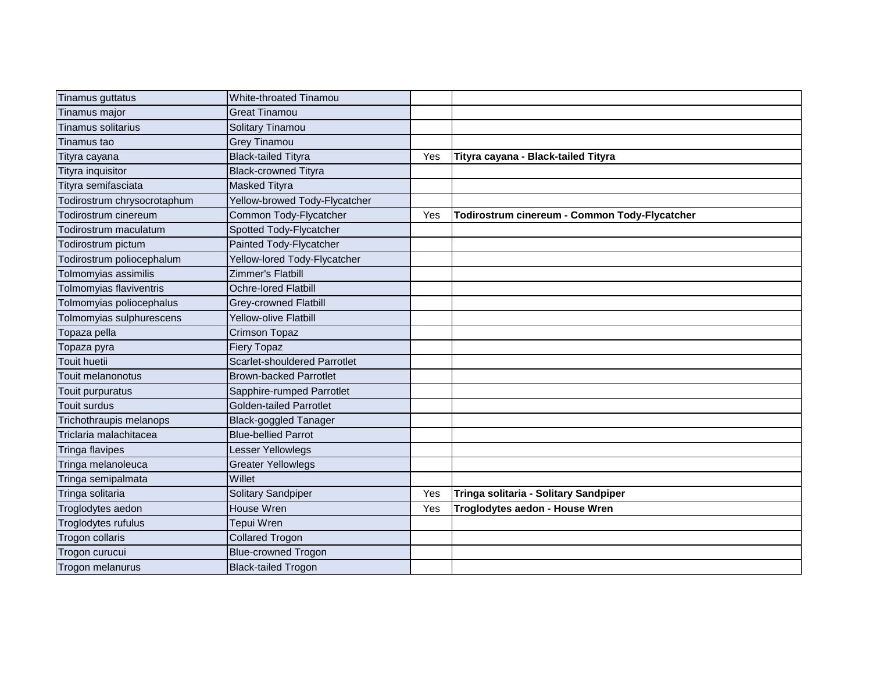| Tinamus guttatus            | <b>White-throated Tinamou</b>       |     |                                               |
|-----------------------------|-------------------------------------|-----|-----------------------------------------------|
| Tinamus major               | <b>Great Tinamou</b>                |     |                                               |
| <b>Tinamus solitarius</b>   | Solitary Tinamou                    |     |                                               |
| Tinamus tao                 | <b>Grey Tinamou</b>                 |     |                                               |
| Tityra cayana               | <b>Black-tailed Tityra</b>          | Yes | Tityra cayana - Black-tailed Tityra           |
| Tityra inquisitor           | <b>Black-crowned Tityra</b>         |     |                                               |
| Tityra semifasciata         | <b>Masked Tityra</b>                |     |                                               |
| Todirostrum chrysocrotaphum | Yellow-browed Tody-Flycatcher       |     |                                               |
| Todirostrum cinereum        | Common Tody-Flycatcher              | Yes | Todirostrum cinereum - Common Tody-Flycatcher |
| Todirostrum maculatum       | Spotted Tody-Flycatcher             |     |                                               |
| Todirostrum pictum          | Painted Tody-Flycatcher             |     |                                               |
| Fodirostrum poliocephalum   | Yellow-lored Tody-Flycatcher        |     |                                               |
| Tolmomyias assimilis        | Zimmer's Flatbill                   |     |                                               |
| Tolmomyias flaviventris     | <b>Ochre-lored Flatbill</b>         |     |                                               |
| Tolmomyias poliocephalus    | <b>Grey-crowned Flatbill</b>        |     |                                               |
| Tolmomyias sulphurescens    | <b>Yellow-olive Flatbill</b>        |     |                                               |
| Topaza pella                | <b>Crimson Topaz</b>                |     |                                               |
| Topaza pyra                 | <b>Fiery Topaz</b>                  |     |                                               |
| <b>Touit huetii</b>         | <b>Scarlet-shouldered Parrotlet</b> |     |                                               |
| Touit melanonotus           | <b>Brown-backed Parrotlet</b>       |     |                                               |
| Touit purpuratus            | Sapphire-rumped Parrotlet           |     |                                               |
| <b>Touit surdus</b>         | <b>Golden-tailed Parrotlet</b>      |     |                                               |
| Trichothraupis melanops     | <b>Black-goggled Tanager</b>        |     |                                               |
| Triclaria malachitacea      | <b>Blue-bellied Parrot</b>          |     |                                               |
| <b>Tringa flavipes</b>      | Lesser Yellowlegs                   |     |                                               |
| Tringa melanoleuca          | <b>Greater Yellowlegs</b>           |     |                                               |
| Tringa semipalmata          | Willet                              |     |                                               |
| Tringa solitaria            | Solitary Sandpiper                  | Yes | Tringa solitaria - Solitary Sandpiper         |
| Troglodytes aedon           | House Wren                          | Yes | Troglodytes aedon - House Wren                |
| Troglodytes rufulus         | Tepui Wren                          |     |                                               |
| Trogon collaris             | <b>Collared Trogon</b>              |     |                                               |
| Trogon curucui              | <b>Blue-crowned Trogon</b>          |     |                                               |
| Trogon melanurus            | <b>Black-tailed Trogon</b>          |     |                                               |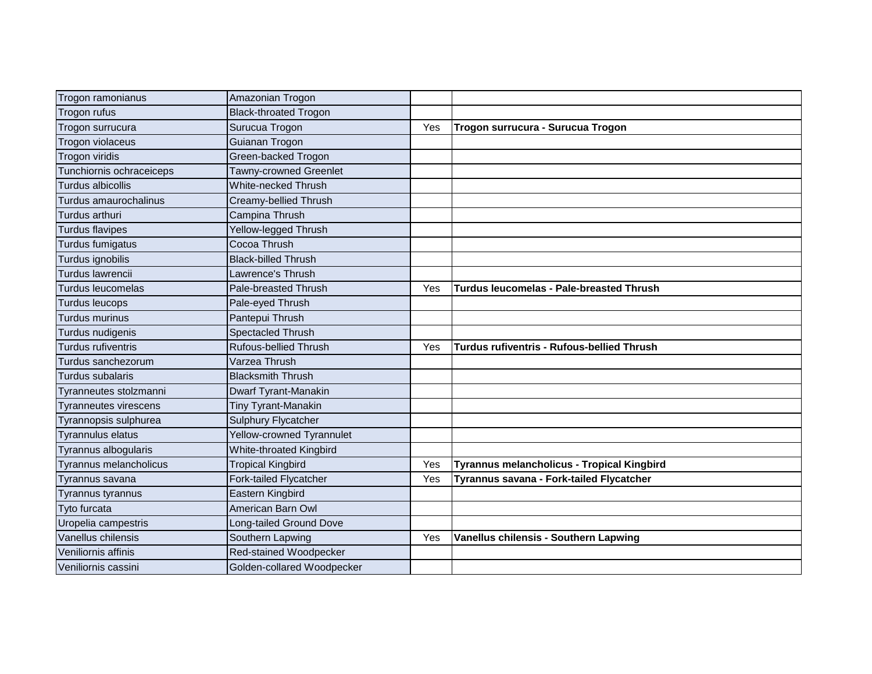| Trogon ramonianus            | Amazonian Trogon             |     |                                                 |
|------------------------------|------------------------------|-----|-------------------------------------------------|
|                              |                              |     |                                                 |
| Trogon rufus                 | <b>Black-throated Trogon</b> |     |                                                 |
| Trogon surrucura             | Surucua Trogon               | Yes | Trogon surrucura - Surucua Trogon               |
| Trogon violaceus             | Guianan Trogon               |     |                                                 |
| Trogon viridis               | Green-backed Trogon          |     |                                                 |
| Tunchiornis ochraceiceps     | Tawny-crowned Greenlet       |     |                                                 |
| <b>Turdus albicollis</b>     | White-necked Thrush          |     |                                                 |
| Turdus amaurochalinus        | Creamy-bellied Thrush        |     |                                                 |
| Turdus arthuri               | Campina Thrush               |     |                                                 |
| <b>Turdus flavipes</b>       | Yellow-legged Thrush         |     |                                                 |
| Turdus fumigatus             | Cocoa Thrush                 |     |                                                 |
| Turdus ignobilis             | <b>Black-billed Thrush</b>   |     |                                                 |
| Turdus lawrencii             | Lawrence's Thrush            |     |                                                 |
| Turdus leucomelas            | Pale-breasted Thrush         | Yes | <b>Turdus leucomelas - Pale-breasted Thrush</b> |
| <b>Turdus leucops</b>        | Pale-eyed Thrush             |     |                                                 |
| Turdus murinus               | Pantepui Thrush              |     |                                                 |
| Turdus nudigenis             | Spectacled Thrush            |     |                                                 |
| Turdus rufiventris           | <b>Rufous-bellied Thrush</b> | Yes | Turdus rufiventris - Rufous-bellied Thrush      |
| Turdus sanchezorum           | Varzea Thrush                |     |                                                 |
| Turdus subalaris             | <b>Blacksmith Thrush</b>     |     |                                                 |
| Tyranneutes stolzmanni       | Dwarf Tyrant-Manakin         |     |                                                 |
| <b>Tyranneutes virescens</b> | Tiny Tyrant-Manakin          |     |                                                 |
| Tyrannopsis sulphurea        | <b>Sulphury Flycatcher</b>   |     |                                                 |
| <b>Tyrannulus elatus</b>     | Yellow-crowned Tyrannulet    |     |                                                 |
| Tyrannus albogularis         | White-throated Kingbird      |     |                                                 |
| Tyrannus melancholicus       | <b>Tropical Kingbird</b>     | Yes | Tyrannus melancholicus - Tropical Kingbird      |
| Tyrannus savana              | Fork-tailed Flycatcher       | Yes | Tyrannus savana - Fork-tailed Flycatcher        |
| Tyrannus tyrannus            | Eastern Kingbird             |     |                                                 |
| Tyto furcata                 | American Barn Owl            |     |                                                 |
| Uropelia campestris          | Long-tailed Ground Dove      |     |                                                 |
| Vanellus chilensis           | Southern Lapwing             | Yes | Vanellus chilensis - Southern Lapwing           |
| Veniliornis affinis          | Red-stained Woodpecker       |     |                                                 |
| Veniliornis cassini          | Golden-collared Woodpecker   |     |                                                 |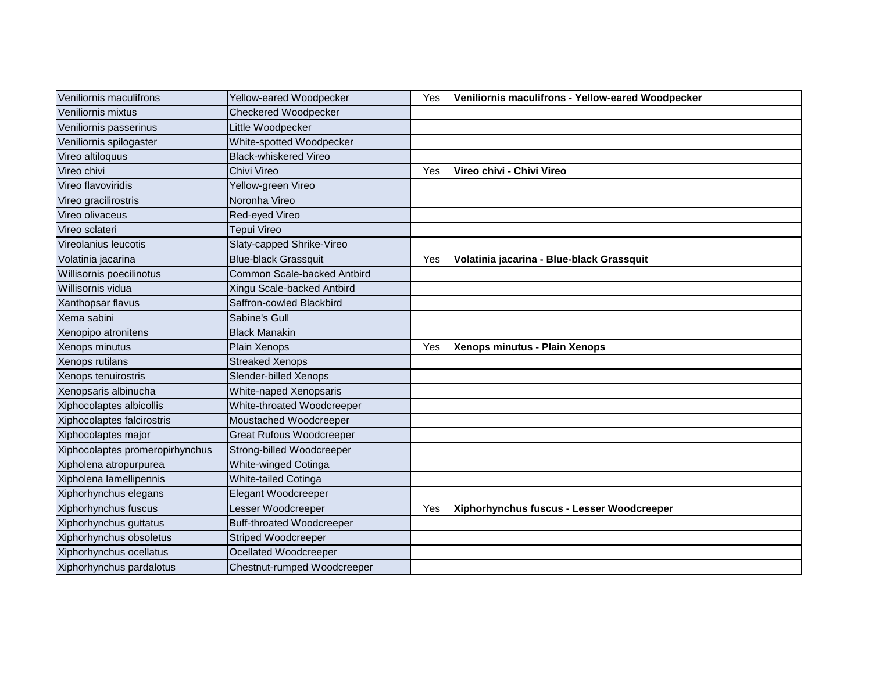| Veniliornis maculifrons         | Yellow-eared Woodpecker          | Yes | Veniliornis maculifrons - Yellow-eared Woodpecker |
|---------------------------------|----------------------------------|-----|---------------------------------------------------|
| Veniliornis mixtus              | <b>Checkered Woodpecker</b>      |     |                                                   |
| Veniliornis passerinus          | Little Woodpecker                |     |                                                   |
| Veniliornis spilogaster         | White-spotted Woodpecker         |     |                                                   |
| Vireo altiloquus                | <b>Black-whiskered Vireo</b>     |     |                                                   |
| Vireo chivi                     | Chivi Vireo                      | Yes | Vireo chivi - Chivi Vireo                         |
| Vireo flavoviridis              | Yellow-green Vireo               |     |                                                   |
| Vireo gracilirostris            | Noronha Vireo                    |     |                                                   |
| Vireo olivaceus                 | Red-eyed Vireo                   |     |                                                   |
| Vireo sclateri                  | Tepui Vireo                      |     |                                                   |
| Vireolanius leucotis            | Slaty-capped Shrike-Vireo        |     |                                                   |
| Volatinia jacarina              | <b>Blue-black Grassquit</b>      | Yes | Volatinia jacarina - Blue-black Grassquit         |
| Willisornis poecilinotus        | Common Scale-backed Antbird      |     |                                                   |
| Willisornis vidua               | Xingu Scale-backed Antbird       |     |                                                   |
| Xanthopsar flavus               | Saffron-cowled Blackbird         |     |                                                   |
| Xema sabini                     | Sabine's Gull                    |     |                                                   |
| Xenopipo atronitens             | <b>Black Manakin</b>             |     |                                                   |
| Xenops minutus                  | Plain Xenops                     | Yes | Xenops minutus - Plain Xenops                     |
| Xenops rutilans                 | <b>Streaked Xenops</b>           |     |                                                   |
| Xenops tenuirostris             | Slender-billed Xenops            |     |                                                   |
| Xenopsaris albinucha            | White-naped Xenopsaris           |     |                                                   |
| Xiphocolaptes albicollis        | White-throated Woodcreeper       |     |                                                   |
| Xiphocolaptes falcirostris      | Moustached Woodcreeper           |     |                                                   |
| Xiphocolaptes major             | <b>Great Rufous Woodcreeper</b>  |     |                                                   |
| Xiphocolaptes promeropirhynchus | Strong-billed Woodcreeper        |     |                                                   |
| Xipholena atropurpurea          | White-winged Cotinga             |     |                                                   |
| Xipholena lamellipennis         | White-tailed Cotinga             |     |                                                   |
| Xiphorhynchus elegans           | Elegant Woodcreeper              |     |                                                   |
| Xiphorhynchus fuscus            | Lesser Woodcreeper               | Yes | Xiphorhynchus fuscus - Lesser Woodcreeper         |
| Xiphorhynchus guttatus          | <b>Buff-throated Woodcreeper</b> |     |                                                   |
| Xiphorhynchus obsoletus         | <b>Striped Woodcreeper</b>       |     |                                                   |
| Xiphorhynchus ocellatus         | Ocellated Woodcreeper            |     |                                                   |
| Xiphorhynchus pardalotus        | Chestnut-rumped Woodcreeper      |     |                                                   |